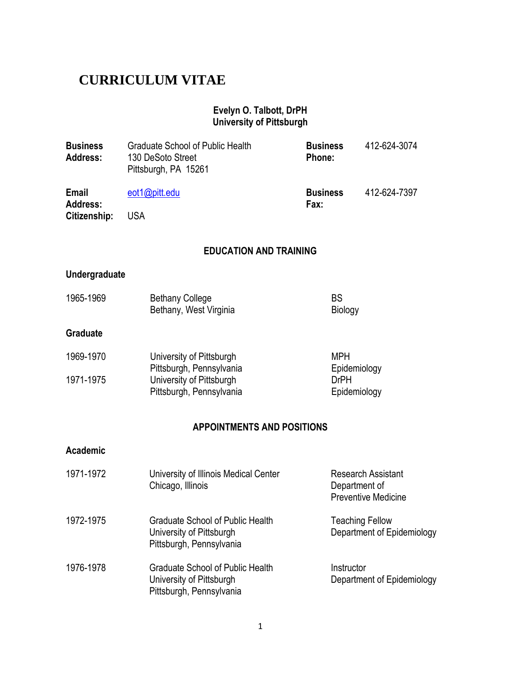# **CURRICULUM VITAE**

#### **Evelyn O. Talbott, DrPH University of Pittsburgh**

| <b>Business</b><br><b>Address:</b> | <b>Graduate School of Public Health</b><br>130 DeSoto Street<br>Pittsburgh, PA 15261            | <b>Business</b><br>Phone:   | 412-624-3074                                                             |
|------------------------------------|-------------------------------------------------------------------------------------------------|-----------------------------|--------------------------------------------------------------------------|
| Email                              | eot1@pitt.edu                                                                                   | <b>Business</b>             | 412-624-7397                                                             |
| Address:<br>Citizenship:           | <b>USA</b>                                                                                      | Fax:                        |                                                                          |
|                                    | <b>EDUCATION AND TRAINING</b>                                                                   |                             |                                                                          |
| <b>Undergraduate</b>               |                                                                                                 |                             |                                                                          |
| 1965-1969                          | <b>Bethany College</b><br>Bethany, West Virginia                                                | <b>BS</b><br><b>Biology</b> |                                                                          |
| <b>Graduate</b>                    |                                                                                                 |                             |                                                                          |
| 1969-1970                          | University of Pittsburgh                                                                        | <b>MPH</b>                  |                                                                          |
| 1971-1975                          | Pittsburgh, Pennsylvania<br>University of Pittsburgh<br>Pittsburgh, Pennsylvania                | <b>DrPH</b>                 | Epidemiology<br>Epidemiology                                             |
|                                    | <b>APPOINTMENTS AND POSITIONS</b>                                                               |                             |                                                                          |
| Academic                           |                                                                                                 |                             |                                                                          |
| 1971-1972                          | University of Illinois Medical Center<br>Chicago, Illinois                                      |                             | <b>Research Assistant</b><br>Department of<br><b>Preventive Medicine</b> |
| 1972-1975                          | <b>Graduate School of Public Health</b><br>University of Pittsburgh<br>Pittsburgh, Pennsylvania |                             | <b>Teaching Fellow</b><br>Department of Epidemiology                     |
| 1976-1978                          | <b>Graduate School of Public Health</b><br>University of Pittsburgh<br>Pittsburgh, Pennsylvania | Instructor                  | Department of Epidemiology                                               |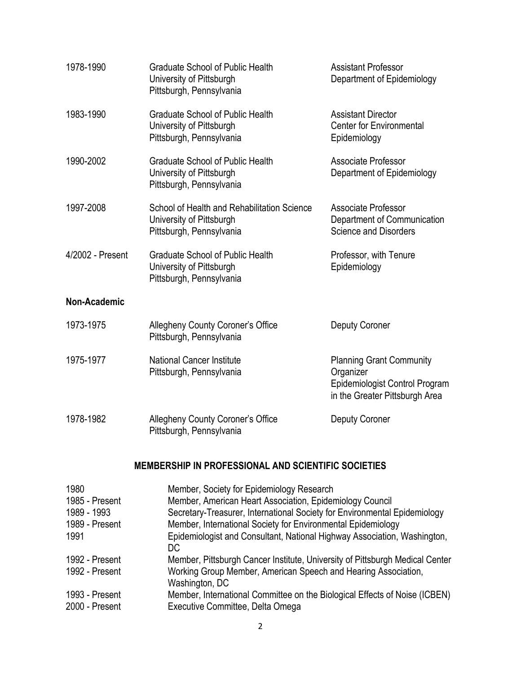| 1978-1990        | <b>Graduate School of Public Health</b><br>University of Pittsburgh<br>Pittsburgh, Pennsylvania     | <b>Assistant Professor</b><br>Department of Epidemiology                                                         |
|------------------|-----------------------------------------------------------------------------------------------------|------------------------------------------------------------------------------------------------------------------|
| 1983-1990        | <b>Graduate School of Public Health</b><br>University of Pittsburgh<br>Pittsburgh, Pennsylvania     | <b>Assistant Director</b><br><b>Center for Environmental</b><br>Epidemiology                                     |
| 1990-2002        | <b>Graduate School of Public Health</b><br>University of Pittsburgh<br>Pittsburgh, Pennsylvania     | <b>Associate Professor</b><br>Department of Epidemiology                                                         |
| 1997-2008        | School of Health and Rehabilitation Science<br>University of Pittsburgh<br>Pittsburgh, Pennsylvania | Associate Professor<br>Department of Communication<br><b>Science and Disorders</b>                               |
| 4/2002 - Present | <b>Graduate School of Public Health</b><br>University of Pittsburgh<br>Pittsburgh, Pennsylvania     | Professor, with Tenure<br>Epidemiology                                                                           |
| Non-Academic     |                                                                                                     |                                                                                                                  |
| 1973-1975        | Allegheny County Coroner's Office<br>Pittsburgh, Pennsylvania                                       | <b>Deputy Coroner</b>                                                                                            |
| 1975-1977        | <b>National Cancer Institute</b><br>Pittsburgh, Pennsylvania                                        | <b>Planning Grant Community</b><br>Organizer<br>Epidemiologist Control Program<br>in the Greater Pittsburgh Area |
| 1978-1982        | Allegheny County Coroner's Office<br>Pittsburgh, Pennsylvania                                       | Deputy Coroner                                                                                                   |

# **MEMBERSHIP IN PROFESSIONAL AND SCIENTIFIC SOCIETIES**

| 1980           | Member, Society for Epidemiology Research                                        |
|----------------|----------------------------------------------------------------------------------|
| 1985 - Present | Member, American Heart Association, Epidemiology Council                         |
| 1989 - 1993    | Secretary-Treasurer, International Society for Environmental Epidemiology        |
| 1989 - Present | Member, International Society for Environmental Epidemiology                     |
| 1991           | Epidemiologist and Consultant, National Highway Association, Washington,<br>DC   |
| 1992 - Present | Member, Pittsburgh Cancer Institute, University of Pittsburgh Medical Center     |
| 1992 - Present | Working Group Member, American Speech and Hearing Association,<br>Washington, DC |
| 1993 - Present | Member, International Committee on the Biological Effects of Noise (ICBEN)       |
| 2000 - Present | Executive Committee, Delta Omega                                                 |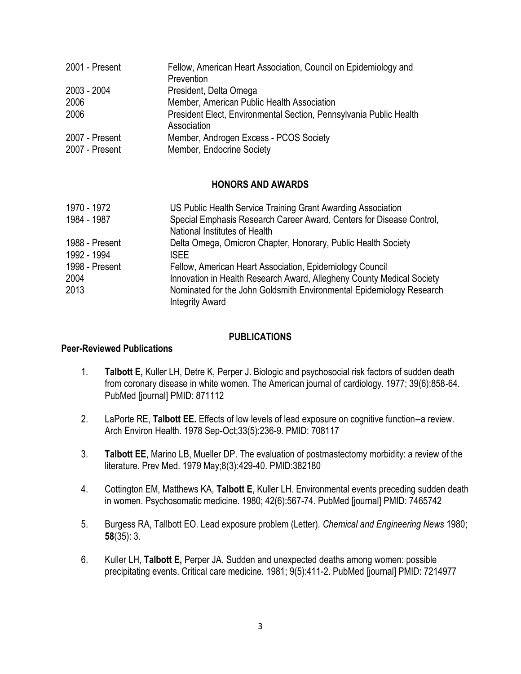| 2001 - Present | Fellow, American Heart Association, Council on Epidemiology and                   |
|----------------|-----------------------------------------------------------------------------------|
|                | Prevention                                                                        |
| 2003 - 2004    | President, Delta Omega                                                            |
| 2006           | Member, American Public Health Association                                        |
| 2006           | President Elect, Environmental Section, Pennsylvania Public Health<br>Association |
| 2007 - Present | Member, Androgen Excess - PCOS Society                                            |
| 2007 - Present | Member, Endocrine Society                                                         |

#### **HONORS AND AWARDS**

| 1970 - 1972                   | US Public Health Service Training Grant Awarding Association                                          |
|-------------------------------|-------------------------------------------------------------------------------------------------------|
| 1984 - 1987                   | Special Emphasis Research Career Award, Centers for Disease Control,<br>National Institutes of Health |
| 1988 - Present<br>1992 - 1994 | Delta Omega, Omicron Chapter, Honorary, Public Health Society<br>ISFF.                                |
| 1998 - Present                | Fellow, American Heart Association, Epidemiology Council                                              |
| 2004                          | Innovation in Health Research Award, Allegheny County Medical Society                                 |
| 2013                          | Nominated for the John Goldsmith Environmental Epidemiology Research<br><b>Integrity Award</b>        |

#### **PUBLICATIONS**

#### **Peer-Reviewed Publications**

- 1. **Talbott E,** Kuller LH, Detre K, Perper J. Biologic and psychosocial risk factors of sudden death from coronary disease in white women. The American journal of cardiology. 1977; 39(6):858-64. PubMed [journal] PMID: 871112
- 2. LaPorte RE, **Talbott EE.** Effects of low levels of lead exposure on cognitive function--a review. Arch Environ Health. 1978 Sep-Oct;33(5):236-9. PMID: 708117
- 3. **[Talbott EE](http://www.ncbi.nlm.nih.gov/pubmed/?term=Talbott%20EE%5BAuthor%5D&cauthor=true&cauthor_uid=382180)**, [Marino LB,](http://www.ncbi.nlm.nih.gov/pubmed/?term=Marino%20LB%5BAuthor%5D&cauthor=true&cauthor_uid=382180) [Mueller DP.](http://www.ncbi.nlm.nih.gov/pubmed/?term=Mueller%20DP%5BAuthor%5D&cauthor=true&cauthor_uid=382180) The evaluation of postmastectomy morbidity: a review of the literature. [Prev Med.](http://www.ncbi.nlm.nih.gov/pubmed?cmd=historysearch&querykey=9) 1979 May;8(3):429-40. PMID:382180
- 4. Cottington EM, Matthews KA, **Talbott E**, Kuller LH. Environmental events preceding sudden death in women. Psychosomatic medicine. 1980; 42(6):567-74. PubMed [journal] PMID: 7465742
- 5. Burgess RA, Tallbott EO. Lead exposure problem (Letter). *Chemical and Engineering News* 1980; **58**(35): 3.
- 6. Kuller LH, **Talbott E,** Perper JA. Sudden and unexpected deaths among women: possible precipitating events. Critical care medicine. 1981; 9(5):411-2. PubMed [journal] PMID: 7214977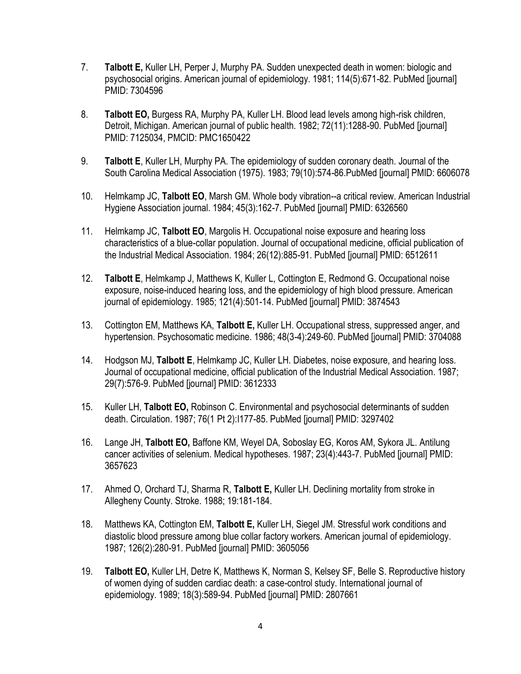- 7. **Talbott E,** Kuller LH, Perper J, Murphy PA. Sudden unexpected death in women: biologic and psychosocial origins. American journal of epidemiology. 1981; 114(5):671-82. PubMed [journal] PMID: 7304596
- 8. **Talbott EO,** Burgess RA, Murphy PA, Kuller LH. Blood lead levels among high-risk children, Detroit, Michigan. American journal of public health. 1982; 72(11):1288-90. PubMed [journal] PMID: 7125034, PMCID: PMC1650422
- 9. **Talbott E**, Kuller LH, Murphy PA. The epidemiology of sudden coronary death. Journal of the South Carolina Medical Association (1975). 1983; 79(10):574-86.PubMed [journal] PMID: 6606078
- 10. Helmkamp JC, **Talbott EO**, Marsh GM. Whole body vibration--a critical review. American Industrial Hygiene Association journal. 1984; 45(3):162-7. PubMed [journal] PMID: 6326560
- 11. Helmkamp JC, **Talbott EO**, Margolis H. Occupational noise exposure and hearing loss characteristics of a blue-collar population. Journal of occupational medicine, official publication of the Industrial Medical Association. 1984; 26(12):885-91. PubMed [journal] PMID: 6512611
- 12. **Talbott E**, Helmkamp J, Matthews K, Kuller L, Cottington E, [Redmond G.](http://www.ncbi.nlm.nih.gov/pubmed/?term=Redmond%20G%5BAuthor%5D&cauthor=true&cauthor_uid=3874543) Occupational noise exposure, noise-induced hearing loss, and the epidemiology of high blood pressure. American journal of epidemiology. 1985; 121(4):501-14. PubMed [journal] PMID: 3874543
- 13. Cottington EM, Matthews KA, **Talbott E,** Kuller LH. Occupational stress, suppressed anger, and hypertension. Psychosomatic medicine. 1986; 48(3-4):249-60. PubMed [journal] PMID: 3704088
- 14. Hodgson MJ, **Talbott E**, Helmkamp JC, Kuller LH. Diabetes, noise exposure, and hearing loss. Journal of occupational medicine, official publication of the Industrial Medical Association. 1987; 29(7):576-9. PubMed [journal] PMID: 3612333
- 15. Kuller LH, **Talbott EO,** Robinson C. Environmental and psychosocial determinants of sudden death. Circulation. 1987; 76(1 Pt 2):I177-85. PubMed [journal] PMID: 3297402
- 16. Lange JH, **Talbott EO,** Baffone KM, Weyel DA, Soboslay EG, [Koros AM,](http://www.ncbi.nlm.nih.gov/pubmed/?term=Koros%20AM%5BAuthor%5D&cauthor=true&cauthor_uid=3657623) [Sykora JL.](http://www.ncbi.nlm.nih.gov/pubmed/?term=Sykora%20JL%5BAuthor%5D&cauthor=true&cauthor_uid=3657623) Antilung cancer activities of selenium. Medical hypotheses. 1987; 23(4):443-7. PubMed [journal] PMID: 3657623
- 17. Ahmed O, Orchard TJ, Sharma R, **Talbott E,** Kuller LH. Declining mortality from stroke in Allegheny County. Stroke. 1988; 19:181-184.
- 18. Matthews KA, Cottington EM, **Talbott E,** Kuller LH, Siegel JM. Stressful work conditions and diastolic blood pressure among blue collar factory workers. American journal of epidemiology. 1987; 126(2):280-91. PubMed [journal] PMID: 3605056
- 19. **Talbott EO,** Kuller LH, Detre K, Matthews K, Norman S, [Kelsey SF,](http://www.ncbi.nlm.nih.gov/pubmed/?term=Kelsey%20SF%5BAuthor%5D&cauthor=true&cauthor_uid=2807661) [Belle S.](http://www.ncbi.nlm.nih.gov/pubmed/?term=Belle%20S%5BAuthor%5D&cauthor=true&cauthor_uid=2807661) Reproductive history of women dying of sudden cardiac death: a case-control study. International journal of epidemiology. 1989; 18(3):589-94. PubMed [journal] PMID: 2807661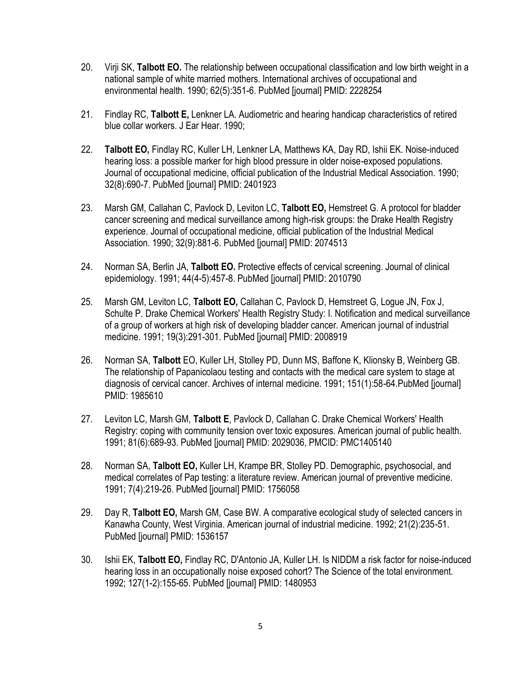- 20. Virji SK, **Talbott EO.** The relationship between occupational classification and low birth weight in a national sample of white married mothers. International archives of occupational and environmental health. 1990; 62(5):351-6. PubMed [journal] PMID: 2228254
- 21. Findlay RC, **Talbott E,** Lenkner LA. Audiometric and hearing handicap characteristics of retired blue collar workers. J Ear Hear. 1990;
- 22. **Talbott EO,** Findlay RC, Kuller LH, Lenkner LA, Matthews KA, [Day RD,](http://www.ncbi.nlm.nih.gov/pubmed/?term=Day%20RD%5BAuthor%5D&cauthor=true&cauthor_uid=2401923) [Ishii EK.](http://www.ncbi.nlm.nih.gov/pubmed/?term=Ishii%20EK%5BAuthor%5D&cauthor=true&cauthor_uid=2401923) Noise-induced hearing loss: a possible marker for high blood pressure in older noise-exposed populations. Journal of occupational medicine, official publication of the Industrial Medical Association. 1990; 32(8):690-7. PubMed [journal] PMID: 2401923
- 23. Marsh GM, Callahan C, Pavlock D, Leviton LC, **Talbott EO,** [Hemstreet G](http://www.ncbi.nlm.nih.gov/pubmed/?term=Hemstreet%20G%5BAuthor%5D&cauthor=true&cauthor_uid=2074513). A protocol for bladder cancer screening and medical surveillance among high-risk groups: the Drake Health Registry experience. Journal of occupational medicine, official publication of the Industrial Medical Association. 1990; 32(9):881-6. PubMed [journal] PMID: 2074513
- 24. Norman SA, Berlin JA, **Talbott EO.** Protective effects of cervical screening. Journal of clinical epidemiology. 1991; 44(4-5):457-8. PubMed [journal] PMID: 2010790
- 25. Marsh GM, Leviton LC, **Talbott EO,** Callahan C, Pavlock D, [Hemstreet G,](http://www.ncbi.nlm.nih.gov/pubmed/?term=Hemstreet%20G%5BAuthor%5D&cauthor=true&cauthor_uid=2008919) [Logue JN,](http://www.ncbi.nlm.nih.gov/pubmed/?term=Logue%20JN%5BAuthor%5D&cauthor=true&cauthor_uid=2008919) [Fox J,](http://www.ncbi.nlm.nih.gov/pubmed/?term=Fox%20J%5BAuthor%5D&cauthor=true&cauthor_uid=2008919) [Schulte P.](http://www.ncbi.nlm.nih.gov/pubmed/?term=Schulte%20P%5BAuthor%5D&cauthor=true&cauthor_uid=2008919) Drake Chemical Workers' Health Registry Study: I. Notification and medical surveillance of a group of workers at high risk of developing bladder cancer. American journal of industrial medicine. 1991; 19(3):291-301. PubMed [journal] PMID: 2008919
- 26. Norman SA, **Talbott** EO, Kuller LH, Stolley PD, Dunn MS, [Baffone K,](http://www.ncbi.nlm.nih.gov/pubmed/?term=Baffone%20K%5BAuthor%5D&cauthor=true&cauthor_uid=1985610) [Klionsky B,](http://www.ncbi.nlm.nih.gov/pubmed/?term=Klionsky%20B%5BAuthor%5D&cauthor=true&cauthor_uid=1985610) [Weinberg GB.](http://www.ncbi.nlm.nih.gov/pubmed/?term=Weinberg%20GB%5BAuthor%5D&cauthor=true&cauthor_uid=1985610) The relationship of Papanicolaou testing and contacts with the medical care system to stage at diagnosis of cervical cancer. Archives of internal medicine. 1991; 151(1):58-64.PubMed [journal] PMID: 1985610
- 27. Leviton LC, Marsh GM, **Talbott E**, Pavlock D, Callahan C. Drake Chemical Workers' Health Registry: coping with community tension over toxic exposures. American journal of public health. 1991; 81(6):689-93. PubMed [journal] PMID: 2029036, PMCID: PMC1405140
- 28. Norman SA, **Talbott EO,** Kuller LH, Krampe BR, Stolley PD. Demographic, psychosocial, and medical correlates of Pap testing: a literature review. American journal of preventive medicine. 1991; 7(4):219-26. PubMed [journal] PMID: 1756058
- 29. Day R, **Talbott EO,** Marsh GM, Case BW. A comparative ecological study of selected cancers in Kanawha County, West Virginia. American journal of industrial medicine. 1992; 21(2):235-51. PubMed [journal] PMID: 1536157
- 30. Ishii EK, **Talbott EO,** Findlay RC, D'Antonio JA, Kuller LH. Is NIDDM a risk factor for noise-induced hearing loss in an occupationally noise exposed cohort? The Science of the total environment. 1992; 127(1-2):155-65. PubMed [journal] PMID: 1480953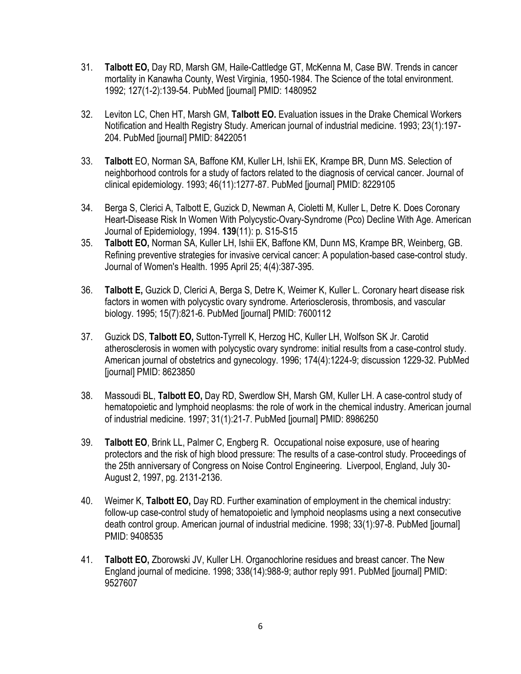- 31. **Talbott EO,** Day RD, Marsh GM, Haile-Cattledge GT, McKenna M, [Case BW](http://www.ncbi.nlm.nih.gov/pubmed/?term=Case%20BW%5BAuthor%5D&cauthor=true&cauthor_uid=1480952). Trends in cancer mortality in Kanawha County, West Virginia, 1950-1984. The Science of the total environment. 1992; 127(1-2):139-54. PubMed [journal] PMID: 1480952
- 32. Leviton LC, Chen HT, Marsh GM, **Talbott EO.** Evaluation issues in the Drake Chemical Workers Notification and Health Registry Study. American journal of industrial medicine. 1993; 23(1):197- 204. PubMed [journal] PMID: 8422051
- 33. **Talbott** EO, Norman SA, Baffone KM, Kuller LH, Ishii EK, [Krampe BR,](http://www.ncbi.nlm.nih.gov/pubmed/?term=Krampe%20BR%5BAuthor%5D&cauthor=true&cauthor_uid=8229105) [Dunn MS.](http://www.ncbi.nlm.nih.gov/pubmed/?term=Dunn%20MS%5BAuthor%5D&cauthor=true&cauthor_uid=8229105) Selection of neighborhood controls for a study of factors related to the diagnosis of cervical cancer. Journal of clinical epidemiology. 1993; 46(11):1277-87. PubMed [journal] PMID: 8229105
- 34. Berga S, Clerici A, Talbott E, Guzick D, Newman A, Cioletti M, Kuller L, Detre K. Does Coronary Heart-Disease Risk In Women With Polycystic-Ovary-Syndrome (Pco) Decline With Age. American Journal of Epidemiology, 1994. **139**(11): p. S15-S15
- 35. **Talbott EO,** Norman SA, Kuller LH, Ishii EK, Baffone KM, Dunn MS, Krampe BR, Weinberg, GB. Refining preventive strategies for invasive cervical cancer: A population-based case-control study. Journal of Women's Health. 1995 April 25; 4(4):387-395.
- 36. **Talbott E,** Guzick D, Clerici A, Berga S, Detre K, [Weimer K,](http://www.ncbi.nlm.nih.gov/pubmed/?term=Weimer%20K%5BAuthor%5D&cauthor=true&cauthor_uid=7600112) [Kuller L.](http://www.ncbi.nlm.nih.gov/pubmed/?term=Kuller%20L%5BAuthor%5D&cauthor=true&cauthor_uid=7600112) Coronary heart disease risk factors in women with polycystic ovary syndrome. Arteriosclerosis, thrombosis, and vascular biology. 1995; 15(7):821-6. PubMed [journal] PMID: 7600112
- 37. Guzick DS, **Talbott EO,** Sutton-Tyrrell K, Herzog HC, Kuller LH, [Wolfson SK Jr](http://www.ncbi.nlm.nih.gov/pubmed/?term=Wolfson%20SK%20Jr%5BAuthor%5D&cauthor=true&cauthor_uid=8623850). Carotid atherosclerosis in women with polycystic ovary syndrome: initial results from a case-control study. American journal of obstetrics and gynecology. 1996; 174(4):1224-9; discussion 1229-32. PubMed [journal] PMID: 8623850
- 38. Massoudi BL, **Talbott EO,** Day RD, Swerdlow SH, Marsh GM[, Kuller LH.](http://www.ncbi.nlm.nih.gov/pubmed/?term=Kuller%20LH%5BAuthor%5D&cauthor=true&cauthor_uid=8986250) A case-control study of hematopoietic and lymphoid neoplasms: the role of work in the chemical industry. American journal of industrial medicine. 1997; 31(1):21-7. PubMed [journal] PMID: 8986250
- 39. **Talbott EO**, Brink LL, Palmer C, Engberg R. Occupational noise exposure, use of hearing protectors and the risk of high blood pressure: The results of a case-control study. Proceedings of the 25th anniversary of Congress on Noise Control Engineering. Liverpool, England, July 30- August 2, 1997, pg. 2131-2136.
- 40. Weimer K, **Talbott EO,** Day RD. Further examination of employment in the chemical industry: follow-up case-control study of hematopoietic and lymphoid neoplasms using a next consecutive death control group. American journal of industrial medicine. 1998; 33(1):97-8. PubMed [journal] PMID: 9408535
- 41. **Talbott EO,** Zborowski JV, Kuller LH. Organochlorine residues and breast cancer. The New England journal of medicine. 1998; 338(14):988-9; author reply 991. PubMed [journal] PMID: 9527607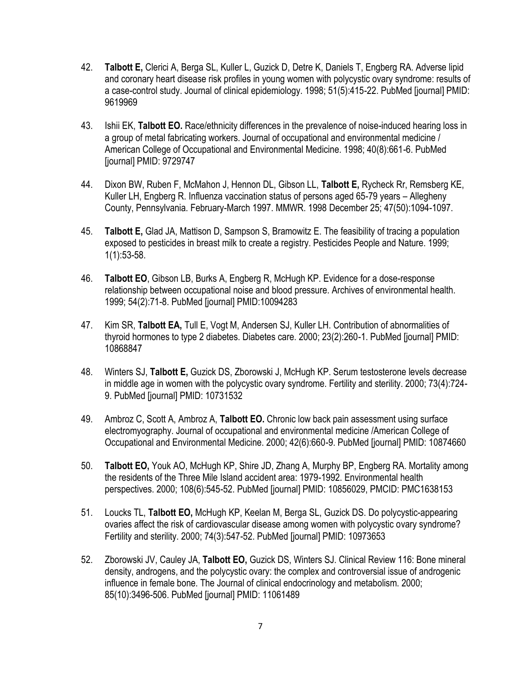- 42. **Talbott E,** Clerici A, Berga SL, Kuller L, Guzick D, [Detre K,](http://www.ncbi.nlm.nih.gov/pubmed/?term=Detre%20K%5BAuthor%5D&cauthor=true&cauthor_uid=9619969) [Daniels T,](http://www.ncbi.nlm.nih.gov/pubmed/?term=Daniels%20T%5BAuthor%5D&cauthor=true&cauthor_uid=9619969) [Engberg RA.](http://www.ncbi.nlm.nih.gov/pubmed/?term=Engberg%20RA%5BAuthor%5D&cauthor=true&cauthor_uid=9619969) Adverse lipid and coronary heart disease risk profiles in young women with polycystic ovary syndrome: results of a case-control study. Journal of clinical epidemiology. 1998; 51(5):415-22. PubMed [journal] PMID: 9619969
- 43. Ishii EK, **Talbott EO.** Race/ethnicity differences in the prevalence of noise-induced hearing loss in a group of metal fabricating workers. Journal of occupational and environmental medicine / American College of Occupational and Environmental Medicine. 1998; 40(8):661-6. PubMed [journal] PMID: 9729747
- 44. Dixon BW, Ruben F, McMahon J, Hennon DL, Gibson LL, **Talbott E,** Rycheck Rr, Remsberg KE, Kuller LH, Engberg R. Influenza vaccination status of persons aged 65-79 years – Allegheny County, Pennsylvania. February-March 1997. MMWR. 1998 December 25; 47(50):1094-1097.
- 45. **Talbott E,** Glad JA, Mattison D, Sampson S, Bramowitz E. The feasibility of tracing a population exposed to pesticides in breast milk to create a registry. Pesticides People and Nature. 1999; 1(1):53-58.
- 46. **Talbott EO**, Gibson LB, Burks A, Engberg R, McHugh KP. Evidence for a dose-response relationship between occupational noise and blood pressure. Archives of environmental health. 1999; 54(2):71-8. PubMed [journal] PMID:10094283
- 47. Kim SR, **Talbott EA,** Tull E, Vogt M, Andersen SJ, [Kuller LH.](http://www.ncbi.nlm.nih.gov/pubmed/?term=Kuller%20LH%5BAuthor%5D&cauthor=true&cauthor_uid=10868847) Contribution of abnormalities of thyroid hormones to type 2 diabetes. Diabetes care. 2000; 23(2):260-1. PubMed [journal] PMID: 10868847
- 48. Winters SJ, **Talbott E,** Guzick DS, Zborowski J, McHugh KP. Serum testosterone levels decrease in middle age in women with the polycystic ovary syndrome. Fertility and sterility. 2000; 73(4):724- 9. PubMed [journal] PMID: 10731532
- 49. Ambroz C, Scott A, Ambroz A, **Talbott EO.** Chronic low back pain assessment using surface electromyography. Journal of occupational and environmental medicine /American College of Occupational and Environmental Medicine. 2000; 42(6):660-9. PubMed [journal] PMID: 10874660
- 50. **Talbott EO,** Youk AO, McHugh KP, Shire JD, Zhang A, [Murphy BP,](http://www.ncbi.nlm.nih.gov/pubmed/?term=Murphy%20BP%5BAuthor%5D&cauthor=true&cauthor_uid=10856029) [Engberg RA.](http://www.ncbi.nlm.nih.gov/pubmed/?term=Engberg%20RA%5BAuthor%5D&cauthor=true&cauthor_uid=10856029) Mortality among the residents of the Three Mile Island accident area: 1979-1992. Environmental health perspectives. 2000; 108(6):545-52. PubMed [journal] PMID: 10856029, PMCID: PMC1638153
- 51. Loucks TL, **Talbott EO,** McHugh KP, Keelan M, Berga SL, [Guzick DS.](http://www.ncbi.nlm.nih.gov/pubmed/?term=Guzick%20DS%5BAuthor%5D&cauthor=true&cauthor_uid=10973653) Do polycystic-appearing ovaries affect the risk of cardiovascular disease among women with polycystic ovary syndrome? Fertility and sterility. 2000; 74(3):547-52. PubMed [journal] PMID: 10973653
- 52. Zborowski JV, Cauley JA, **Talbott EO,** Guzick DS, Winters SJ. Clinical Review 116: Bone mineral density, androgens, and the polycystic ovary: the complex and controversial issue of androgenic influence in female bone. The Journal of clinical endocrinology and metabolism. 2000; 85(10):3496-506. PubMed [journal] PMID: 11061489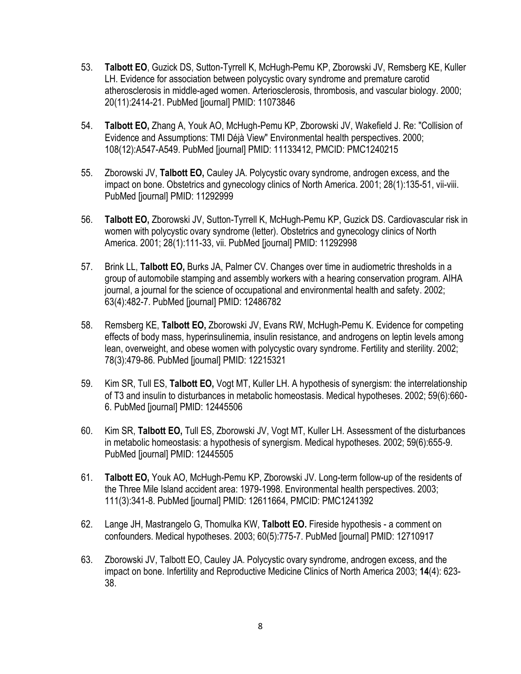- 53. **Talbott EO**, Guzick DS, Sutton-Tyrrell K, McHugh-Pemu KP, Zborowski JV, [Remsberg KE,](http://www.ncbi.nlm.nih.gov/pubmed/?term=Remsberg%20KE%5BAuthor%5D&cauthor=true&cauthor_uid=11073846) [Kuller](http://www.ncbi.nlm.nih.gov/pubmed/?term=Kuller%20LH%5BAuthor%5D&cauthor=true&cauthor_uid=11073846)  [LH.](http://www.ncbi.nlm.nih.gov/pubmed/?term=Kuller%20LH%5BAuthor%5D&cauthor=true&cauthor_uid=11073846) Evidence for association between polycystic ovary syndrome and premature carotid atherosclerosis in middle-aged women. Arteriosclerosis, thrombosis, and vascular biology. 2000; 20(11):2414-21. PubMed [journal] PMID: 11073846
- 54. **Talbott EO,** Zhang A, Youk AO, McHugh-Pemu KP, Zborowski JV, [Wakefield J.](http://www.ncbi.nlm.nih.gov/pubmed/?term=Wakefield%20J%5BAuthor%5D&cauthor=true&cauthor_uid=11133412) Re: "Collision of Evidence and Assumptions: TMI Déjà View" Environmental health perspectives. 2000; 108(12):A547-A549. PubMed [journal] PMID: 11133412, PMCID: PMC1240215
- 55. Zborowski JV, **Talbott EO,** Cauley JA. Polycystic ovary syndrome, androgen excess, and the impact on bone. Obstetrics and gynecology clinics of North America. 2001; 28(1):135-51, vii-viii. PubMed [journal] PMID: 11292999
- 56. **Talbott EO,** Zborowski JV, Sutton-Tyrrell K, McHugh-Pemu KP, Guzick DS. Cardiovascular risk in women with polycystic ovary syndrome (letter). Obstetrics and gynecology clinics of North America. 2001; 28(1):111-33, vii. PubMed [journal] PMID: 11292998
- 57. Brink LL, **Talbott EO,** Burks JA, Palmer CV. Changes over time in audiometric thresholds in a group of automobile stamping and assembly workers with a hearing conservation program. AIHA journal, a journal for the science of occupational and environmental health and safety. 2002; 63(4):482-7. PubMed [journal] PMID: 12486782
- 58. Remsberg KE, **Talbott EO,** Zborowski JV, Evans RW, McHugh-Pemu K. Evidence for competing effects of body mass, hyperinsulinemia, insulin resistance, and androgens on leptin levels among lean, overweight, and obese women with polycystic ovary syndrome. Fertility and sterility. 2002; 78(3):479-86. PubMed [journal] PMID: 12215321
- 59. Kim SR, Tull ES, **Talbott EO,** Vogt MT, Kuller LH. A hypothesis of synergism: the interrelationship of T3 and insulin to disturbances in metabolic homeostasis. Medical hypotheses. 2002; 59(6):660- 6. PubMed [journal] PMID: 12445506
- 60. Kim SR, **Talbott EO,** Tull ES, Zborowski JV, Vogt MT, [Kuller LH.](http://www.ncbi.nlm.nih.gov/pubmed/?term=Kuller%20LH%5BAuthor%5D&cauthor=true&cauthor_uid=12445505) Assessment of the disturbances in metabolic homeostasis: a hypothesis of synergism. Medical hypotheses. 2002; 59(6):655-9. PubMed [journal] PMID: 12445505
- 61. **Talbott EO,** Youk AO, McHugh-Pemu KP, Zborowski JV. Long-term follow-up of the residents of the Three Mile Island accident area: 1979-1998. Environmental health perspectives. 2003; 111(3):341-8. PubMed [journal] PMID: 12611664, PMCID: PMC1241392
- 62. Lange JH, Mastrangelo G, Thomulka KW, **Talbott EO.** Fireside hypothesis a comment on confounders. Medical hypotheses. 2003; 60(5):775-7. PubMed [journal] PMID: 12710917
- 63. Zborowski JV, Talbott EO, Cauley JA. Polycystic ovary syndrome, androgen excess, and the impact on bone. Infertility and Reproductive Medicine Clinics of North America 2003; **14**(4): 623- 38.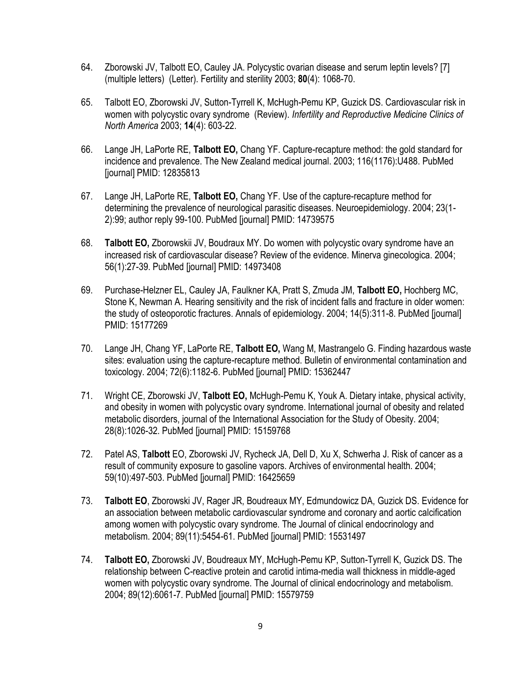- 64. Zborowski JV, Talbott EO, Cauley JA. Polycystic ovarian disease and serum leptin levels? [7] (multiple letters) (Letter). Fertility and sterility 2003; **80**(4): 1068-70.
- 65. Talbott EO, Zborowski JV, Sutton-Tyrrell K, McHugh-Pemu KP, Guzick DS. Cardiovascular risk in women with polycystic ovary syndrome (Review). *Infertility and Reproductive Medicine Clinics of North America* 2003; **14**(4): 603-22.
- 66. Lange JH, LaPorte RE, **Talbott EO,** Chang YF. Capture-recapture method: the gold standard for incidence and prevalence. The New Zealand medical journal. 2003; 116(1176):U488. PubMed [journal] PMID: 12835813
- 67. Lange JH, LaPorte RE, **Talbott EO,** Chang YF. Use of the capture-recapture method for determining the prevalence of neurological parasitic diseases. Neuroepidemiology. 2004; 23(1- 2):99; author reply 99-100. PubMed [journal] PMID: 14739575
- 68. **Talbott EO,** Zborowskii JV, Boudraux MY. Do women with polycystic ovary syndrome have an increased risk of cardiovascular disease? Review of the evidence. Minerva ginecologica. 2004; 56(1):27-39. PubMed [journal] PMID: 14973408
- 69. Purchase-Helzner EL, Cauley JA, Faulkner KA, Pratt S, Zmuda JM, **[Talbott EO,](http://www.ncbi.nlm.nih.gov/pubmed/?term=Talbott%20EO%5BAuthor%5D&cauthor=true&cauthor_uid=15177269)** [Hochberg MC,](http://www.ncbi.nlm.nih.gov/pubmed/?term=Hochberg%20MC%5BAuthor%5D&cauthor=true&cauthor_uid=15177269) [Stone K,](http://www.ncbi.nlm.nih.gov/pubmed/?term=Stone%20K%5BAuthor%5D&cauthor=true&cauthor_uid=15177269) [Newman A.](http://www.ncbi.nlm.nih.gov/pubmed/?term=Newman%20A%5BAuthor%5D&cauthor=true&cauthor_uid=15177269) Hearing sensitivity and the risk of incident falls and fracture in older women: the study of osteoporotic fractures. Annals of epidemiology. 2004; 14(5):311-8. PubMed [journal] PMID: 15177269
- 70. Lange JH, Chang YF, LaPorte RE, **Talbott EO,** Wang M, [Mastrangelo G.](http://www.ncbi.nlm.nih.gov/pubmed/?term=Mastrangelo%20G%5BAuthor%5D&cauthor=true&cauthor_uid=15362447) Finding hazardous waste sites: evaluation using the capture-recapture method. Bulletin of environmental contamination and toxicology. 2004; 72(6):1182-6. PubMed [journal] PMID: 15362447
- 71. Wright CE, Zborowski JV, **Talbott EO,** McHugh-Pemu K, Youk A. Dietary intake, physical activity, and obesity in women with polycystic ovary syndrome. International journal of obesity and related metabolic disorders, journal of the International Association for the Study of Obesity. 2004; 28(8):1026-32. PubMed [journal] PMID: 15159768
- 72. Patel AS, **Talbott** EO, Zborowski JV, Rycheck JA, Dell D, [Xu X,](http://www.ncbi.nlm.nih.gov/pubmed/?term=Xu%20X%5BAuthor%5D&cauthor=true&cauthor_uid=16425659) [Schwerha J.](http://www.ncbi.nlm.nih.gov/pubmed/?term=Schwerha%20J%5BAuthor%5D&cauthor=true&cauthor_uid=16425659) Risk of cancer as a result of community exposure to gasoline vapors. Archives of environmental health. 2004; 59(10):497-503. PubMed [journal] PMID: 16425659
- 73. **Talbott EO**, Zborowski JV, Rager JR, Boudreaux MY, Edmundowicz DA, [Guzick DS.](http://www.ncbi.nlm.nih.gov/pubmed/?term=Guzick%20DS%5BAuthor%5D&cauthor=true&cauthor_uid=15531497) Evidence for an association between metabolic cardiovascular syndrome and coronary and aortic calcification among women with polycystic ovary syndrome. The Journal of clinical endocrinology and metabolism. 2004; 89(11):5454-61. PubMed [journal] PMID: 15531497
- 74. **Talbott EO,** Zborowski JV, Boudreaux MY, McHugh-Pemu KP, Sutton-Tyrrell K, [Guzick DS.](http://www.ncbi.nlm.nih.gov/pubmed/?term=Guzick%20DS%5BAuthor%5D&cauthor=true&cauthor_uid=15531497) The relationship between C-reactive protein and carotid intima-media wall thickness in middle-aged women with polycystic ovary syndrome. The Journal of clinical endocrinology and metabolism. 2004; 89(12):6061-7. PubMed [journal] PMID: 15579759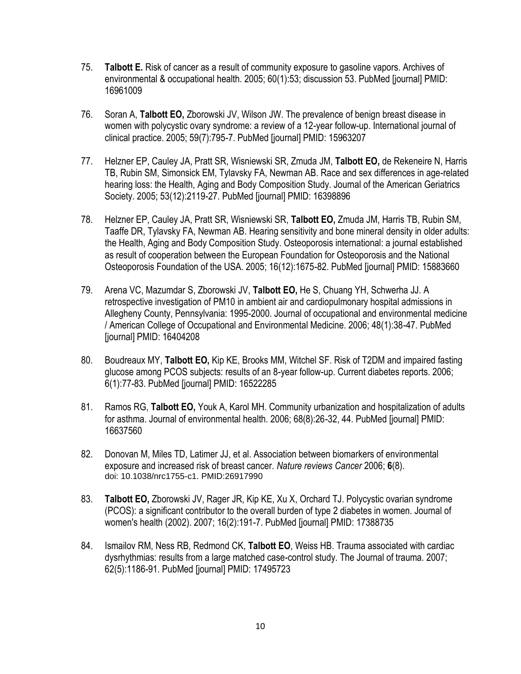- 75. **Talbott E.** Risk of cancer as a result of community exposure to gasoline vapors. Archives of environmental & occupational health. 2005; 60(1):53; discussion 53. PubMed [journal] PMID: 16961009
- 76. Soran A, **Talbott EO,** Zborowski JV, Wilson JW. The prevalence of benign breast disease in women with polycystic ovary syndrome: a review of a 12-year follow-up. International journal of clinical practice. 2005; 59(7):795-7. PubMed [journal] PMID: 15963207
- 77. Helzner EP, Cauley JA, Pratt SR, Wisniewski SR, Zmuda JM, **[Talbott EO,](http://www.ncbi.nlm.nih.gov/pubmed/?term=Talbott%20EO%5BAuthor%5D&cauthor=true&cauthor_uid=16398896)** [de Rekeneire N,](http://www.ncbi.nlm.nih.gov/pubmed/?term=de%20Rekeneire%20N%5BAuthor%5D&cauthor=true&cauthor_uid=16398896) [Harris](http://www.ncbi.nlm.nih.gov/pubmed/?term=Harris%20TB%5BAuthor%5D&cauthor=true&cauthor_uid=16398896)  [TB,](http://www.ncbi.nlm.nih.gov/pubmed/?term=Harris%20TB%5BAuthor%5D&cauthor=true&cauthor_uid=16398896) [Rubin SM,](http://www.ncbi.nlm.nih.gov/pubmed/?term=Rubin%20SM%5BAuthor%5D&cauthor=true&cauthor_uid=16398896) [Simonsick EM,](http://www.ncbi.nlm.nih.gov/pubmed/?term=Simonsick%20EM%5BAuthor%5D&cauthor=true&cauthor_uid=16398896) [Tylavsky FA,](http://www.ncbi.nlm.nih.gov/pubmed/?term=Tylavsky%20FA%5BAuthor%5D&cauthor=true&cauthor_uid=16398896) [Newman AB.](http://www.ncbi.nlm.nih.gov/pubmed/?term=Newman%20AB%5BAuthor%5D&cauthor=true&cauthor_uid=16398896) Race and sex differences in age-related hearing loss: the Health, Aging and Body Composition Study. Journal of the American Geriatrics Society. 2005; 53(12):2119-27. PubMed [journal] PMID: 16398896
- 78. Helzner EP, Cauley JA, Pratt SR, Wisniewski SR, **Talbott EO,** [Zmuda JM,](http://www.ncbi.nlm.nih.gov/pubmed/?term=Zmuda%20JM%5BAuthor%5D&cauthor=true&cauthor_uid=15883660) [Harris](http://www.ncbi.nlm.nih.gov/pubmed/?term=Harris%20TB%5BAuthor%5D&cauthor=true&cauthor_uid=15883660) TB, [Rubin SM,](http://www.ncbi.nlm.nih.gov/pubmed/?term=Rubin%20SM%5BAuthor%5D&cauthor=true&cauthor_uid=15883660) [Taaffe DR,](http://www.ncbi.nlm.nih.gov/pubmed/?term=Taaffe%20DR%5BAuthor%5D&cauthor=true&cauthor_uid=15883660) [Tylavsky FA,](http://www.ncbi.nlm.nih.gov/pubmed/?term=Tylavsky%20FA%5BAuthor%5D&cauthor=true&cauthor_uid=15883660) [Newman AB.](http://www.ncbi.nlm.nih.gov/pubmed/?term=Newman%20AB%5BAuthor%5D&cauthor=true&cauthor_uid=15883660) Hearing sensitivity and bone mineral density in older adults: the Health, Aging and Body Composition Study. Osteoporosis international: a journal established as result of cooperation between the European Foundation for Osteoporosis and the National Osteoporosis Foundation of the USA. 2005; 16(12):1675-82. PubMed [journal] PMID: 15883660
- 79. Arena VC, Mazumdar S, Zborowski JV, **Talbott EO,** He S, [Chuang YH,](http://www.ncbi.nlm.nih.gov/pubmed/?term=Chuang%20YH%5BAuthor%5D&cauthor=true&cauthor_uid=16404208) [Schwerha JJ.](http://www.ncbi.nlm.nih.gov/pubmed/?term=Schwerha%20JJ%5BAuthor%5D&cauthor=true&cauthor_uid=16404208) A retrospective investigation of PM10 in ambient air and cardiopulmonary hospital admissions in Allegheny County, Pennsylvania: 1995-2000. Journal of occupational and environmental medicine / American College of Occupational and Environmental Medicine. 2006; 48(1):38-47. PubMed [journal] PMID: 16404208
- 80. Boudreaux MY, **Talbott EO,** Kip KE, Brooks MM, Witchel SF. Risk of T2DM and impaired fasting glucose among PCOS subjects: results of an 8-year follow-up. Current diabetes reports. 2006; 6(1):77-83. PubMed [journal] PMID: 16522285
- 81. Ramos RG, **Talbott EO,** Youk A, Karol MH. Community urbanization and hospitalization of adults for asthma. Journal of environmental health. 2006; 68(8):26-32, 44. PubMed [journal] PMID: 16637560
- 82. Donovan M, Miles TD, Latimer JJ, et al. Association between biomarkers of environmental exposure and increased risk of breast cancer. *Nature reviews Cancer* 2006; **6**(8). doi: 10.1038/nrc1755-c1. PMID:26917990
- 83. **Talbott EO,** Zborowski JV, Rager JR, Kip KE, Xu X, [Orchard TJ.](http://www.ncbi.nlm.nih.gov/pubmed/?term=Orchard%20TJ%5BAuthor%5D&cauthor=true&cauthor_uid=17388735) Polycystic ovarian syndrome (PCOS): a significant contributor to the overall burden of type 2 diabetes in women. Journal of women's health (2002). 2007; 16(2):191-7. PubMed [journal] PMID: 17388735
- 84. Ismailov RM, Ness RB, Redmond CK, **Talbott EO**, Weiss HB. Trauma associated with cardiac dysrhythmias: results from a large matched case-control study. The Journal of trauma. 2007; 62(5):1186-91. PubMed [journal] PMID: 17495723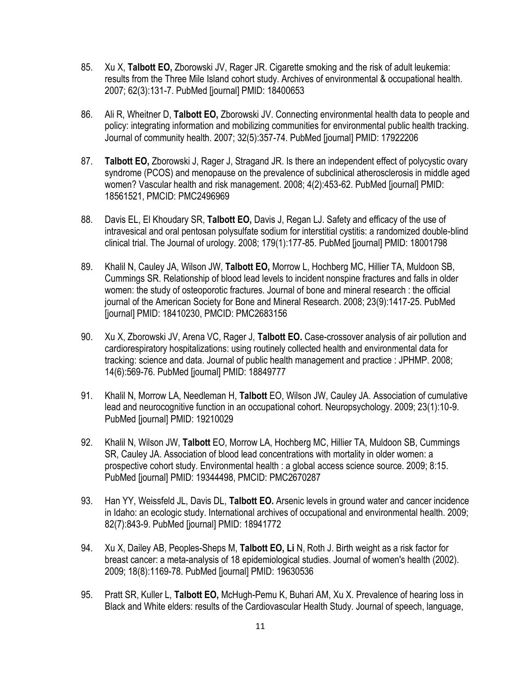- 85. Xu X, **Talbott EO,** Zborowski JV, Rager JR. Cigarette smoking and the risk of adult leukemia: results from the Three Mile Island cohort study. Archives of environmental & occupational health. 2007; 62(3):131-7. PubMed [journal] PMID: 18400653
- 86. Ali R, Wheitner D, **Talbott EO,** Zborowski JV. Connecting environmental health data to people and policy: integrating information and mobilizing communities for environmental public health tracking. Journal of community health. 2007; 32(5):357-74. PubMed [journal] PMID: 17922206
- 87. **Talbott EO,** Zborowski J, Rager J, Stragand JR. Is there an independent effect of polycystic ovary syndrome (PCOS) and menopause on the prevalence of subclinical atherosclerosis in middle aged women? Vascular health and risk management. 2008; 4(2):453-62. PubMed [journal] PMID: 18561521, PMCID: PMC2496969
- 88. Davis EL, El Khoudary SR, **Talbott EO,** Davis J, Regan LJ. Safety and efficacy of the use of intravesical and oral pentosan polysulfate sodium for interstitial cystitis: a randomized double-blind clinical trial. The Journal of urology. 2008; 179(1):177-85. PubMed [journal] PMID: 18001798
- 89. Khalil N, Cauley JA, Wilson JW, **Talbott EO,** Morrow L, [Hochberg MC,](http://www.ncbi.nlm.nih.gov/pubmed/?term=Hochberg%20MC%5BAuthor%5D&cauthor=true&cauthor_uid=18410230) [Hillier TA,](http://www.ncbi.nlm.nih.gov/pubmed/?term=Hillier%20TA%5BAuthor%5D&cauthor=true&cauthor_uid=18410230) [Muldoon SB,](http://www.ncbi.nlm.nih.gov/pubmed/?term=Muldoon%20SB%5BAuthor%5D&cauthor=true&cauthor_uid=18410230) [Cummings SR.](http://www.ncbi.nlm.nih.gov/pubmed/?term=Cummings%20SR%5BAuthor%5D&cauthor=true&cauthor_uid=18410230) Relationship of blood lead levels to incident nonspine fractures and falls in older women: the study of osteoporotic fractures. Journal of bone and mineral research : the official journal of the American Society for Bone and Mineral Research. 2008; 23(9):1417-25. PubMed [journal] PMID: 18410230, PMCID: PMC2683156
- 90. Xu X, Zborowski JV, Arena VC, Rager J, **Talbott EO.** Case-crossover analysis of air pollution and cardiorespiratory hospitalizations: using routinely collected health and environmental data for tracking: science and data. Journal of public health management and practice : JPHMP. 2008; 14(6):569-76. PubMed [journal] PMID: 18849777
- 91. Khalil N, Morrow LA, Needleman H, **Talbott** EO, Wilson JW, [Cauley JA](http://www.ncbi.nlm.nih.gov/pubmed/?term=Cauley%20JA%5BAuthor%5D&cauthor=true&cauthor_uid=19210029). Association of cumulative lead and neurocognitive function in an occupational cohort. Neuropsychology. 2009; 23(1):10-9. PubMed [journal] PMID: 19210029
- 92. Khalil N, Wilson JW, **Talbott** EO, Morrow LA, Hochberg MC, [Hillier TA,](http://www.ncbi.nlm.nih.gov/pubmed/?term=Hillier%20TA%5BAuthor%5D&cauthor=true&cauthor_uid=19344498) [Muldoon SB,](http://www.ncbi.nlm.nih.gov/pubmed/?term=Muldoon%20SB%5BAuthor%5D&cauthor=true&cauthor_uid=19344498) [Cummings](http://www.ncbi.nlm.nih.gov/pubmed/?term=Cummings%20SR%5BAuthor%5D&cauthor=true&cauthor_uid=19344498)  [SR,](http://www.ncbi.nlm.nih.gov/pubmed/?term=Cummings%20SR%5BAuthor%5D&cauthor=true&cauthor_uid=19344498) [Cauley JA.](http://www.ncbi.nlm.nih.gov/pubmed/?term=Cauley%20JA%5BAuthor%5D&cauthor=true&cauthor_uid=19344498) Association of blood lead concentrations with mortality in older women: a prospective cohort study. Environmental health : a global access science source. 2009; 8:15. PubMed [journal] PMID: 19344498, PMCID: PMC2670287
- 93. Han YY, Weissfeld JL, Davis DL, **Talbott EO.** Arsenic levels in ground water and cancer incidence in Idaho: an ecologic study. International archives of occupational and environmental health. 2009; 82(7):843-9. PubMed [journal] PMID: 18941772
- 94. Xu X, Dailey AB, Peoples-Sheps M, **Talbott EO, Li** N, [Roth J.](http://www.ncbi.nlm.nih.gov/pubmed/?term=Roth%20J%5BAuthor%5D&cauthor=true&cauthor_uid=19630536) Birth weight as a risk factor for breast cancer: a meta-analysis of 18 epidemiological studies. Journal of women's health (2002). 2009; 18(8):1169-78. PubMed [journal] PMID: 19630536
- 95. Pratt SR, Kuller L, **Talbott EO,** McHugh-Pemu K, Buhari AM, [Xu X.](http://www.ncbi.nlm.nih.gov/pubmed/?term=Xu%20X%5BAuthor%5D&cauthor=true&cauthor_uid=19380605) Prevalence of hearing loss in Black and White elders: results of the Cardiovascular Health Study. Journal of speech, language,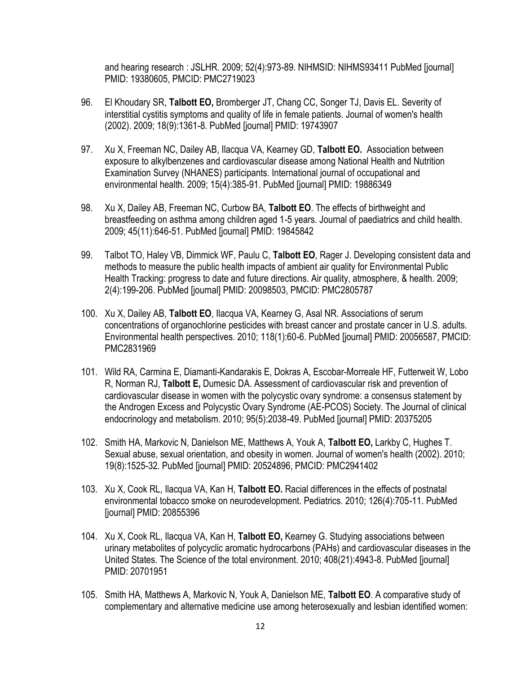and hearing research : JSLHR. 2009; 52(4):973-89. NIHMSID: NIHMS93411 PubMed [journal] PMID: 19380605, PMCID: PMC2719023

- 96. El Khoudary SR, **Talbott EO,** Bromberger JT, Chang CC, Songer TJ, [Davis EL.](http://www.ncbi.nlm.nih.gov/pubmed/?term=Davis%20EL%5BAuthor%5D&cauthor=true&cauthor_uid=19743907) Severity of interstitial cystitis symptoms and quality of life in female patients. Journal of women's health (2002). 2009; 18(9):1361-8. PubMed [journal] PMID: 19743907
- 97. Xu X, Freeman NC, Dailey AB, Ilacqua VA, Kearney GD, **Talbott EO.** Association between exposure to alkylbenzenes and cardiovascular disease among National Health and Nutrition Examination Survey (NHANES) participants. International journal of occupational and environmental health. 2009; 15(4):385-91. PubMed [journal] PMID: 19886349
- 98. Xu X, Dailey AB, Freeman NC, Curbow BA, **Talbott EO**. The effects of birthweight and breastfeeding on asthma among children aged 1-5 years. Journal of paediatrics and child health. 2009; 45(11):646-51. PubMed [journal] PMID: 19845842
- 99. Talbot TO, Haley VB, Dimmick WF, Paulu C, **Talbott EO**, [Rager J.](http://www.ncbi.nlm.nih.gov/pubmed/?term=Rager%20J%5BAuthor%5D&cauthor=true&cauthor_uid=20098503) Developing consistent data and methods to measure the public health impacts of ambient air quality for Environmental Public Health Tracking: progress to date and future directions. Air quality, atmosphere, & health. 2009; 2(4):199-206. PubMed [journal] PMID: 20098503, PMCID: PMC2805787
- 100. Xu X, Dailey AB, **Talbott EO**, Ilacqua VA, Kearney G, [Asal NR.](http://www.ncbi.nlm.nih.gov/pubmed/?term=Asal%20NR%5BAuthor%5D&cauthor=true&cauthor_uid=20056587) Associations of serum concentrations of organochlorine pesticides with breast cancer and prostate cancer in U.S. adults. Environmental health perspectives. 2010; 118(1):60-6. PubMed [journal] PMID: 20056587, PMCID: PMC2831969
- 101. Wild RA, Carmina E, Diamanti-Kandarakis E, Dokras A, Escobar-Morreale HF, [Futterweit W,](http://www.ncbi.nlm.nih.gov/pubmed/?term=Futterweit%20W%5BAuthor%5D&cauthor=true&cauthor_uid=20375205) [Lobo](http://www.ncbi.nlm.nih.gov/pubmed/?term=Lobo%20R%5BAuthor%5D&cauthor=true&cauthor_uid=20375205)  [R,](http://www.ncbi.nlm.nih.gov/pubmed/?term=Lobo%20R%5BAuthor%5D&cauthor=true&cauthor_uid=20375205) [Norman RJ,](http://www.ncbi.nlm.nih.gov/pubmed/?term=Norman%20RJ%5BAuthor%5D&cauthor=true&cauthor_uid=20375205) **[Talbott E,](http://www.ncbi.nlm.nih.gov/pubmed/?term=Talbott%20E%5BAuthor%5D&cauthor=true&cauthor_uid=20375205)** [Dumesic DA.](http://www.ncbi.nlm.nih.gov/pubmed/?term=Dumesic%20DA%5BAuthor%5D&cauthor=true&cauthor_uid=20375205) Assessment of cardiovascular risk and prevention of cardiovascular disease in women with the polycystic ovary syndrome: a consensus statement by the Androgen Excess and Polycystic Ovary Syndrome (AE-PCOS) Society. The Journal of clinical endocrinology and metabolism. 2010; 95(5):2038-49. PubMed [journal] PMID: 20375205
- 102. Smith HA, Markovic N, Danielson ME, Matthews A, Youk A, **[Talbott EO,](http://www.ncbi.nlm.nih.gov/pubmed/?term=Talbott%20EO%5BAuthor%5D&cauthor=true&cauthor_uid=20524896)** [Larkby C,](http://www.ncbi.nlm.nih.gov/pubmed/?term=Larkby%20C%5BAuthor%5D&cauthor=true&cauthor_uid=20524896) [Hughes T.](http://www.ncbi.nlm.nih.gov/pubmed/?term=Hughes%20T%5BAuthor%5D&cauthor=true&cauthor_uid=20524896) Sexual abuse, sexual orientation, and obesity in women. Journal of women's health (2002). 2010; 19(8):1525-32. PubMed [journal] PMID: 20524896, PMCID: PMC2941402
- 103. Xu X, Cook RL, Ilacqua VA, Kan H, **Talbott EO.** Racial differences in the effects of postnatal environmental tobacco smoke on neurodevelopment. Pediatrics. 2010; 126(4):705-11. PubMed [journal] PMID: 20855396
- 104. Xu X, Cook RL, Ilacqua VA, Kan H, **Talbott EO,** [Kearney G.](http://www.ncbi.nlm.nih.gov/pubmed/?term=Kearney%20G%5BAuthor%5D&cauthor=true&cauthor_uid=20701951) Studying associations between urinary metabolites of polycyclic aromatic hydrocarbons (PAHs) and cardiovascular diseases in the United States. The Science of the total environment. 2010; 408(21):4943-8. PubMed [journal] PMID: 20701951
- 105. Smith HA, Matthews A, Markovic N, Youk A, Danielson ME, **Talbott EO**. A comparative study of complementary and alternative medicine use among heterosexually and lesbian identified women: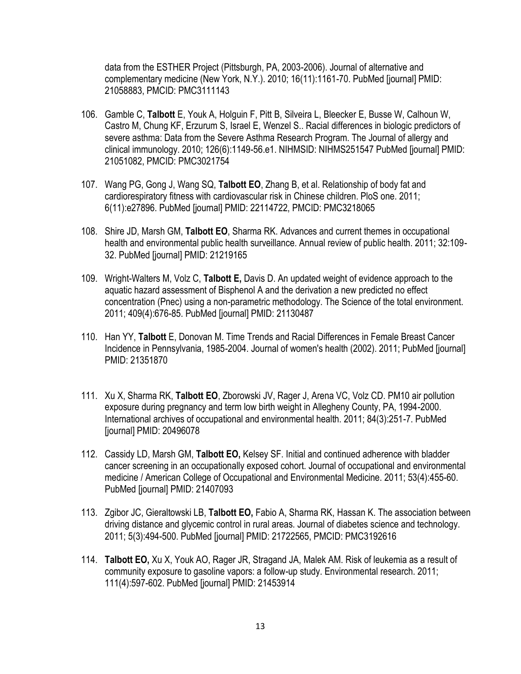data from the ESTHER Project (Pittsburgh, PA, 2003-2006). Journal of alternative and complementary medicine (New York, N.Y.). 2010; 16(11):1161-70. PubMed [journal] PMID: 21058883, PMCID: PMC3111143

- 106. Gamble C, **Talbott** E, Youk A, Holguin F, Pitt B, [Silveira L,](http://www.ncbi.nlm.nih.gov/pubmed/?term=Silveira%20L%5BAuthor%5D&cauthor=true&cauthor_uid=21051082) [Bleecker E,](http://www.ncbi.nlm.nih.gov/pubmed/?term=Bleecker%20E%5BAuthor%5D&cauthor=true&cauthor_uid=21051082) [Busse W,](http://www.ncbi.nlm.nih.gov/pubmed/?term=Busse%20W%5BAuthor%5D&cauthor=true&cauthor_uid=21051082) [Calhoun W,](http://www.ncbi.nlm.nih.gov/pubmed/?term=Calhoun%20W%5BAuthor%5D&cauthor=true&cauthor_uid=21051082) [Castro M,](http://www.ncbi.nlm.nih.gov/pubmed/?term=Castro%20M%5BAuthor%5D&cauthor=true&cauthor_uid=21051082) [Chung KF,](http://www.ncbi.nlm.nih.gov/pubmed/?term=Chung%20KF%5BAuthor%5D&cauthor=true&cauthor_uid=21051082) [Erzurum S,](http://www.ncbi.nlm.nih.gov/pubmed/?term=Erzurum%20S%5BAuthor%5D&cauthor=true&cauthor_uid=21051082) [Israel E,](http://www.ncbi.nlm.nih.gov/pubmed/?term=Israel%20E%5BAuthor%5D&cauthor=true&cauthor_uid=21051082) [Wenzel S.](http://www.ncbi.nlm.nih.gov/pubmed/?term=Wenzel%20S%5BAuthor%5D&cauthor=true&cauthor_uid=21051082). Racial differences in biologic predictors of severe asthma: Data from the Severe Asthma Research Program. The Journal of allergy and clinical immunology. 2010; 126(6):1149-56.e1. NIHMSID: NIHMS251547 PubMed [journal] PMID: 21051082, PMCID: PMC3021754
- 107. Wang PG, Gong J, Wang SQ, **Talbott EO**, Zhang B, et al. Relationship of body fat and cardiorespiratory fitness with cardiovascular risk in Chinese children. PloS one. 2011; 6(11):e27896. PubMed [journal] PMID: 22114722, PMCID: PMC3218065
- 108. Shire JD, Marsh GM, **Talbott EO**, Sharma RK. Advances and current themes in occupational health and environmental public health surveillance. Annual review of public health. 2011; 32:109- 32. PubMed [journal] PMID: 21219165
- 109. Wright-Walters M, Volz C, **Talbott E,** Davis D. An updated weight of evidence approach to the aquatic hazard assessment of Bisphenol A and the derivation a new predicted no effect concentration (Pnec) using a non-parametric methodology. The Science of the total environment. 2011; 409(4):676-85. PubMed [journal] PMID: 21130487
- 110. Han YY, **Talbott** E, Donovan M. Time Trends and Racial Differences in Female Breast Cancer Incidence in Pennsylvania, 1985-2004. Journal of women's health (2002). 2011; PubMed [journal] PMID: 21351870
- 111. Xu X, Sharma RK, **Talbott EO**, Zborowski JV, Rager J, [Arena VC,](http://www.ncbi.nlm.nih.gov/pubmed/?term=Arena%20VC%5BAuthor%5D&cauthor=true&cauthor_uid=20496078) [Volz CD.](http://www.ncbi.nlm.nih.gov/pubmed/?term=Volz%20CD%5BAuthor%5D&cauthor=true&cauthor_uid=20496078) PM10 air pollution exposure during pregnancy and term low birth weight in Allegheny County, PA, 1994-2000. International archives of occupational and environmental health. 2011; 84(3):251-7. PubMed [journal] PMID: 20496078
- 112. Cassidy LD, Marsh GM, **Talbott EO,** Kelsey SF. Initial and continued adherence with bladder cancer screening in an occupationally exposed cohort. Journal of occupational and environmental medicine / American College of Occupational and Environmental Medicine. 2011; 53(4):455-60. PubMed [journal] PMID: 21407093
- 113. Zgibor JC, Gieraltowski LB, **Talbott EO,** Fabio A, Sharma RK, [Hassan K.](http://www.ncbi.nlm.nih.gov/pubmed/?term=Hassan%20K%5BAuthor%5D&cauthor=true&cauthor_uid=21722565) The association between driving distance and glycemic control in rural areas. Journal of diabetes science and technology. 2011; 5(3):494-500. PubMed [journal] PMID: 21722565, PMCID: PMC3192616
- 114. **Talbott EO,** Xu X, Youk AO, Rager JR, Stragand JA, [Malek AM.](http://www.ncbi.nlm.nih.gov/pubmed/?term=Malek%20AM%5BAuthor%5D&cauthor=true&cauthor_uid=21453914) Risk of leukemia as a result of community exposure to gasoline vapors: a follow-up study. Environmental research. 2011; 111(4):597-602. PubMed [journal] PMID: 21453914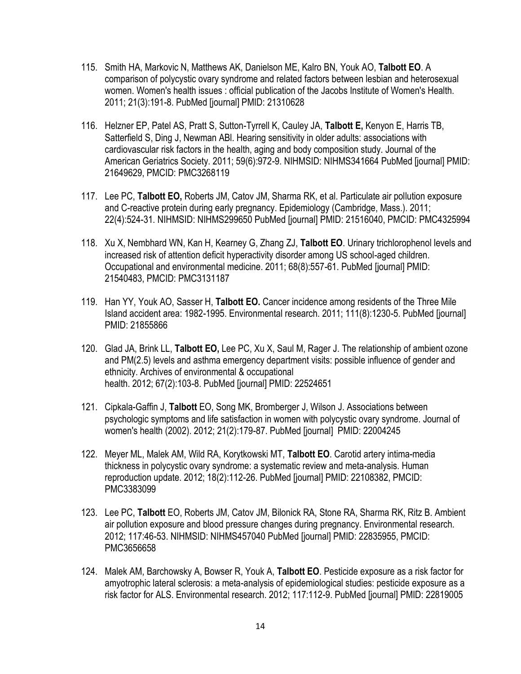- 115. Smith HA, Markovic N, Matthews AK, Danielson ME, Kalro BN, [Youk AO,](http://www.ncbi.nlm.nih.gov/pubmed/?term=Youk%20AO%5BAuthor%5D&cauthor=true&cauthor_uid=21310628) **[Talbott EO](http://www.ncbi.nlm.nih.gov/pubmed/?term=Talbott%20EO%5BAuthor%5D&cauthor=true&cauthor_uid=21310628)**. A comparison of polycystic ovary syndrome and related factors between lesbian and heterosexual women. Women's health issues : official publication of the Jacobs Institute of Women's Health. 2011; 21(3):191-8. PubMed [journal] PMID: 21310628
- 116. Helzner EP, Patel AS, Pratt S, Sutton-Tyrrell K, Cauley JA, **[Talbott E,](http://www.ncbi.nlm.nih.gov/pubmed/?term=Talbott%20E%5BAuthor%5D&cauthor=true&cauthor_uid=21649629)** [Kenyon E,](http://www.ncbi.nlm.nih.gov/pubmed/?term=Kenyon%20E%5BAuthor%5D&cauthor=true&cauthor_uid=21649629) [Harris TB,](http://www.ncbi.nlm.nih.gov/pubmed/?term=Harris%20TB%5BAuthor%5D&cauthor=true&cauthor_uid=21649629) [Satterfield S,](http://www.ncbi.nlm.nih.gov/pubmed/?term=Satterfield%20S%5BAuthor%5D&cauthor=true&cauthor_uid=21649629) [Ding J,](http://www.ncbi.nlm.nih.gov/pubmed/?term=Ding%20J%5BAuthor%5D&cauthor=true&cauthor_uid=21649629) [Newman ABl.](http://www.ncbi.nlm.nih.gov/pubmed/?term=Newman%20AB%5BAuthor%5D&cauthor=true&cauthor_uid=21649629) Hearing sensitivity in older adults: associations with cardiovascular risk factors in the health, aging and body composition study. Journal of the American Geriatrics Society. 2011; 59(6):972-9. NIHMSID: NIHMS341664 PubMed [journal] PMID: 21649629, PMCID: PMC3268119
- 117. Lee PC, **Talbott EO,** Roberts JM, Catov JM, Sharma RK, et al. Particulate air pollution exposure and C-reactive protein during early pregnancy. Epidemiology (Cambridge, Mass.). 2011; 22(4):524-31. NIHMSID: NIHMS299650 PubMed [journal] PMID: 21516040, PMCID: PMC4325994
- 118. Xu X, Nembhard WN, Kan H, Kearney G, Zhang ZJ, **Talbott EO**. Urinary trichlorophenol levels and increased risk of attention deficit hyperactivity disorder among US school-aged children. Occupational and environmental medicine. 2011; 68(8):557-61. PubMed [journal] PMID: 21540483, PMCID: PMC3131187
- 119. Han YY, Youk AO, Sasser H, **Talbott EO.** Cancer incidence among residents of the Three Mile Island accident area: 1982-1995. Environmental research. 2011; 111(8):1230-5. PubMed [journal] PMID: 21855866
- 120. Glad JA, Brink LL, **Talbott EO,** Lee PC, Xu X[, Saul M,](http://www.ncbi.nlm.nih.gov/pubmed/?term=Saul%20M%5BAuthor%5D&cauthor=true&cauthor_uid=22524651) [Rager J.](http://www.ncbi.nlm.nih.gov/pubmed/?term=Rager%20J%5BAuthor%5D&cauthor=true&cauthor_uid=22524651) The relationship of ambient ozone and PM(2.5) levels and asthma emergency department visits: possible influence of gender and ethnicity. Archives of environmental & occupational health. 2012; 67(2):103-8. PubMed [journal] PMID: 22524651
- 121. Cipkala-Gaffin J, **Talbott** EO, Song MK, Bromberger J, Wilson J. Associations between psychologic symptoms and life satisfaction in women with polycystic ovary syndrome. Journal of women's health (2002). 2012; 21(2):179-87. PubMed [journal] PMID: 22004245
- 122. Meyer ML, Malek AM, Wild RA, Korytkowski MT, **Talbott EO**. Carotid artery intima-media thickness in polycystic ovary syndrome: a systematic review and meta-analysis. Human reproduction update. 2012; 18(2):112-26. PubMed [journal] PMID: 22108382, PMCID: PMC3383099
- 123. Lee PC, **Talbott** EO, Roberts JM, Catov JM, Bilonick RA, [Stone RA,](http://www.ncbi.nlm.nih.gov/pubmed/?term=Stone%20RA%5BAuthor%5D&cauthor=true&cauthor_uid=22835955) [Sharma RK,](http://www.ncbi.nlm.nih.gov/pubmed/?term=Sharma%20RK%5BAuthor%5D&cauthor=true&cauthor_uid=22835955) [Ritz B.](http://www.ncbi.nlm.nih.gov/pubmed/?term=Ritz%20B%5BAuthor%5D&cauthor=true&cauthor_uid=22835955) Ambient air pollution exposure and blood pressure changes during pregnancy. Environmental research. 2012; 117:46-53. NIHMSID: NIHMS457040 PubMed [journal] PMID: 22835955, PMCID: PMC3656658
- 124. Malek AM, Barchowsky A, Bowser R, Youk A, **Talbott EO**. Pesticide exposure as a risk factor for amyotrophic lateral sclerosis: a meta-analysis of epidemiological studies: pesticide exposure as a risk factor for ALS. Environmental research. 2012; 117:112-9. PubMed [journal] PMID: 22819005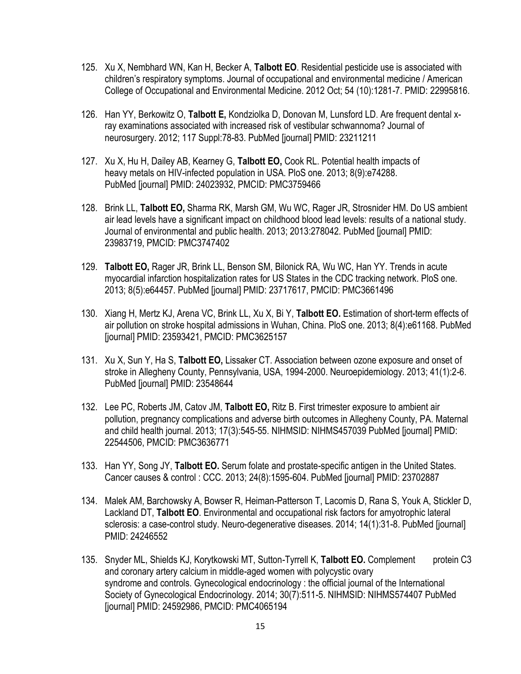- 125. Xu X, Nembhard WN, Kan H, Becker A, **Talbott EO**. Residential pesticide use is associated with children's respiratory symptoms. Journal of occupational and environmental medicine / American College of Occupational and Environmental Medicine. 2012 Oct; 54 (10):1281-7. PMID: 22995816.
- 126. Han YY, Berkowitz O, **Talbott E,** Kondziolka D, Donovan M, [Lunsford LD](http://www.ncbi.nlm.nih.gov/pubmed/?term=Lunsford%20LD%5BAuthor%5D&cauthor=true&cauthor_uid=23211211). Are frequent dental xray examinations associated with increased risk of vestibular schwannoma? Journal of neurosurgery. 2012; 117 Suppl:78-83. PubMed [journal] PMID: 23211211
- 127. Xu X, Hu H, Dailey AB, Kearney G, **Talbott EO,** [Cook RL.](http://www.ncbi.nlm.nih.gov/pubmed/?term=Cook%20RL%5BAuthor%5D&cauthor=true&cauthor_uid=24023932) Potential health impacts of heavy metals on HIV-infected population in USA. PloS one. 2013; 8(9):e74288. PubMed [journal] PMID: 24023932, PMCID: PMC3759466
- 128. Brink LL, **Talbott EO,** Sharma RK, Marsh GM, Wu WC, [Rager JR,](http://www.ncbi.nlm.nih.gov/pubmed/?term=Rager%20JR%5BAuthor%5D&cauthor=true&cauthor_uid=23983719) [Strosnider HM.](http://www.ncbi.nlm.nih.gov/pubmed/?term=Strosnider%20HM%5BAuthor%5D&cauthor=true&cauthor_uid=23983719) Do US ambient air lead levels have a significant impact on childhood blood lead levels: results of a national study. Journal of environmental and public health. 2013; 2013:278042. PubMed [journal] PMID: 23983719, PMCID: PMC3747402
- 129. **Talbott EO,** Rager JR, Brink LL, Benson SM, Bilonick RA, [Wu WC,](http://www.ncbi.nlm.nih.gov/pubmed/?term=Wu%20WC%5BAuthor%5D&cauthor=true&cauthor_uid=23717617) [Han YY.](http://www.ncbi.nlm.nih.gov/pubmed/?term=Han%20YY%5BAuthor%5D&cauthor=true&cauthor_uid=23717617) Trends in acute myocardial infarction hospitalization rates for US States in the CDC tracking network. PloS one. 2013; 8(5):e64457. PubMed [journal] PMID: 23717617, PMCID: PMC3661496
- 130. Xiang H, Mertz KJ, Arena VC, Brink LL, Xu X, [Bi Y,](http://www.ncbi.nlm.nih.gov/pubmed/?term=Bi%20Y%5BAuthor%5D&cauthor=true&cauthor_uid=23593421) **[Talbott EO.](http://www.ncbi.nlm.nih.gov/pubmed/?term=Talbott%20EO%5BAuthor%5D&cauthor=true&cauthor_uid=23593421)** Estimation of short-term effects of air pollution on stroke hospital admissions in Wuhan, China. PloS one. 2013; 8(4):e61168. PubMed [journal] PMID: 23593421, PMCID: PMC3625157
- 131. Xu X, Sun Y, Ha S, **Talbott EO,** Lissaker CT. Association between ozone exposure and onset of stroke in Allegheny County, Pennsylvania, USA, 1994-2000. Neuroepidemiology. 2013; 41(1):2-6. PubMed [journal] PMID: 23548644
- 132. Lee PC, Roberts JM, Catov JM, **Talbott EO,** Ritz B. First trimester exposure to ambient air pollution, pregnancy complications and adverse birth outcomes in Allegheny County, PA. Maternal and child health journal. 2013; 17(3):545-55. NIHMSID: NIHMS457039 PubMed [journal] PMID: 22544506, PMCID: PMC3636771
- 133. Han YY, Song JY, **Talbott EO.** Serum folate and prostate-specific antigen in the United States. Cancer causes & control : CCC. 2013; 24(8):1595-604. PubMed [journal] PMID: 23702887
- 134. Malek AM, Barchowsky A, Bowser R, Heiman-Patterson T, Lacomis D, [Rana S,](http://www.ncbi.nlm.nih.gov/pubmed/?term=Rana%20S%5BAuthor%5D&cauthor=true&cauthor_uid=24246552) [Youk A,](http://www.ncbi.nlm.nih.gov/pubmed/?term=Youk%20A%5BAuthor%5D&cauthor=true&cauthor_uid=24246552) [Stickler D,](http://www.ncbi.nlm.nih.gov/pubmed/?term=Stickler%20D%5BAuthor%5D&cauthor=true&cauthor_uid=24246552) [Lackland DT,](http://www.ncbi.nlm.nih.gov/pubmed/?term=Lackland%20DT%5BAuthor%5D&cauthor=true&cauthor_uid=24246552) **[Talbott EO](http://www.ncbi.nlm.nih.gov/pubmed/?term=Talbott%20EO%5BAuthor%5D&cauthor=true&cauthor_uid=24246552)**. Environmental and occupational risk factors for amyotrophic lateral sclerosis: a case-control study. Neuro-degenerative diseases. 2014; 14(1):31-8. PubMed [journal] PMID: 24246552
- 135. Snyder ML, Shields KJ, Korytkowski MT, Sutton-Tyrrell K, **Talbott EO.** Complement protein C3 and coronary artery calcium in middle-aged women with polycystic ovary syndrome and controls. Gynecological endocrinology : the official journal of the International Society of Gynecological Endocrinology. 2014; 30(7):511-5. NIHMSID: NIHMS574407 PubMed [journal] PMID: 24592986, PMCID: PMC4065194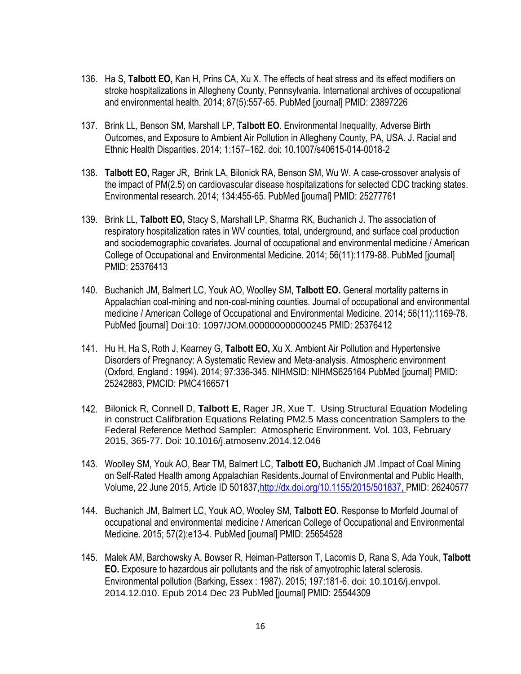- 136. Ha S, **Talbott EO,** Kan H, Prins CA, Xu X. The effects of heat stress and its effect modifiers on stroke hospitalizations in Allegheny County, Pennsylvania. International archives of occupational and environmental health. 2014; 87(5):557-65. PubMed [journal] PMID: 23897226
- 137. Brink LL, Benson SM, Marshall LP, **Talbott EO**. Environmental Inequality, Adverse Birth Outcomes, and Exposure to Ambient Air Pollution in Allegheny County, PA, USA. J. Racial and Ethnic Health Disparities. 2014; 1:157–162. doi: 10.1007/s40615-014-0018-2
- 138. **Talbott EO,** Rager JR, Brink LA, Bilonick RA, Benson SM, Wu W. A case-crossover analysis of the impact of PM(2.5) on cardiovascular disease hospitalizations for selected CDC tracking states. Environmental research. 2014; 134:455-65. PubMed [journal] PMID: 25277761
- 139. Brink LL, **Talbott EO,** Stacy S, Marshall LP, Sharma RK, [Buchanich J.](http://www.ncbi.nlm.nih.gov/pubmed/?term=Buchanich%20J%5BAuthor%5D&cauthor=true&cauthor_uid=25376413) The association of respiratory hospitalization rates in WV counties, total, underground, and surface coal production and sociodemographic covariates. Journal of occupational and environmental medicine / American College of Occupational and Environmental Medicine. 2014; 56(11):1179-88. PubMed [journal] PMID: 25376413
- 140. Buchanich JM, Balmert LC, Youk AO, Woolley SM, **Talbott EO.** General mortality patterns in Appalachian coal-mining and non-coal-mining counties. Journal of occupational and environmental medicine / American College of Occupational and Environmental Medicine. 2014; 56(11):1169-78. PubMed [journal] Doi:10: 1097/JOM.000000000000245 PMID: 25376412
- 141. Hu H, Ha S, Roth J, Kearney G, **Talbott EO,** Xu X. Ambient Air Pollution and Hypertensive Disorders of Pregnancy: A Systematic Review and Meta-analysis. Atmospheric environment (Oxford, England : 1994). 2014; 97:336-345. NIHMSID: NIHMS625164 PubMed [journal] PMID: 25242883, PMCID: PMC4166571
- 142. Bilonick R, Connell D, **Talbott E**, Rager JR, Xue T. Using Structural Equation Modeling in construct Califbration Equations Relating PM2.5 Mass concentration Samplers to the Federal Reference Method Sampler: Atmospheric Environment. Vol. 103, February 2015, 365-77. Doi: 10.1016/j.atmosenv.2014.12.046
- 143. Woolley SM, Youk AO, Bear TM, Balmert LC, **Talbott EO,** Buchanich JM .Impact of Coal Mining on Self-Rated Health among Appalachian Residents.Journal of Environmental and Public Health, Volume, 22 June 2015, Article ID 501837[,http://dx.doi.org/10.1155/2015/501837,](http://dx.doi.org/10.1155/2015/501837) PMID: 26240577
- 144. Buchanich JM, Balmert LC, Youk AO, Wooley SM, **Talbott EO.** Response to Morfeld Journal of occupational and environmental medicine / American College of Occupational and Environmental Medicine. 2015; 57(2):e13-4. PubMed [journal] PMID: 25654528
- 145. Malek AM, Barchowsky A, Bowser R, Heiman-Patterson T, Lacomis D, [Rana S,](http://www.ncbi.nlm.nih.gov/pubmed/?term=Rana%20S%5BAuthor%5D&cauthor=true&cauthor_uid=25544309) [Ada Youk,](http://www.ncbi.nlm.nih.gov/pubmed/?term=Ada%20Youk%5BAuthor%5D&cauthor=true&cauthor_uid=25544309) **[Talbott](http://www.ncbi.nlm.nih.gov/pubmed/?term=Talbott%20EO%5BAuthor%5D&cauthor=true&cauthor_uid=25544309)  [EO.](http://www.ncbi.nlm.nih.gov/pubmed/?term=Talbott%20EO%5BAuthor%5D&cauthor=true&cauthor_uid=25544309)** Exposure to hazardous air pollutants and the risk of amyotrophic lateral sclerosis. Environmental pollution (Barking, Essex : 1987). 2015; 197:181-6. doi: 10.1016/j.envpol. 2014.12.010. Epub 2014 Dec 23 PubMed [journal] PMID: 25544309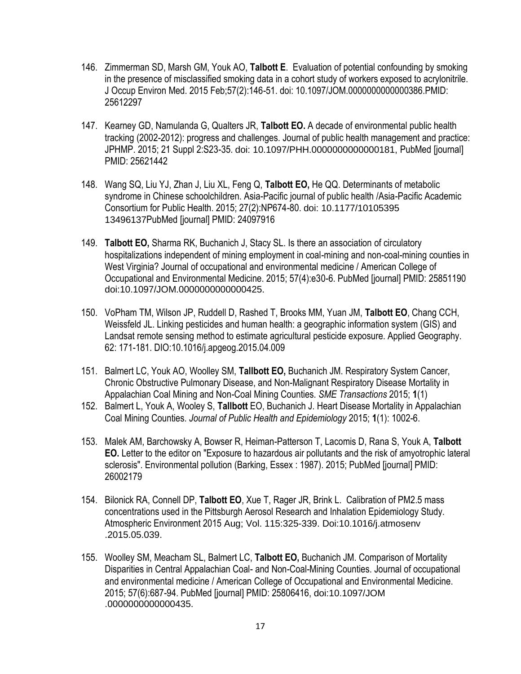- 146. Zimmerman SD, Marsh GM, Youk AO, **Talbott E**. Evaluation of potential confounding by smoking in the presence of misclassified smoking data in a cohort study of workers exposed to acrylonitrile. J Occup Environ Med. 2015 Feb;57(2):146-51. doi: 10.1097/JOM.0000000000000386.PMID: 25612297
- 147. Kearney GD, Namulanda G, Qualters JR, **Talbott EO.** A decade of environmental public health tracking (2002-2012): progress and challenges. Journal of public health management and practice: JPHMP. 2015; 21 Suppl 2:S23-35. doi: 10.1097/PHH.0000000000000181, PubMed [journal] PMID: 25621442
- 148. Wang SQ, Liu YJ, Zhan J, Liu XL, Feng Q, **[Talbott EO,](http://www.ncbi.nlm.nih.gov/pubmed/?term=Talbott%20EO%5BAuthor%5D&cauthor=true&cauthor_uid=24097916)** He QQ. Determinants of metabolic syndrome in Chinese schoolchildren. Asia-Pacific journal of public health /Asia-Pacific Academic Consortium for Public Health. 2015; 27(2):NP674-80. doi: 10.1177/10105395 13496137PubMed [journal] PMID: 24097916
- 149. **Talbott EO,** Sharma RK, Buchanich J, Stacy SL. Is there an association of circulatory hospitalizations independent of mining employment in coal-mining and non-coal-mining counties in West Virginia? Journal of occupational and environmental medicine / American College of Occupational and Environmental Medicine. 2015; 57(4):e30-6. PubMed [journal] PMID: 25851190 doi:10.1097/JOM.0000000000000425.
- 150. VoPham TM, Wilson JP, Ruddell D, Rashed T, Brooks MM, Yuan JM, **Talbott EO**, Chang CCH, Weissfeld JL. Linking pesticides and human health: a geographic information system (GIS) and Landsat remote sensing method to estimate agricultural pesticide exposure. Applied Geography. 62: 171-181. DIO:10.1016/j.apgeog.2015.04.009
- 151. Balmert LC, Youk AO, Woolley SM, **Tallbott EO,** Buchanich JM. Respiratory System Cancer, Chronic Obstructive Pulmonary Disease, and Non-Malignant Respiratory Disease Mortality in Appalachian Coal Mining and Non-Coal Mining Counties. *SME Transactions* 2015; **1**(1)
- 152. Balmert L, Youk A, Wooley S, **Tallbott** EO, Buchanich J. Heart Disease Mortality in Appalachian Coal Mining Counties. *Journal of Public Health and Epidemiology* 2015; **1**(1): 1002-6.
- 153. Malek AM, Barchowsky A, Bowser R, Heiman-Patterson T, Lacomis D, [Rana S,](http://www.ncbi.nlm.nih.gov/pubmed/?term=Rana%20S%5BAuthor%5D&cauthor=true&cauthor_uid=26002179) [Youk A,](http://www.ncbi.nlm.nih.gov/pubmed/?term=Youk%20A%5BAuthor%5D&cauthor=true&cauthor_uid=26002179) **[Talbott](http://www.ncbi.nlm.nih.gov/pubmed/?term=Talbott%20EO%5BAuthor%5D&cauthor=true&cauthor_uid=26002179)  [EO.](http://www.ncbi.nlm.nih.gov/pubmed/?term=Talbott%20EO%5BAuthor%5D&cauthor=true&cauthor_uid=26002179)** Letter to the editor on "Exposure to hazardous air pollutants and the risk of amyotrophic lateral sclerosis". Environmental pollution (Barking, Essex : 1987). 2015; PubMed [journal] PMID: 26002179
- 154. Bilonick RA, Connell DP, **Talbott EO**, Xue T, Rager JR, Brink L. Calibration of PM2.5 mass concentrations used in the Pittsburgh Aerosol Research and Inhalation Epidemiology Study. Atmospheric Environment 2015 Aug; Vol. 115:325-339. Doi:10.1016/j.atmosenv .2015.05.039.
- 155. Woolley SM, Meacham SL, Balmert LC, **Talbott EO,** Buchanich JM. Comparison of Mortality Disparities in Central Appalachian Coal- and Non-Coal-Mining Counties. Journal of occupational and environmental medicine / American College of Occupational and Environmental Medicine. 2015; 57(6):687-94. PubMed [journal] PMID: 25806416, doi:10.1097/JOM .0000000000000435.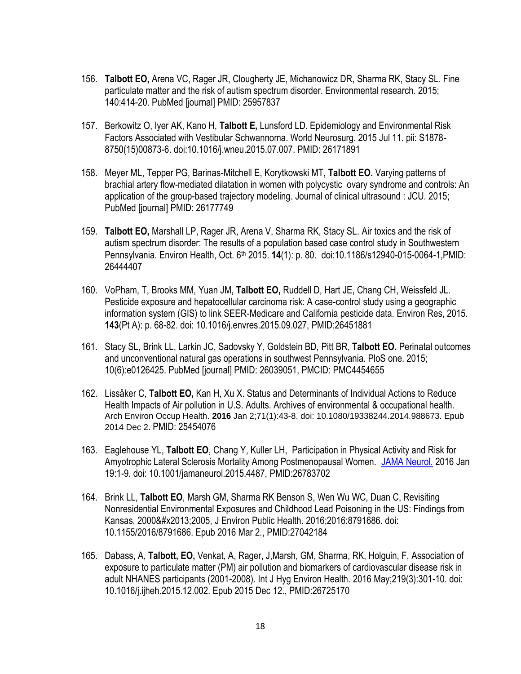- 156. **Talbott EO,** Arena VC, Rager JR, Clougherty JE, Michanowicz DR, [Sharma RK,](http://www.ncbi.nlm.nih.gov/pubmed/?term=Sharma%20RK%5BAuthor%5D&cauthor=true&cauthor_uid=25957837) [Stacy SL.](http://www.ncbi.nlm.nih.gov/pubmed/?term=Stacy%20SL%5BAuthor%5D&cauthor=true&cauthor_uid=25957837) Fine particulate matter and the risk of autism spectrum disorder. Environmental research. 2015; 140:414-20. PubMed [journal] PMID: 25957837
- 157. Berkowitz O, Iyer AK, Kano H, **Talbott E,** Lunsford LD. Epidemiology and Environmental Risk Factors Associated with Vestibular Schwannoma. World Neurosurg. 2015 Jul 11. pii: S1878- 8750(15)00873-6. doi:10.1016/j.wneu.2015.07.007. PMID: 26171891
- 158. Meyer ML, Tepper PG, Barinas-Mitchell E, Korytkowski MT, **Talbott EO.** Varying patterns of brachial artery flow-mediated dilatation in women with polycystic ovary syndrome and controls: An application of the group-based trajectory modeling. Journal of clinical ultrasound : JCU. 2015; PubMed [journal] PMID: 26177749
- 159. **Talbott EO,** Marshall LP, Rager JR, Arena V, Sharma RK, Stacy SL. Air toxics and the risk of autism spectrum disorder: The results of a population based case control study in Southwestern Pennsylvania. Environ Health, Oct. 6th 2015. **14**(1): p. 80. doi:10.1186/s12940-015-0064-1,PMID: 26444407
- 160. VoPham, T, [Brooks MM,](http://www.ncbi.nlm.nih.gov/pubmed/?term=Brooks%20MM%5BAuthor%5D&cauthor=true&cauthor_uid=26451881) [Yuan JM,](http://www.ncbi.nlm.nih.gov/pubmed/?term=Yuan%20JM%5BAuthor%5D&cauthor=true&cauthor_uid=26451881) **[Talbott EO,](http://www.ncbi.nlm.nih.gov/pubmed/?term=Talbott%20EO%5BAuthor%5D&cauthor=true&cauthor_uid=26451881)** [Ruddell D,](http://www.ncbi.nlm.nih.gov/pubmed/?term=Ruddell%20D%5BAuthor%5D&cauthor=true&cauthor_uid=26451881) [Hart JE,](http://www.ncbi.nlm.nih.gov/pubmed/?term=Hart%20JE%5BAuthor%5D&cauthor=true&cauthor_uid=26451881) [Chang CH,](http://www.ncbi.nlm.nih.gov/pubmed/?term=Chang%20CH%5BAuthor%5D&cauthor=true&cauthor_uid=26451881) [Weissfeld JL.](http://www.ncbi.nlm.nih.gov/pubmed/?term=Weissfeld%20JL%5BAuthor%5D&cauthor=true&cauthor_uid=26451881) Pesticide exposure and hepatocellular carcinoma risk: A case-control study using a geographic information system (GIS) to link SEER-Medicare and California pesticide data. Environ Res, 2015. **143**(Pt A): p. 68-82. doi: 10.1016/j.envres.2015.09.027, PMID:26451881
- 161. Stacy SL, Brink LL, Larkin JC, Sadovsky Y, Goldstein BD, [Pitt BR,](http://www.ncbi.nlm.nih.gov/pubmed/?term=Pitt%20BR%5BAuthor%5D&cauthor=true&cauthor_uid=26039051) **[Talbott EO.](http://www.ncbi.nlm.nih.gov/pubmed/?term=Talbott%20EO%5BAuthor%5D&cauthor=true&cauthor_uid=26039051)** Perinatal outcomes and unconventional natural gas operations in southwest Pennsylvania. PloS one. 2015; 10(6):e0126425. PubMed [journal] PMID: 26039051, PMCID: PMC4454655
- 162. Lissåker C, **Talbott EO,** Kan H, Xu X. Status and Determinants of Individual Actions to Reduce Health Impacts of Air pollution in U.S. Adults. Archives of environmental & occupational health. [Arch Environ Occup Health.](http://www.ncbi.nlm.nih.gov/pubmed/25454076) **2016** Jan 2;71(1):43-8. doi: 10.1080/19338244.2014.988673. Epub 2014 Dec 2. PMID: 25454076
- 163. Eaglehouse YL, **Talbott EO**, Chang Y, Kuller LH, Participation in Physical Activity and Risk for Amyotrophic Lateral Sclerosis Mortality Among Postmenopausal Women. [JAMA Neurol.](http://www.ncbi.nlm.nih.gov/pubmed/?term=Participation+in+Physical+Activity+and+Risk+for+Amyotrophic+Lateral+Sclerosis+Mortality+Among+Postmenopausal+Women) 2016 Jan 19:1-9. doi: 10.1001/jamaneurol.2015.4487, PMID:26783702
- 164. Brink LL, **Talbott EO**, Marsh GM, Sharma RK Benson S, Wen Wu WC, Duan C, Revisiting Nonresidential Environmental Exposures and Childhood Lead Poisoning in the US: Findings from Kansas, 2000&#x2013:2005, [J Environ Public Health.](http://www.ncbi.nlm.nih.gov/pubmed/27042184) 2016:2016:8791686, doi: 10.1155/2016/8791686. Epub 2016 Mar 2., PMID:27042184
- 165. Dabass, A, **Talbott, EO,** Venkat, A, Rager, J,Marsh, GM, Sharma, RK, Holguin, F, Association of exposure to particulate matter (PM) air pollution and biomarkers of cardiovascular disease risk in adult NHANES participants (2001-2008). [Int J Hyg Environ Health.](http://www.ncbi.nlm.nih.gov/pubmed/?term=Association+of+exposure+to+particulate+matter+(PM)+air+pollution+and+biomarkers+of+cardiovascular+disease+risk+in+adult+NHANES+participants) 2016 May;219(3):301-10. doi: 10.1016/j.ijheh.2015.12.002. Epub 2015 Dec 12., PMID:26725170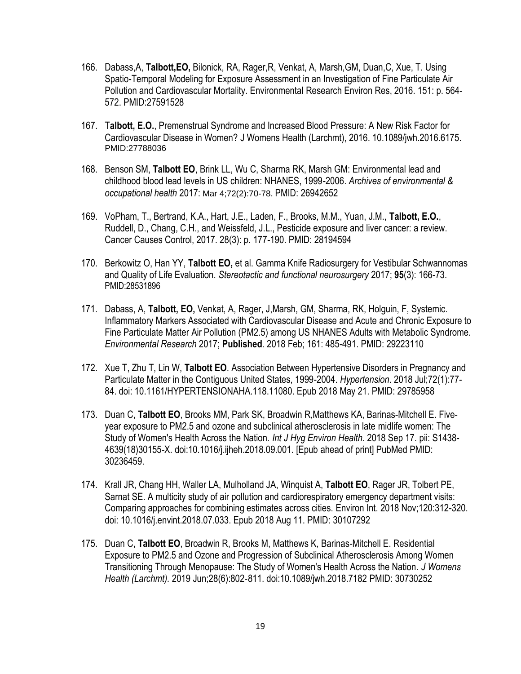- 166. Dabass,A, **Talbott,EO,** Bilonick, RA, Rager,R, Venkat, A, Marsh,GM, Duan,C, Xue, T. Using Spatio-Temporal Modeling for Exposure Assessment in an Investigation of Fine Particulate Air Pollution and Cardiovascular Mortality. Environmental Research Environ Res, 2016. 151: p. 564- 572. PMID:27591528
- 167. T**albott, E.O.**, Premenstrual Syndrome and Increased Blood Pressure: A New Risk Factor for Cardiovascular Disease in Women? J Womens Health (Larchmt), 2016. 10.1089/jwh.2016.6175. PMID:27788036
- 168. Benson SM, **Talbott EO**, Brink LL, Wu C, Sharma RK, Marsh GM: Environmental lead and childhood blood lead levels in US children: NHANES, 1999-2006. *Archives of environmental & occupational health* 2017: Mar 4;72(2):70-78. PMID: 26942652
- 169. VoPham, T., Bertrand, K.A., Hart, J.E., Laden, F., Brooks, M.M., Yuan, J.M., **Talbott, E.O.**, Ruddell, D., Chang, C.H., and Weissfeld, J.L., Pesticide exposure and liver cancer: a review. Cancer Causes Control, 2017. 28(3): p. 177-190. PMID: 28194594
- 170. Berkowitz O, Han YY, **Talbott EO,** et al. Gamma Knife Radiosurgery for Vestibular Schwannomas and Quality of Life Evaluation. *Stereotactic and functional neurosurgery* 2017; **95**(3): 166-73. PMID:28531896
- 171. Dabass, A, **Talbott, EO,** Venkat, A, Rager, J,Marsh, GM, Sharma, RK, Holguin, F, Systemic. Inflammatory Markers Associated with Cardiovascular Disease and Acute and Chronic Exposure to Fine Particulate Matter Air Pollution (PM2.5) among US NHANES Adults with Metabolic Syndrome. *Environmental Research* 2017; **Published**. 2018 Feb; 161: 485-491. PMID: 29223110
- 172. Xue T, Zhu T, Lin W, **Talbott EO**. Association Between Hypertensive Disorders in Pregnancy and Particulate Matter in the Contiguous United States, 1999-2004. *Hypertension*. 2018 Jul;72(1):77- 84. doi: 10.1161/HYPERTENSIONAHA.118.11080. Epub 2018 May 21. PMID: 29785958
- 173. Duan C, **Talbott EO**, Brooks MM, Park SK, Broadwin R,Matthews KA, Barinas-Mitchell E. Fiveyear exposure to PM2.5 and ozone and subclinical atherosclerosis in late midlife women: The Study of Women's Health Across the Nation. *Int J Hyg Environ Health.* 2018 Sep 17. pii: S1438- 4639(18)30155-X. doi:10.1016/j.ijheh.2018.09.001. [Epub ahead of print] PubMed PMID: 30236459.
- 174. Krall JR, Chang HH, Waller LA, Mulholland JA, Winquist A, **Talbott EO**, Rager JR, Tolbert PE, Sarnat SE. A multicity study of air pollution and cardiorespiratory emergency department visits: Comparing approaches for combining estimates across cities. Environ Int. 2018 Nov;120:312-320. doi: 10.1016/j.envint.2018.07.033. Epub 2018 Aug 11. PMID: 30107292
- 175. Duan C, **Talbott EO**, Broadwin R, Brooks M, Matthews K, Barinas-Mitchell E. Residential Exposure to PM2.5 and Ozone and Progression of Subclinical Atherosclerosis Among Women Transitioning Through Menopause: The Study of Women's Health Across the Nation. *J Womens Health (Larchmt).* 2019 Jun;28(6):802‐811. doi:10.1089/jwh.2018.7182 PMID: 30730252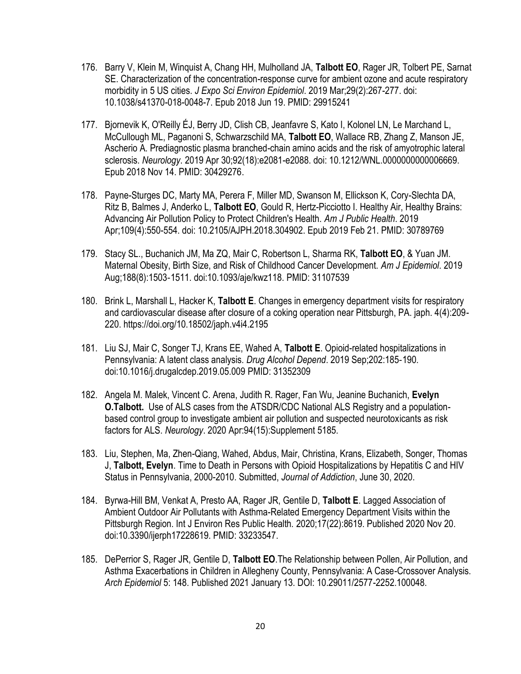- 176. Barry V, Klein M, Winquist A, Chang HH, Mulholland JA, **Talbott EO**, Rager JR, Tolbert PE, Sarnat SE. Characterization of the concentration-response curve for ambient ozone and acute respiratory morbidity in 5 US cities. *J Expo Sci Environ Epidemiol*. 2019 Mar;29(2):267-277. doi: 10.1038/s41370-018-0048-7. Epub 2018 Jun 19. PMID: 29915241
- 177. Bjornevik K, O'Reilly ÉJ, Berry JD, Clish CB, Jeanfavre S, Kato I, Kolonel LN, Le Marchand L, McCullough ML, Paganoni S, Schwarzschild MA, **Talbott EO**, Wallace RB, Zhang Z, Manson JE, Ascherio A. Prediagnostic plasma branched-chain amino acids and the risk of amyotrophic lateral sclerosis. *Neurology*. 2019 Apr 30;92(18):e2081-e2088. doi: 10.1212/WNL.0000000000006669. Epub 2018 Nov 14. PMID: 30429276.
- 178. Payne-Sturges DC, Marty MA, Perera F, Miller MD, Swanson M, Ellickson K, Cory-Slechta DA, Ritz B, Balmes J, Anderko L, **Talbott EO**, Gould R, Hertz-Picciotto I. Healthy Air, Healthy Brains: Advancing Air Pollution Policy to Protect Children's Health. *Am J Public Health*. 2019 Apr;109(4):550-554. doi: 10.2105/AJPH.2018.304902. Epub 2019 Feb 21. PMID: 30789769
- 179. Stacy SL., Buchanich JM, Ma ZQ, Mair C, Robertson L, Sharma RK, **Talbott EO**, & Yuan JM. Maternal Obesity, Birth Size, and Risk of Childhood Cancer Development. *Am J Epidemiol*. 2019 Aug;188(8):1503‐1511. doi:10.1093/aje/kwz118. PMID: 31107539
- 180. Brink L, Marshall L, Hacker K, **Talbott E**. Changes in emergency department visits for respiratory and cardiovascular disease after closure of a coking operation near Pittsburgh, PA. japh. 4(4):209- 220. https://doi.org/10.18502/japh.v4i4.2195
- 181. Liu SJ, Mair C, Songer TJ, Krans EE, Wahed A, **Talbott E**. Opioid-related hospitalizations in Pennsylvania: A latent class analysis. *Drug Alcohol Depend*. 2019 Sep;202:185‐190. doi:10.1016/j.drugalcdep.2019.05.009 PMID: 31352309
- 182. Angela M. Malek, Vincent C. Arena, Judith R. Rager, Fan Wu, Jeanine Buchanich, **Evelyn O.Talbott.** Use of ALS cases from the ATSDR/CDC National ALS Registry and a populationbased control group to investigate ambient air pollution and suspected neurotoxicants as risk factors for ALS. *Neurology*. 2020 Apr:94(15):Supplement 5185.
- 183. Liu, Stephen, Ma, Zhen-Qiang, Wahed, Abdus, Mair, Christina, Krans, Elizabeth, Songer, Thomas J, **Talbott, Evelyn**. Time to Death in Persons with Opioid Hospitalizations by Hepatitis C and HIV Status in Pennsylvania, 2000-2010. Submitted, *Journal of Addiction*, June 30, 2020.
- 184. Byrwa-Hill BM, Venkat A, Presto AA, Rager JR, Gentile D, **Talbott E**. Lagged Association of Ambient Outdoor Air Pollutants with Asthma-Related Emergency Department Visits within the Pittsburgh Region. Int J Environ Res Public Health. 2020;17(22):8619. Published 2020 Nov 20. doi:10.3390/ijerph17228619. PMID: 33233547.
- 185. DePerrior S, Rager JR, Gentile D, **Talbott EO**.The Relationship between Pollen, Air Pollution, and Asthma Exacerbations in Children in Allegheny County, Pennsylvania: A Case-Crossover Analysis. *Arch Epidemiol* 5: 148. Published 2021 January 13. DOI: 10.29011/2577-2252.100048.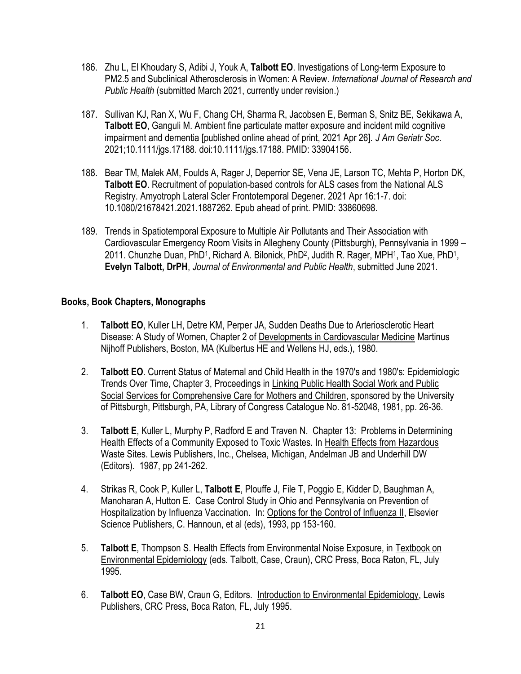- 186. Zhu L, El Khoudary S, Adibi J, Youk A, **Talbott EO**. Investigations of Long-term Exposure to PM2.5 and Subclinical Atherosclerosis in Women: A Review. *International Journal of Research and Public Health* (submitted March 2021, currently under revision.)
- 187. Sullivan KJ, Ran X, Wu F, Chang CH, Sharma R, Jacobsen E, Berman S, Snitz BE, Sekikawa A, **Talbott EO**, Ganguli M. Ambient fine particulate matter exposure and incident mild cognitive impairment and dementia [published online ahead of print, 2021 Apr 26]. *J Am Geriatr Soc*. 2021;10.1111/jgs.17188. doi:10.1111/jgs.17188. PMID: 33904156.
- 188. Bear TM, Malek AM, Foulds A, Rager J, Deperrior SE, Vena JE, Larson TC, Mehta P, Horton DK, **Talbott EO**. Recruitment of population-based controls for ALS cases from the National ALS Registry. Amyotroph Lateral Scler Frontotemporal Degener. 2021 Apr 16:1-7. doi: 10.1080/21678421.2021.1887262. Epub ahead of print. PMID: 33860698.
- 189. Trends in Spatiotemporal Exposure to Multiple Air Pollutants and Their Association with Cardiovascular Emergency Room Visits in Allegheny County (Pittsburgh), Pennsylvania in 1999 – 2011. Chunzhe Duan, PhD<sup>1</sup>, Richard A. Bilonick, PhD<sup>2</sup>, Judith R. Rager, MPH<sup>1</sup>, Tao Xue, PhD<sup>1</sup>, **Evelyn Talbott, DrPH**, *Journal of Environmental and Public Health*, submitted June 2021.

#### **Books, Book Chapters, Monographs**

- 1. **Talbott EO**, Kuller LH, Detre KM, Perper JA, Sudden Deaths Due to Arteriosclerotic Heart Disease: A Study of Women, Chapter 2 of Developments in Cardiovascular Medicine Martinus Nijhoff Publishers, Boston, MA (Kulbertus HE and Wellens HJ, eds.), 1980.
- 2. **Talbott EO**. Current Status of Maternal and Child Health in the 1970's and 1980's: Epidemiologic Trends Over Time, Chapter 3, Proceedings in Linking Public Health Social Work and Public Social Services for Comprehensive Care for Mothers and Children, sponsored by the University of Pittsburgh, Pittsburgh, PA, Library of Congress Catalogue No. 81-52048, 1981, pp. 26-36.
- 3. **Talbott E**, Kuller L, Murphy P, Radford E and Traven N. Chapter 13: Problems in Determining Health Effects of a Community Exposed to Toxic Wastes. In Health Effects from Hazardous Waste Sites. Lewis Publishers, Inc., Chelsea, Michigan, Andelman JB and Underhill DW (Editors). 1987, pp 241-262.
- 4. Strikas R, Cook P, Kuller L, **Talbott E**, Plouffe J, File T, Poggio E, Kidder D, Baughman A, Manoharan A, Hutton E. Case Control Study in Ohio and Pennsylvania on Prevention of Hospitalization by Influenza Vaccination. In: Options for the Control of Influenza II, Elsevier Science Publishers, C. Hannoun, et al (eds), 1993, pp 153-160.
- 5. **Talbott E**, Thompson S. Health Effects from Environmental Noise Exposure, in Textbook on Environmental Epidemiology (eds. Talbott, Case, Craun), CRC Press, Boca Raton, FL, July 1995.
- 6. **Talbott EO**, Case BW, Craun G, Editors. Introduction to Environmental Epidemiology, Lewis Publishers, CRC Press, Boca Raton, FL, July 1995.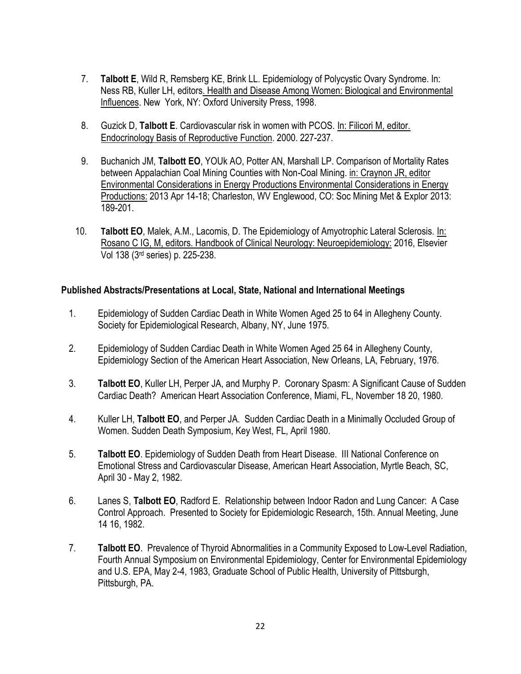- 7. **Talbott E**, Wild R, Remsberg KE, Brink LL. Epidemiology of Polycystic Ovary Syndrome. In: Ness RB, Kuller LH, editors. Health and Disease Among Women: Biological and Environmental Influences. New York, NY: Oxford University Press, 1998.
- 8. Guzick D, **Talbott E**. Cardiovascular risk in women with PCOS. In: Filicori M, editor. Endocrinology Basis of Reproductive Function. 2000. 227-237.
- 9. Buchanich JM, **Talbott EO**, YOUk AO, Potter AN, Marshall LP. Comparison of Mortality Rates between Appalachian Coal Mining Counties with Non-Coal Mining. in: Craynon JR, editor Environmental Considerations in Energy Productions Environmental Considerations in Energy Productions: 2013 Apr 14-18; Charleston, WV Englewood, CO: Soc Mining Met & Explor 2013: 189-201.
- 10. **Talbott EO**, Malek, A.M., Lacomis, D. The Epidemiology of Amyotrophic Lateral Sclerosis. In: Rosano C IG, M, editors. Handbook of Clinical Neurology: Neuroepidemiology: 2016, Elsevier Vol 138 (3rd series) p. 225-238.

#### **Published Abstracts/Presentations at Local, State, National and International Meetings**

- 1. Epidemiology of Sudden Cardiac Death in White Women Aged 25 to 64 in Allegheny County. Society for Epidemiological Research, Albany, NY, June 1975.
- 2. Epidemiology of Sudden Cardiac Death in White Women Aged 25 64 in Allegheny County, Epidemiology Section of the American Heart Association, New Orleans, LA, February, 1976.
- 3. **Talbott EO**, Kuller LH, Perper JA, and Murphy P. Coronary Spasm: A Significant Cause of Sudden Cardiac Death? American Heart Association Conference, Miami, FL, November 18 20, 1980.
- 4. Kuller LH, **Talbott EO**, and Perper JA. Sudden Cardiac Death in a Minimally Occluded Group of Women. Sudden Death Symposium, Key West, FL, April 1980.
- 5. **Talbott EO**. Epidemiology of Sudden Death from Heart Disease. III National Conference on Emotional Stress and Cardiovascular Disease, American Heart Association, Myrtle Beach, SC, April 30 - May 2, 1982.
- 6. Lanes S, **Talbott EO**, Radford E. Relationship between Indoor Radon and Lung Cancer: A Case Control Approach. Presented to Society for Epidemiologic Research, 15th. Annual Meeting, June 14 16, 1982.
- 7. **Talbott EO**. Prevalence of Thyroid Abnormalities in a Community Exposed to Low-Level Radiation, Fourth Annual Symposium on Environmental Epidemiology, Center for Environmental Epidemiology and U.S. EPA, May 2-4, 1983, Graduate School of Public Health, University of Pittsburgh, Pittsburgh, PA.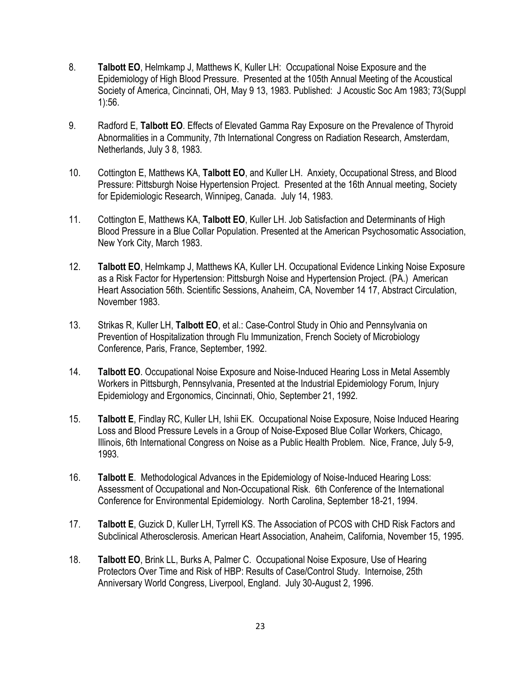- 8. **Talbott EO**, Helmkamp J, Matthews K, Kuller LH: Occupational Noise Exposure and the Epidemiology of High Blood Pressure. Presented at the 105th Annual Meeting of the Acoustical Society of America, Cincinnati, OH, May 9 13, 1983. Published: J Acoustic Soc Am 1983; 73(Suppl 1):56.
- 9. Radford E, **Talbott EO**. Effects of Elevated Gamma Ray Exposure on the Prevalence of Thyroid Abnormalities in a Community, 7th International Congress on Radiation Research, Amsterdam, Netherlands, July 3 8, 1983.
- 10. Cottington E, Matthews KA, **Talbott EO**, and Kuller LH. Anxiety, Occupational Stress, and Blood Pressure: Pittsburgh Noise Hypertension Project. Presented at the 16th Annual meeting, Society for Epidemiologic Research, Winnipeg, Canada. July 14, 1983.
- 11. Cottington E, Matthews KA, **Talbott EO**, Kuller LH. Job Satisfaction and Determinants of High Blood Pressure in a Blue Collar Population. Presented at the American Psychosomatic Association, New York City, March 1983.
- 12. **Talbott EO**, Helmkamp J, Matthews KA, Kuller LH. Occupational Evidence Linking Noise Exposure as a Risk Factor for Hypertension: Pittsburgh Noise and Hypertension Project. (PA.) American Heart Association 56th. Scientific Sessions, Anaheim, CA, November 14 17, Abstract Circulation, November 1983.
- 13. Strikas R, Kuller LH, **Talbott EO**, et al.: Case-Control Study in Ohio and Pennsylvania on Prevention of Hospitalization through Flu Immunization, French Society of Microbiology Conference, Paris, France, September, 1992.
- 14. **Talbott EO**. Occupational Noise Exposure and Noise-Induced Hearing Loss in Metal Assembly Workers in Pittsburgh, Pennsylvania, Presented at the Industrial Epidemiology Forum, Injury Epidemiology and Ergonomics, Cincinnati, Ohio, September 21, 1992.
- 15. **Talbott E**, Findlay RC, Kuller LH, Ishii EK. Occupational Noise Exposure, Noise Induced Hearing Loss and Blood Pressure Levels in a Group of Noise-Exposed Blue Collar Workers, Chicago, Illinois, 6th International Congress on Noise as a Public Health Problem. Nice, France, July 5-9, 1993.
- 16. **Talbott E**. Methodological Advances in the Epidemiology of Noise-Induced Hearing Loss: Assessment of Occupational and Non-Occupational Risk. 6th Conference of the International Conference for Environmental Epidemiology. North Carolina, September 18-21, 1994.
- 17. **Talbott E**, Guzick D, Kuller LH, Tyrrell KS. The Association of PCOS with CHD Risk Factors and Subclinical Atherosclerosis. American Heart Association, Anaheim, California, November 15, 1995.
- 18. **Talbott EO**, Brink LL, Burks A, Palmer C. Occupational Noise Exposure, Use of Hearing Protectors Over Time and Risk of HBP: Results of Case/Control Study. Internoise, 25th Anniversary World Congress, Liverpool, England. July 30-August 2, 1996.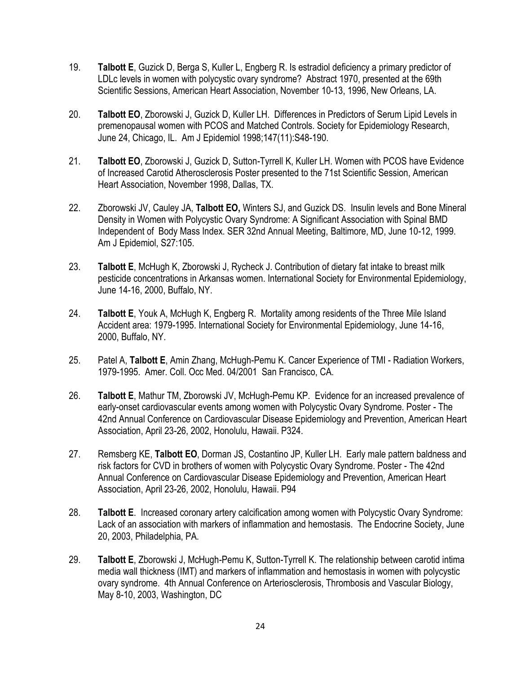- 19. **Talbott E**, Guzick D, Berga S, Kuller L, Engberg R. Is estradiol deficiency a primary predictor of LDLc levels in women with polycystic ovary syndrome? Abstract 1970, presented at the 69th Scientific Sessions, American Heart Association, November 10-13, 1996, New Orleans, LA.
- 20. **Talbott EO**, Zborowski J, Guzick D, Kuller LH. Differences in Predictors of Serum Lipid Levels in premenopausal women with PCOS and Matched Controls. Society for Epidemiology Research, June 24, Chicago, IL. Am J Epidemiol 1998;147(11):S48-190.
- 21. **Talbott EO**, Zborowski J, Guzick D, Sutton-Tyrrell K, Kuller LH. Women with PCOS have Evidence of Increased Carotid Atherosclerosis Poster presented to the 71st Scientific Session, American Heart Association, November 1998, Dallas, TX.
- 22. Zborowski JV, Cauley JA, **Talbott EO,** Winters SJ, and Guzick DS. Insulin levels and Bone Mineral Density in Women with Polycystic Ovary Syndrome: A Significant Association with Spinal BMD Independent of Body Mass Index. SER 32nd Annual Meeting, Baltimore, MD, June 10-12, 1999. Am J Epidemiol, S27:105.
- 23. **Talbott E**, McHugh K, Zborowski J, Rycheck J. Contribution of dietary fat intake to breast milk pesticide concentrations in Arkansas women. International Society for Environmental Epidemiology, June 14-16, 2000, Buffalo, NY.
- 24. **Talbott E**, Youk A, McHugh K, Engberg R. Mortality among residents of the Three Mile Island Accident area: 1979-1995. International Society for Environmental Epidemiology, June 14-16, 2000, Buffalo, NY.
- 25. Patel A, **Talbott E**, Amin Zhang, McHugh-Pemu K. Cancer Experience of TMI Radiation Workers, 1979-1995. Amer. Coll. Occ Med. 04/2001 San Francisco, CA.
- 26. **Talbott E**, Mathur TM, Zborowski JV, McHugh-Pemu KP. Evidence for an increased prevalence of early-onset cardiovascular events among women with Polycystic Ovary Syndrome. Poster - The 42nd Annual Conference on Cardiovascular Disease Epidemiology and Prevention, American Heart Association, April 23-26, 2002, Honolulu, Hawaii. P324.
- 27. Remsberg KE, **Talbott EO**, Dorman JS, Costantino JP, Kuller LH. Early male pattern baldness and risk factors for CVD in brothers of women with Polycystic Ovary Syndrome. Poster - The 42nd Annual Conference on Cardiovascular Disease Epidemiology and Prevention, American Heart Association, April 23-26, 2002, Honolulu, Hawaii. P94
- 28. **Talbott E**. Increased coronary artery calcification among women with Polycystic Ovary Syndrome: Lack of an association with markers of inflammation and hemostasis. The Endocrine Society, June 20, 2003, Philadelphia, PA.
- 29. **Talbott E**, Zborowski J, McHugh-Pemu K, Sutton-Tyrrell K. The relationship between carotid intima media wall thickness (IMT) and markers of inflammation and hemostasis in women with polycystic ovary syndrome. 4th Annual Conference on Arteriosclerosis, Thrombosis and Vascular Biology, May 8-10, 2003, Washington, DC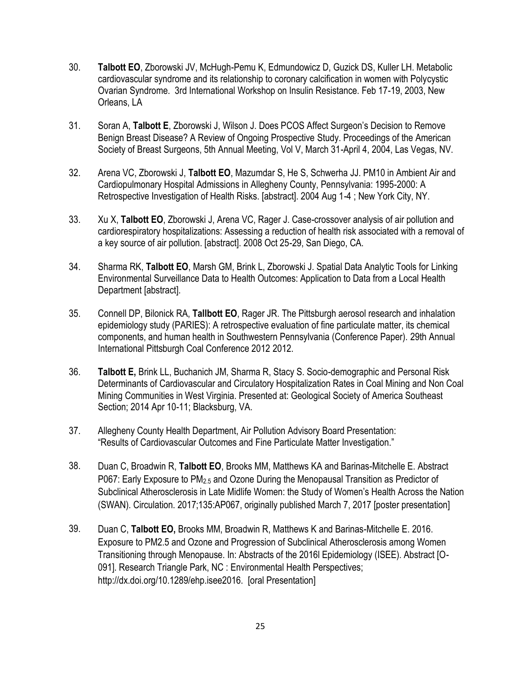- 30. **Talbott EO**, Zborowski JV, McHugh-Pemu K, Edmundowicz D, Guzick DS, Kuller LH. Metabolic cardiovascular syndrome and its relationship to coronary calcification in women with Polycystic Ovarian Syndrome. 3rd International Workshop on Insulin Resistance. Feb 17-19, 2003, New Orleans, LA
- 31. Soran A, **Talbott E**, Zborowski J, Wilson J. Does PCOS Affect Surgeon's Decision to Remove Benign Breast Disease? A Review of Ongoing Prospective Study. Proceedings of the American Society of Breast Surgeons, 5th Annual Meeting, Vol V, March 31-April 4, 2004, Las Vegas, NV.
- 32. Arena VC, Zborowski J, **Talbott EO**, Mazumdar S, He S, Schwerha JJ. PM10 in Ambient Air and Cardiopulmonary Hospital Admissions in Allegheny County, Pennsylvania: 1995-2000: A Retrospective Investigation of Health Risks. [abstract]. 2004 Aug 1-4 ; New York City, NY.
- 33. Xu X, **Talbott EO**, Zborowski J, Arena VC, Rager J. Case-crossover analysis of air pollution and cardiorespiratory hospitalizations: Assessing a reduction of health risk associated with a removal of a key source of air pollution. [abstract]. 2008 Oct 25-29, San Diego, CA.
- 34. Sharma RK, **Talbott EO**, Marsh GM, Brink L, Zborowski J. Spatial Data Analytic Tools for Linking Environmental Surveillance Data to Health Outcomes: Application to Data from a Local Health Department [abstract].
- 35. Connell DP, Bilonick RA, **Tallbott EO**, Rager JR. The Pittsburgh aerosol research and inhalation epidemiology study (PARIES): A retrospective evaluation of fine particulate matter, its chemical components, and human health in Southwestern Pennsylvania (Conference Paper). 29th Annual International Pittsburgh Coal Conference 2012 2012.
- 36. **Talbott E,** Brink LL, Buchanich JM, Sharma R, Stacy S. Socio-demographic and Personal Risk Determinants of Cardiovascular and Circulatory Hospitalization Rates in Coal Mining and Non Coal Mining Communities in West Virginia. Presented at: Geological Society of America Southeast Section; 2014 Apr 10-11; Blacksburg, VA.
- 37. Allegheny County Health Department, Air Pollution Advisory Board Presentation: "Results of Cardiovascular Outcomes and Fine Particulate Matter Investigation."
- 38. Duan C, Broadwin R, **Talbott EO**, Brooks MM, Matthews KA and Barinas-Mitchelle E. Abstract P067: Early Exposure to PM2.5 and Ozone During the Menopausal Transition as Predictor of Subclinical Atherosclerosis in Late Midlife Women: the Study of Women's Health Across the Nation (SWAN). Circulation. 2017;135:AP067, originally published March 7, 2017 [poster presentation]
- 39. Duan C, **Talbott EO,** Brooks MM, Broadwin R, Matthews K and Barinas-Mitchelle E. 2016. Exposure to PM2.5 and Ozone and Progression of Subclinical Atherosclerosis among Women Transitioning through Menopause. In: Abstracts of the 2016l Epidemiology (ISEE). Abstract [O-091]. Research Triangle Park, NC : Environmental Health Perspectives; http://dx.doi.org/10.1289/ehp.isee2016. [oral Presentation]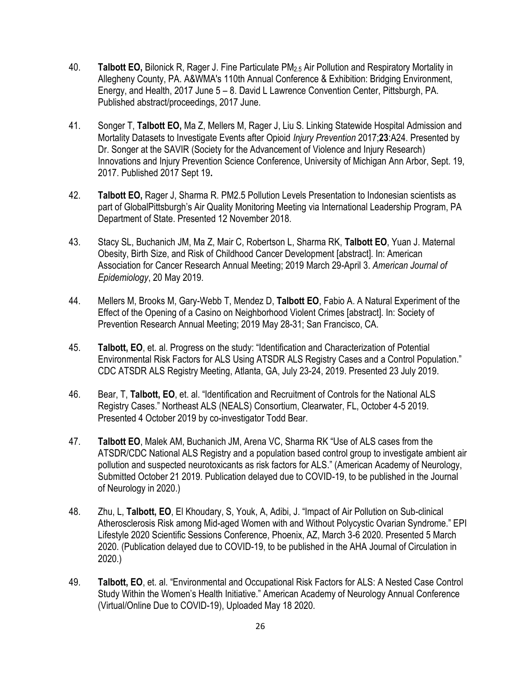- 40. **Talbott EO,** Bilonick R, Rager J. Fine Particulate PM2.5 Air Pollution and Respiratory Mortality in Allegheny County, PA. A&WMA's 110th Annual Conference & Exhibition: Bridging Environment, Energy, and Health, 2017 June 5 – 8. David L Lawrence Convention Center, Pittsburgh, PA. Published abstract/proceedings, 2017 June.
- 41. Songer T, **Talbott EO,** Ma Z, Mellers M, Rager J, Liu S. Linking Statewide Hospital Admission and Mortality Datasets to Investigate Events after Opioid *Injury Prevention* 2017;**23**:A24. Presented by Dr. Songer at the SAVIR (Society for the Advancement of Violence and Injury Research) Innovations and Injury Prevention Science Conference, University of Michigan Ann Arbor, Sept. 19, 2017. Published 2017 Sept 19**.**
- 42. **Talbott EO,** Rager J, Sharma R. PM2.5 Pollution Levels Presentation to Indonesian scientists as part of GlobalPittsburgh's Air Quality Monitoring Meeting via International Leadership Program, PA Department of State. Presented 12 November 2018.
- 43. Stacy SL, Buchanich JM, Ma Z, Mair C, Robertson L, Sharma RK, **Talbott EO**, Yuan J. Maternal Obesity, Birth Size, and Risk of Childhood Cancer Development [abstract]. In: American Association for Cancer Research Annual Meeting; 2019 March 29-April 3. *American Journal of Epidemiology*, 20 May 2019.
- 44. Mellers M, Brooks M, Gary-Webb T, Mendez D, **Talbott EO**, Fabio A. A Natural Experiment of the Effect of the Opening of a Casino on Neighborhood Violent Crimes [abstract]. In: Society of Prevention Research Annual Meeting; 2019 May 28-31; San Francisco, CA.
- 45. **Talbott, EO**, et. al. Progress on the study: "Identification and Characterization of Potential Environmental Risk Factors for ALS Using ATSDR ALS Registry Cases and a Control Population." CDC ATSDR ALS Registry Meeting, Atlanta, GA, July 23-24, 2019. Presented 23 July 2019.
- 46. Bear, T, **Talbott, EO**, et. al. "Identification and Recruitment of Controls for the National ALS Registry Cases." Northeast ALS (NEALS) Consortium, Clearwater, FL, October 4-5 2019. Presented 4 October 2019 by co-investigator Todd Bear.
- 47. **Talbott EO**, Malek AM, Buchanich JM, Arena VC, Sharma RK "Use of ALS cases from the ATSDR/CDC National ALS Registry and a population based control group to investigate ambient air pollution and suspected neurotoxicants as risk factors for ALS." (American Academy of Neurology, Submitted October 21 2019. Publication delayed due to COVID-19, to be published in the Journal of Neurology in 2020.)
- 48. Zhu, L, **Talbott, EO**, El Khoudary, S, Youk, A, Adibi, J. "Impact of Air Pollution on Sub-clinical Atherosclerosis Risk among Mid-aged Women with and Without Polycystic Ovarian Syndrome." EPI Lifestyle 2020 Scientific Sessions Conference, Phoenix, AZ, March 3-6 2020. Presented 5 March 2020. (Publication delayed due to COVID-19, to be published in the AHA Journal of Circulation in 2020.)
- 49. **Talbott, EO**, et. al. "Environmental and Occupational Risk Factors for ALS: A Nested Case Control Study Within the Women's Health Initiative." American Academy of Neurology Annual Conference (Virtual/Online Due to COVID-19), Uploaded May 18 2020.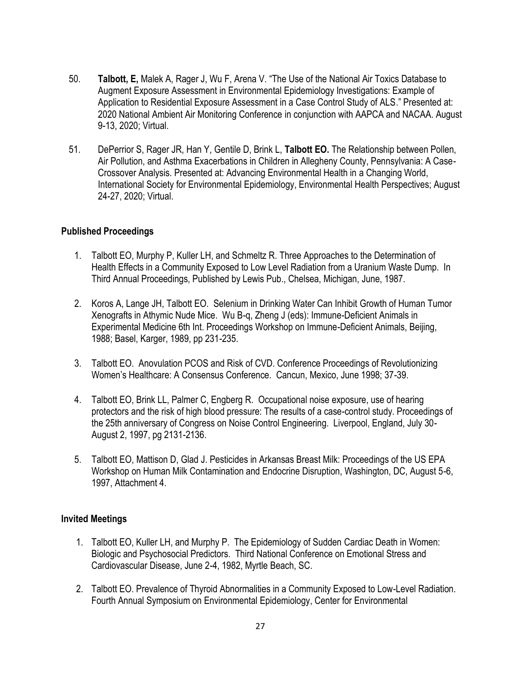- 50. **Talbott, E,** Malek A, Rager J, Wu F, Arena V. "The Use of the National Air Toxics Database to Augment Exposure Assessment in Environmental Epidemiology Investigations: Example of Application to Residential Exposure Assessment in a Case Control Study of ALS." Presented at: 2020 National Ambient Air Monitoring Conference in conjunction with AAPCA and NACAA. August 9-13, 2020; Virtual.
- 51. DePerrior S, Rager JR, Han Y, Gentile D, Brink L, **Talbott EO.** The Relationship between Pollen, Air Pollution, and Asthma Exacerbations in Children in Allegheny County, Pennsylvania: A Case-Crossover Analysis. Presented at: Advancing Environmental Health in a Changing World, International Society for Environmental Epidemiology, Environmental Health Perspectives; August 24-27, 2020; Virtual.

#### **Published Proceedings**

- 1. Talbott EO, Murphy P, Kuller LH, and Schmeltz R. Three Approaches to the Determination of Health Effects in a Community Exposed to Low Level Radiation from a Uranium Waste Dump. In Third Annual Proceedings, Published by Lewis Pub., Chelsea, Michigan, June, 1987.
- 2. Koros A, Lange JH, Talbott EO. Selenium in Drinking Water Can Inhibit Growth of Human Tumor Xenografts in Athymic Nude Mice. Wu B-q, Zheng J (eds): Immune-Deficient Animals in Experimental Medicine 6th Int. Proceedings Workshop on Immune-Deficient Animals, Beijing, 1988; Basel, Karger, 1989, pp 231-235.
- 3. Talbott EO. Anovulation PCOS and Risk of CVD. Conference Proceedings of Revolutionizing Women's Healthcare: A Consensus Conference. Cancun, Mexico, June 1998; 37-39.
- 4. Talbott EO, Brink LL, Palmer C, Engberg R. Occupational noise exposure, use of hearing protectors and the risk of high blood pressure: The results of a case-control study. Proceedings of the 25th anniversary of Congress on Noise Control Engineering. Liverpool, England, July 30- August 2, 1997, pg 2131-2136.
- 5. Talbott EO, Mattison D, Glad J. Pesticides in Arkansas Breast Milk: Proceedings of the US EPA Workshop on Human Milk Contamination and Endocrine Disruption, Washington, DC, August 5-6, 1997, Attachment 4.

#### **Invited Meetings**

- 1. Talbott EO, Kuller LH, and Murphy P. The Epidemiology of Sudden Cardiac Death in Women: Biologic and Psychosocial Predictors. Third National Conference on Emotional Stress and Cardiovascular Disease, June 2-4, 1982, Myrtle Beach, SC.
- 2. Talbott EO. Prevalence of Thyroid Abnormalities in a Community Exposed to Low-Level Radiation. Fourth Annual Symposium on Environmental Epidemiology, Center for Environmental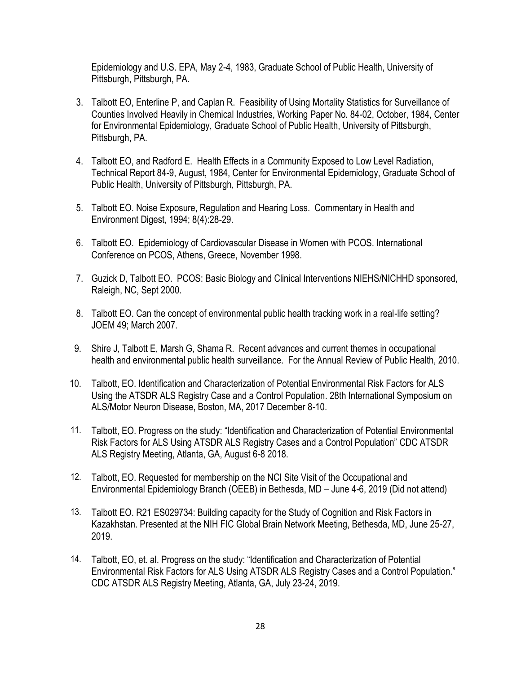Epidemiology and U.S. EPA, May 2-4, 1983, Graduate School of Public Health, University of Pittsburgh, Pittsburgh, PA.

- 3. Talbott EO, Enterline P, and Caplan R. Feasibility of Using Mortality Statistics for Surveillance of Counties Involved Heavily in Chemical Industries, Working Paper No. 84-02, October, 1984, Center for Environmental Epidemiology, Graduate School of Public Health, University of Pittsburgh, Pittsburgh, PA.
- 4. Talbott EO, and Radford E. Health Effects in a Community Exposed to Low Level Radiation, Technical Report 84-9, August, 1984, Center for Environmental Epidemiology, Graduate School of Public Health, University of Pittsburgh, Pittsburgh, PA.
- 5. Talbott EO. Noise Exposure, Regulation and Hearing Loss. Commentary in Health and Environment Digest, 1994; 8(4):28-29.
- 6. Talbott EO. Epidemiology of Cardiovascular Disease in Women with PCOS. International Conference on PCOS, Athens, Greece, November 1998.
- 7. Guzick D, Talbott EO. PCOS: Basic Biology and Clinical Interventions NIEHS/NICHHD sponsored, Raleigh, NC, Sept 2000.
- 8. Talbott EO. Can the concept of environmental public health tracking work in a real-life setting? JOEM 49; March 2007.
- 9. Shire J, Talbott E, Marsh G, Shama R. Recent advances and current themes in occupational health and environmental public health surveillance. For the Annual Review of Public Health, 2010.
- 10. Talbott, EO. Identification and Characterization of Potential Environmental Risk Factors for ALS Using the ATSDR ALS Registry Case and a Control Population. 28th International Symposium on ALS/Motor Neuron Disease, Boston, MA, 2017 December 8-10.
- 11. Talbott, EO. Progress on the study: "Identification and Characterization of Potential Environmental Risk Factors for ALS Using ATSDR ALS Registry Cases and a Control Population" CDC ATSDR ALS Registry Meeting, Atlanta, GA, August 6-8 2018.
- 12. Talbott, EO. Requested for membership on the NCI Site Visit of the Occupational and Environmental Epidemiology Branch (OEEB) in Bethesda, MD – June 4-6, 2019 (Did not attend)
- 13. Talbott EO. R21 ES029734: Building capacity for the Study of Cognition and Risk Factors in Kazakhstan. Presented at the NIH FIC Global Brain Network Meeting, Bethesda, MD, June 25-27, 2019.
- 14. Talbott, EO, et. al. Progress on the study: "Identification and Characterization of Potential Environmental Risk Factors for ALS Using ATSDR ALS Registry Cases and a Control Population." CDC ATSDR ALS Registry Meeting, Atlanta, GA, July 23-24, 2019.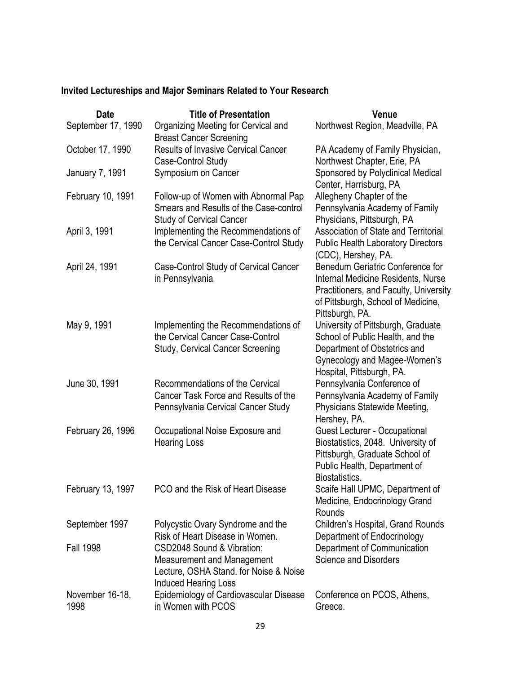# **Invited Lectureships and Major Seminars Related to Your Research**

| <b>Date</b>             | <b>Title of Presentation</b>                                                                                                             | <b>Venue</b>                                                                                                                                                              |
|-------------------------|------------------------------------------------------------------------------------------------------------------------------------------|---------------------------------------------------------------------------------------------------------------------------------------------------------------------------|
| September 17, 1990      | Organizing Meeting for Cervical and<br><b>Breast Cancer Screening</b>                                                                    | Northwest Region, Meadville, PA                                                                                                                                           |
| October 17, 1990        | <b>Results of Invasive Cervical Cancer</b><br>Case-Control Study                                                                         | PA Academy of Family Physician,<br>Northwest Chapter, Erie, PA                                                                                                            |
| January 7, 1991         | Symposium on Cancer                                                                                                                      | Sponsored by Polyclinical Medical<br>Center, Harrisburg, PA                                                                                                               |
| February 10, 1991       | Follow-up of Women with Abnormal Pap<br>Smears and Results of the Case-control<br><b>Study of Cervical Cancer</b>                        | Allegheny Chapter of the<br>Pennsylvania Academy of Family<br>Physicians, Pittsburgh, PA                                                                                  |
| April 3, 1991           | Implementing the Recommendations of<br>the Cervical Cancer Case-Control Study                                                            | <b>Association of State and Territorial</b><br><b>Public Health Laboratory Directors</b><br>(CDC), Hershey, PA.                                                           |
| April 24, 1991          | Case-Control Study of Cervical Cancer<br>in Pennsylvania                                                                                 | Benedum Geriatric Conference for<br>Internal Medicine Residents, Nurse<br>Practitioners, and Faculty, University<br>of Pittsburgh, School of Medicine,<br>Pittsburgh, PA. |
| May 9, 1991             | Implementing the Recommendations of<br>the Cervical Cancer Case-Control<br><b>Study, Cervical Cancer Screening</b>                       | University of Pittsburgh, Graduate<br>School of Public Health, and the<br>Department of Obstetrics and<br>Gynecology and Magee-Women's<br>Hospital, Pittsburgh, PA.       |
| June 30, 1991           | Recommendations of the Cervical<br>Cancer Task Force and Results of the<br>Pennsylvania Cervical Cancer Study                            | Pennsylvania Conference of<br>Pennsylvania Academy of Family<br>Physicians Statewide Meeting,<br>Hershey, PA.                                                             |
| February 26, 1996       | Occupational Noise Exposure and<br><b>Hearing Loss</b>                                                                                   | Guest Lecturer - Occupational<br>Biostatistics, 2048. University of<br>Pittsburgh, Graduate School of<br>Public Health, Department of<br>Biostatistics.                   |
| February 13, 1997       | PCO and the Risk of Heart Disease                                                                                                        | Scaife Hall UPMC, Department of<br>Medicine, Endocrinology Grand<br>Rounds                                                                                                |
| September 1997          | Polycystic Ovary Syndrome and the<br>Risk of Heart Disease in Women.                                                                     | Children's Hospital, Grand Rounds<br>Department of Endocrinology                                                                                                          |
| <b>Fall 1998</b>        | CSD2048 Sound & Vibration:<br><b>Measurement and Management</b><br>Lecture, OSHA Stand. for Noise & Noise<br><b>Induced Hearing Loss</b> | Department of Communication<br><b>Science and Disorders</b>                                                                                                               |
| November 16-18,<br>1998 | Epidemiology of Cardiovascular Disease<br>in Women with PCOS                                                                             | Conference on PCOS, Athens,<br>Greece.                                                                                                                                    |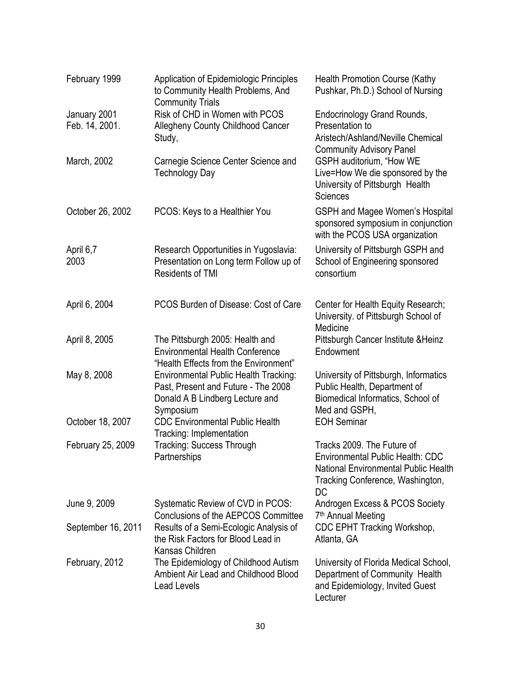| February 1999                  | <b>Application of Epidemiologic Principles</b><br>to Community Health Problems, And<br><b>Community Trials</b>                      | <b>Health Promotion Course (Kathy</b><br>Pushkar, Ph.D.) School of Nursing                                                                                     |
|--------------------------------|-------------------------------------------------------------------------------------------------------------------------------------|----------------------------------------------------------------------------------------------------------------------------------------------------------------|
| January 2001<br>Feb. 14, 2001. | Risk of CHD in Women with PCOS<br>Allegheny County Childhood Cancer<br>Study,                                                       | <b>Endocrinology Grand Rounds,</b><br>Presentation to<br>Aristech/Ashland/Neville Chemical<br><b>Community Advisory Panel</b>                                  |
| March, 2002                    | Carnegie Science Center Science and<br><b>Technology Day</b>                                                                        | GSPH auditorium, "How WE<br>Live=How We die sponsored by the<br>University of Pittsburgh Health<br><b>Sciences</b>                                             |
| October 26, 2002               | PCOS: Keys to a Healthier You                                                                                                       | <b>GSPH and Magee Women's Hospital</b><br>sponsored symposium in conjunction<br>with the PCOS USA organization                                                 |
| April 6,7<br>2003              | Research Opportunities in Yugoslavia:<br>Presentation on Long term Follow up of<br><b>Residents of TMI</b>                          | University of Pittsburgh GSPH and<br>School of Engineering sponsored<br>consortium                                                                             |
| April 6, 2004                  | PCOS Burden of Disease: Cost of Care                                                                                                | Center for Health Equity Research;<br>University. of Pittsburgh School of<br>Medicine                                                                          |
| April 8, 2005                  | The Pittsburgh 2005: Health and<br><b>Environmental Health Conference</b><br>"Health Effects from the Environment"                  | Pittsburgh Cancer Institute & Heinz<br>Endowment                                                                                                               |
| May 8, 2008                    | <b>Environmental Public Health Tracking:</b><br>Past, Present and Future - The 2008<br>Donald A B Lindberg Lecture and<br>Symposium | University of Pittsburgh, Informatics<br>Public Health, Department of<br>Biomedical Informatics, School of<br>Med and GSPH,                                    |
| October 18, 2007               | <b>CDC Environmental Public Health</b><br>Tracking: Implementation                                                                  | <b>EOH Seminar</b>                                                                                                                                             |
| February 25, 2009              | <b>Tracking: Success Through</b><br>Partnerships                                                                                    | Tracks 2009. The Future of<br><b>Environmental Public Health: CDC</b><br><b>National Environmental Public Health</b><br>Tracking Conference, Washington,<br>DC |
| June 9, 2009                   | Systematic Review of CVD in PCOS:<br>Conclusions of the AEPCOS Committee                                                            | Androgen Excess & PCOS Society<br>7 <sup>th</sup> Annual Meeting                                                                                               |
| September 16, 2011             | Results of a Semi-Ecologic Analysis of<br>the Risk Factors for Blood Lead in<br>Kansas Children                                     | CDC EPHT Tracking Workshop,<br>Atlanta, GA                                                                                                                     |
| February, 2012                 | The Epidemiology of Childhood Autism<br>Ambient Air Lead and Childhood Blood<br><b>Lead Levels</b>                                  | University of Florida Medical School,<br>Department of Community Health<br>and Epidemiology, Invited Guest<br>Lecturer                                         |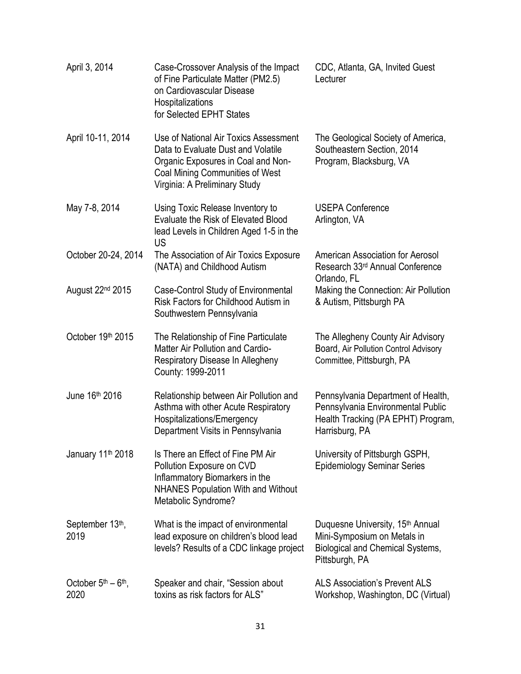| April 3, 2014                                       | Case-Crossover Analysis of the Impact<br>of Fine Particulate Matter (PM2.5)<br>on Cardiovascular Disease<br>Hospitalizations<br>for Selected EPHT States                                     | CDC, Atlanta, GA, Invited Guest<br>Lecturer                                                                                       |
|-----------------------------------------------------|----------------------------------------------------------------------------------------------------------------------------------------------------------------------------------------------|-----------------------------------------------------------------------------------------------------------------------------------|
| April 10-11, 2014                                   | Use of National Air Toxics Assessment<br>Data to Evaluate Dust and Volatile<br>Organic Exposures in Coal and Non-<br><b>Coal Mining Communities of West</b><br>Virginia: A Preliminary Study | The Geological Society of America,<br>Southeastern Section, 2014<br>Program, Blacksburg, VA                                       |
| May 7-8, 2014                                       | Using Toxic Release Inventory to<br>Evaluate the Risk of Elevated Blood<br>lead Levels in Children Aged 1-5 in the<br>US                                                                     | <b>USEPA Conference</b><br>Arlington, VA                                                                                          |
| October 20-24, 2014                                 | The Association of Air Toxics Exposure<br>(NATA) and Childhood Autism                                                                                                                        | American Association for Aerosol<br>Research 33rd Annual Conference<br>Orlando, FL                                                |
| August 22 <sup>nd</sup> 2015                        | Case-Control Study of Environmental<br>Risk Factors for Childhood Autism in<br>Southwestern Pennsylvania                                                                                     | Making the Connection: Air Pollution<br>& Autism, Pittsburgh PA                                                                   |
| October 19th 2015                                   | The Relationship of Fine Particulate<br><b>Matter Air Pollution and Cardio-</b><br>Respiratory Disease In Allegheny<br>County: 1999-2011                                                     | The Allegheny County Air Advisory<br>Board, Air Pollution Control Advisory<br>Committee, Pittsburgh, PA                           |
| June 16th 2016                                      | Relationship between Air Pollution and<br>Asthma with other Acute Respiratory<br>Hospitalizations/Emergency<br>Department Visits in Pennsylvania                                             | Pennsylvania Department of Health,<br>Pennsylvania Environmental Public<br>Health Tracking (PA EPHT) Program,<br>Harrisburg, PA   |
| January 11 <sup>th</sup> 2018                       | Is There an Effect of Fine PM Air<br>Pollution Exposure on CVD<br>Inflammatory Biomarkers in the<br><b>NHANES Population With and Without</b><br>Metabolic Syndrome?                         | University of Pittsburgh GSPH,<br><b>Epidemiology Seminar Series</b>                                                              |
| September 13th,<br>2019                             | What is the impact of environmental<br>lead exposure on children's blood lead<br>levels? Results of a CDC linkage project                                                                    | Duquesne University, 15 <sup>th</sup> Annual<br>Mini-Symposium on Metals in<br>Biological and Chemical Systems,<br>Pittsburgh, PA |
| October 5 <sup>th</sup> – 6 <sup>th</sup> ,<br>2020 | Speaker and chair, "Session about<br>toxins as risk factors for ALS"                                                                                                                         | <b>ALS Association's Prevent ALS</b><br>Workshop, Washington, DC (Virtual)                                                        |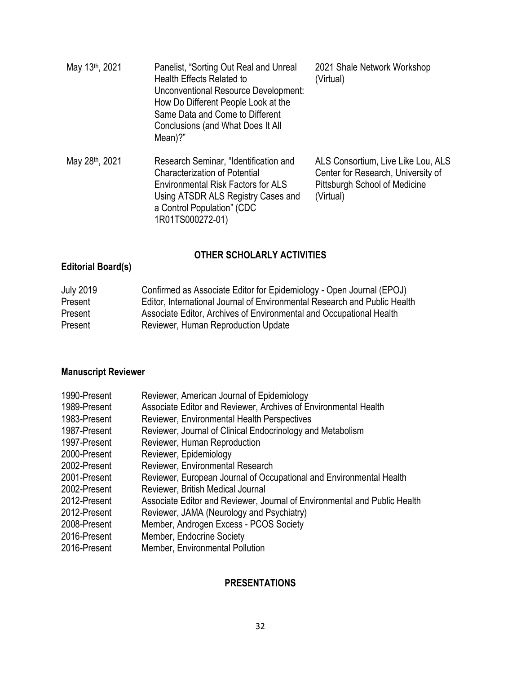| May 13th, 2021 | Panelist, "Sorting Out Real and Unreal<br>Health Effects Related to<br>Unconventional Resource Development:<br>How Do Different People Look at the<br>Same Data and Come to Different<br>Conclusions (and What Does It All<br>Mean)?" | 2021 Shale Network Workshop<br>(Virtual)                                                                               |
|----------------|---------------------------------------------------------------------------------------------------------------------------------------------------------------------------------------------------------------------------------------|------------------------------------------------------------------------------------------------------------------------|
| May 28th, 2021 | Research Seminar, "Identification and<br><b>Characterization of Potential</b><br><b>Environmental Risk Factors for ALS</b><br>Using ATSDR ALS Registry Cases and<br>a Control Population" (CDC<br>1R01TS000272-01)                    | ALS Consortium, Live Like Lou, ALS<br>Center for Research, University of<br>Pittsburgh School of Medicine<br>(Virtual) |

# **OTHER SCHOLARLY ACTIVITIES**

# **Editorial Board(s)**

| <b>July 2019</b> | Confirmed as Associate Editor for Epidemiology - Open Journal (EPOJ)      |
|------------------|---------------------------------------------------------------------------|
| Present          | Editor, International Journal of Environmental Research and Public Health |
| Present          | Associate Editor, Archives of Environmental and Occupational Health       |
| Present          | Reviewer, Human Reproduction Update                                       |

# **Manuscript Reviewer**

| 1990-Present | Reviewer, American Journal of Epidemiology                                |
|--------------|---------------------------------------------------------------------------|
| 1989-Present | Associate Editor and Reviewer, Archives of Environmental Health           |
| 1983-Present | Reviewer, Environmental Health Perspectives                               |
| 1987-Present | Reviewer, Journal of Clinical Endocrinology and Metabolism                |
| 1997-Present | Reviewer, Human Reproduction                                              |
| 2000-Present | Reviewer, Epidemiology                                                    |
| 2002-Present | Reviewer, Environmental Research                                          |
| 2001-Present | Reviewer, European Journal of Occupational and Environmental Health       |
| 2002-Present | Reviewer, British Medical Journal                                         |
| 2012-Present | Associate Editor and Reviewer, Journal of Environmental and Public Health |
| 2012-Present | Reviewer, JAMA (Neurology and Psychiatry)                                 |
| 2008-Present | Member, Androgen Excess - PCOS Society                                    |
| 2016-Present | Member, Endocrine Society                                                 |
| 2016-Present | Member, Environmental Pollution                                           |

## **PRESENTATIONS**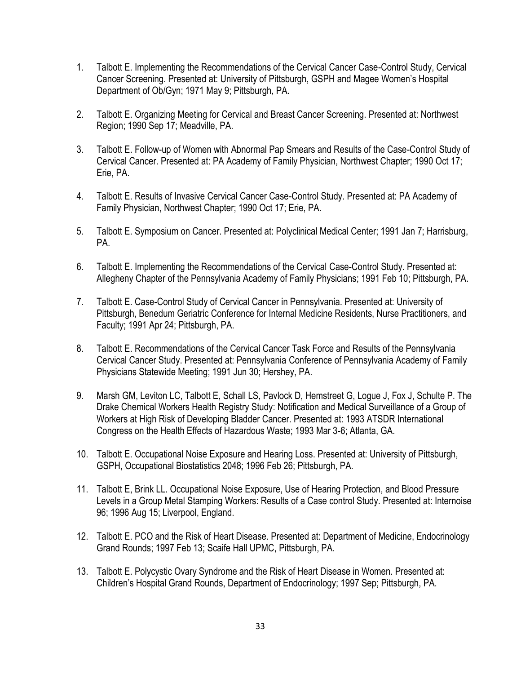- 1. Talbott E. Implementing the Recommendations of the Cervical Cancer Case-Control Study, Cervical Cancer Screening. Presented at: University of Pittsburgh, GSPH and Magee Women's Hospital Department of Ob/Gyn; 1971 May 9; Pittsburgh, PA.
- 2. Talbott E. Organizing Meeting for Cervical and Breast Cancer Screening. Presented at: Northwest Region; 1990 Sep 17; Meadville, PA.
- 3. Talbott E. Follow-up of Women with Abnormal Pap Smears and Results of the Case-Control Study of Cervical Cancer. Presented at: PA Academy of Family Physician, Northwest Chapter; 1990 Oct 17; Erie, PA.
- 4. Talbott E. Results of Invasive Cervical Cancer Case-Control Study. Presented at: PA Academy of Family Physician, Northwest Chapter; 1990 Oct 17; Erie, PA.
- 5. Talbott E. Symposium on Cancer. Presented at: Polyclinical Medical Center; 1991 Jan 7; Harrisburg, PA.
- 6. Talbott E. Implementing the Recommendations of the Cervical Case-Control Study. Presented at: Allegheny Chapter of the Pennsylvania Academy of Family Physicians; 1991 Feb 10; Pittsburgh, PA.
- 7. Talbott E. Case-Control Study of Cervical Cancer in Pennsylvania. Presented at: University of Pittsburgh, Benedum Geriatric Conference for Internal Medicine Residents, Nurse Practitioners, and Faculty; 1991 Apr 24; Pittsburgh, PA.
- 8. Talbott E. Recommendations of the Cervical Cancer Task Force and Results of the Pennsylvania Cervical Cancer Study. Presented at: Pennsylvania Conference of Pennsylvania Academy of Family Physicians Statewide Meeting; 1991 Jun 30; Hershey, PA.
- 9. Marsh GM, Leviton LC, Talbott E, Schall LS, Pavlock D, Hemstreet G, Logue J, Fox J, Schulte P. The Drake Chemical Workers Health Registry Study: Notification and Medical Surveillance of a Group of Workers at High Risk of Developing Bladder Cancer. Presented at: 1993 ATSDR International Congress on the Health Effects of Hazardous Waste; 1993 Mar 3-6; Atlanta, GA.
- 10. Talbott E. Occupational Noise Exposure and Hearing Loss. Presented at: University of Pittsburgh, GSPH, Occupational Biostatistics 2048; 1996 Feb 26; Pittsburgh, PA.
- 11. Talbott E, Brink LL. Occupational Noise Exposure, Use of Hearing Protection, and Blood Pressure Levels in a Group Metal Stamping Workers: Results of a Case control Study. Presented at: Internoise 96; 1996 Aug 15; Liverpool, England.
- 12. Talbott E. PCO and the Risk of Heart Disease. Presented at: Department of Medicine, Endocrinology Grand Rounds; 1997 Feb 13; Scaife Hall UPMC, Pittsburgh, PA.
- 13. Talbott E. Polycystic Ovary Syndrome and the Risk of Heart Disease in Women. Presented at: Children's Hospital Grand Rounds, Department of Endocrinology; 1997 Sep; Pittsburgh, PA.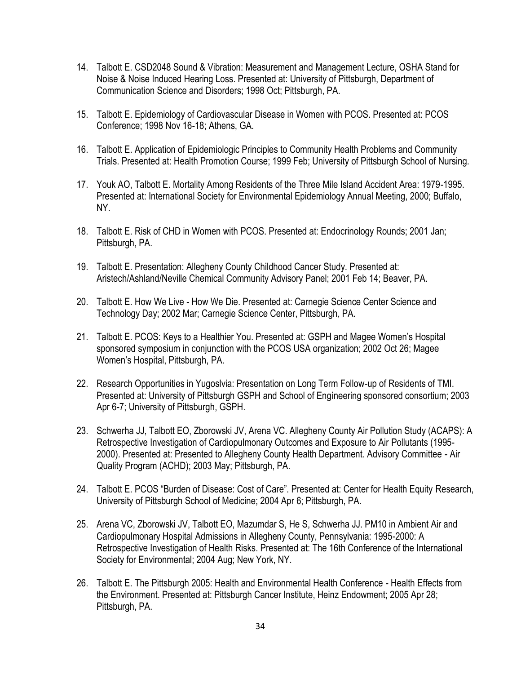- 14. Talbott E. CSD2048 Sound & Vibration: Measurement and Management Lecture, OSHA Stand for Noise & Noise Induced Hearing Loss. Presented at: University of Pittsburgh, Department of Communication Science and Disorders; 1998 Oct; Pittsburgh, PA.
- 15. Talbott E. Epidemiology of Cardiovascular Disease in Women with PCOS. Presented at: PCOS Conference; 1998 Nov 16-18; Athens, GA.
- 16. Talbott E. Application of Epidemiologic Principles to Community Health Problems and Community Trials. Presented at: Health Promotion Course; 1999 Feb; University of Pittsburgh School of Nursing.
- 17. Youk AO, Talbott E. Mortality Among Residents of the Three Mile Island Accident Area: 1979-1995. Presented at: International Society for Environmental Epidemiology Annual Meeting, 2000; Buffalo, NY.
- 18. Talbott E. Risk of CHD in Women with PCOS. Presented at: Endocrinology Rounds; 2001 Jan; Pittsburgh, PA.
- 19. Talbott E. Presentation: Allegheny County Childhood Cancer Study. Presented at: Aristech/Ashland/Neville Chemical Community Advisory Panel; 2001 Feb 14; Beaver, PA.
- 20. Talbott E. How We Live How We Die. Presented at: Carnegie Science Center Science and Technology Day; 2002 Mar; Carnegie Science Center, Pittsburgh, PA.
- 21. Talbott E. PCOS: Keys to a Healthier You. Presented at: GSPH and Magee Women's Hospital sponsored symposium in conjunction with the PCOS USA organization; 2002 Oct 26; Magee Women's Hospital, Pittsburgh, PA.
- 22. Research Opportunities in Yugoslvia: Presentation on Long Term Follow-up of Residents of TMI. Presented at: University of Pittsburgh GSPH and School of Engineering sponsored consortium; 2003 Apr 6-7; University of Pittsburgh, GSPH.
- 23. Schwerha JJ, Talbott EO, Zborowski JV, Arena VC. Allegheny County Air Pollution Study (ACAPS): A Retrospective Investigation of Cardiopulmonary Outcomes and Exposure to Air Pollutants (1995- 2000). Presented at: Presented to Allegheny County Health Department. Advisory Committee - Air Quality Program (ACHD); 2003 May; Pittsburgh, PA.
- 24. Talbott E. PCOS "Burden of Disease: Cost of Care". Presented at: Center for Health Equity Research, University of Pittsburgh School of Medicine; 2004 Apr 6; Pittsburgh, PA.
- 25. Arena VC, Zborowski JV, Talbott EO, Mazumdar S, He S, Schwerha JJ. PM10 in Ambient Air and Cardiopulmonary Hospital Admissions in Allegheny County, Pennsylvania: 1995-2000: A Retrospective Investigation of Health Risks. Presented at: The 16th Conference of the International Society for Environmental; 2004 Aug; New York, NY.
- 26. Talbott E. The Pittsburgh 2005: Health and Environmental Health Conference Health Effects from the Environment. Presented at: Pittsburgh Cancer Institute, Heinz Endowment; 2005 Apr 28; Pittsburgh, PA.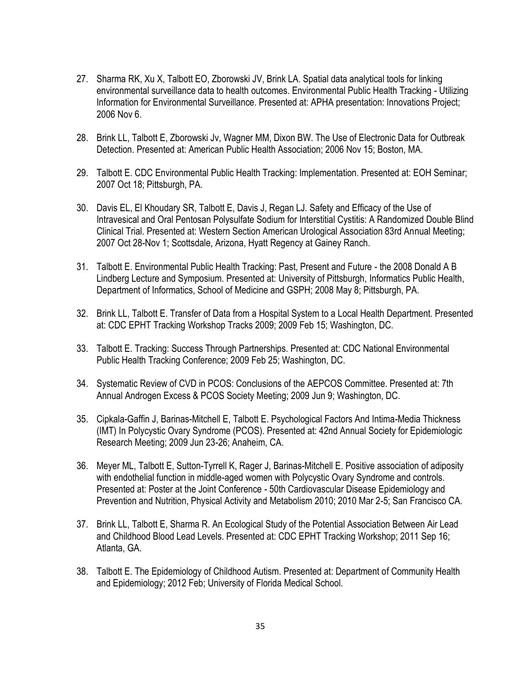- 27. Sharma RK, Xu X, Talbott EO, Zborowski JV, Brink LA. Spatial data analytical tools for linking environmental surveillance data to health outcomes. Environmental Public Health Tracking - Utilizing Information for Environmental Surveillance. Presented at: APHA presentation: Innovations Project; 2006 Nov 6.
- 28. Brink LL, Talbott E, Zborowski Jv, Wagner MM, Dixon BW. The Use of Electronic Data for Outbreak Detection. Presented at: American Public Health Association; 2006 Nov 15; Boston, MA.
- 29. Talbott E. CDC Environmental Public Health Tracking: Implementation. Presented at: EOH Seminar; 2007 Oct 18; Pittsburgh, PA.
- 30. Davis EL, El Khoudary SR, Talbott E, Davis J, Regan LJ. Safety and Efficacy of the Use of Intravesical and Oral Pentosan Polysulfate Sodium for Interstitial Cystitis: A Randomized Double Blind Clinical Trial. Presented at: Western Section American Urological Association 83rd Annual Meeting; 2007 Oct 28-Nov 1; Scottsdale, Arizona, Hyatt Regency at Gainey Ranch.
- 31. Talbott E. Environmental Public Health Tracking: Past, Present and Future the 2008 Donald A B Lindberg Lecture and Symposium. Presented at: University of Pittsburgh, Informatics Public Health, Department of Informatics, School of Medicine and GSPH; 2008 May 8; Pittsburgh, PA.
- 32. Brink LL, Talbott E. Transfer of Data from a Hospital System to a Local Health Department. Presented at: CDC EPHT Tracking Workshop Tracks 2009; 2009 Feb 15; Washington, DC.
- 33. Talbott E. Tracking: Success Through Partnerships. Presented at: CDC National Environmental Public Health Tracking Conference; 2009 Feb 25; Washington, DC.
- 34. Systematic Review of CVD in PCOS: Conclusions of the AEPCOS Committee. Presented at: 7th Annual Androgen Excess & PCOS Society Meeting; 2009 Jun 9; Washington, DC.
- 35. Cipkala-Gaffin J, Barinas-Mitchell E, Talbott E. Psychological Factors And Intima-Media Thickness (IMT) In Polycystic Ovary Syndrome (PCOS). Presented at: 42nd Annual Society for Epidemiologic Research Meeting; 2009 Jun 23-26; Anaheim, CA.
- 36. Meyer ML, Talbott E, Sutton-Tyrrell K, Rager J, Barinas-Mitchell E. Positive association of adiposity with endothelial function in middle-aged women with Polycystic Ovary Syndrome and controls. Presented at: Poster at the Joint Conference - 50th Cardiovascular Disease Epidemiology and Prevention and Nutrition, Physical Activity and Metabolism 2010; 2010 Mar 2-5; San Francisco CA.
- 37. Brink LL, Talbott E, Sharma R. An Ecological Study of the Potential Association Between Air Lead and Childhood Blood Lead Levels. Presented at: CDC EPHT Tracking Workshop; 2011 Sep 16; Atlanta, GA.
- 38. Talbott E. The Epidemiology of Childhood Autism. Presented at: Department of Community Health and Epidemiology; 2012 Feb; University of Florida Medical School.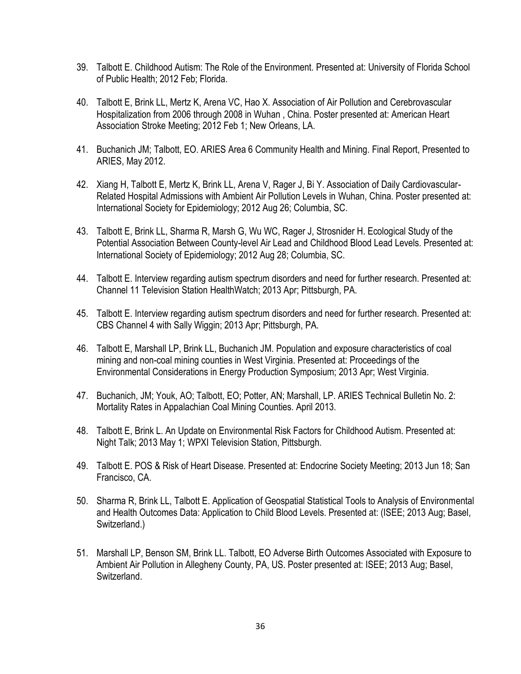- 39. Talbott E. Childhood Autism: The Role of the Environment. Presented at: University of Florida School of Public Health; 2012 Feb; Florida.
- 40. Talbott E, Brink LL, Mertz K, Arena VC, Hao X. Association of Air Pollution and Cerebrovascular Hospitalization from 2006 through 2008 in Wuhan , China. Poster presented at: American Heart Association Stroke Meeting; 2012 Feb 1; New Orleans, LA.
- 41. Buchanich JM; Talbott, EO. ARIES Area 6 Community Health and Mining. Final Report, Presented to ARIES, May 2012.
- 42. Xiang H, Talbott E, Mertz K, Brink LL, Arena V, Rager J, Bi Y. Association of Daily Cardiovascular-Related Hospital Admissions with Ambient Air Pollution Levels in Wuhan, China. Poster presented at: International Society for Epidemiology; 2012 Aug 26; Columbia, SC.
- 43. Talbott E, Brink LL, Sharma R, Marsh G, Wu WC, Rager J, Strosnider H. Ecological Study of the Potential Association Between County-level Air Lead and Childhood Blood Lead Levels. Presented at: International Society of Epidemiology; 2012 Aug 28; Columbia, SC.
- 44. Talbott E. Interview regarding autism spectrum disorders and need for further research. Presented at: Channel 11 Television Station HealthWatch; 2013 Apr; Pittsburgh, PA.
- 45. Talbott E. Interview regarding autism spectrum disorders and need for further research. Presented at: CBS Channel 4 with Sally Wiggin; 2013 Apr; Pittsburgh, PA.
- 46. Talbott E, Marshall LP, Brink LL, Buchanich JM. Population and exposure characteristics of coal mining and non-coal mining counties in West Virginia. Presented at: Proceedings of the Environmental Considerations in Energy Production Symposium; 2013 Apr; West Virginia.
- 47. Buchanich, JM; Youk, AO; Talbott, EO; Potter, AN; Marshall, LP. ARIES Technical Bulletin No. 2: Mortality Rates in Appalachian Coal Mining Counties. April 2013.
- 48. Talbott E, Brink L. An Update on Environmental Risk Factors for Childhood Autism. Presented at: Night Talk; 2013 May 1; WPXI Television Station, Pittsburgh.
- 49. Talbott E. POS & Risk of Heart Disease. Presented at: Endocrine Society Meeting; 2013 Jun 18; San Francisco, CA.
- 50. Sharma R, Brink LL, Talbott E. Application of Geospatial Statistical Tools to Analysis of Environmental and Health Outcomes Data: Application to Child Blood Levels. Presented at: (ISEE; 2013 Aug; Basel, Switzerland.)
- 51. Marshall LP, Benson SM, Brink LL. Talbott, EO Adverse Birth Outcomes Associated with Exposure to Ambient Air Pollution in Allegheny County, PA, US. Poster presented at: ISEE; 2013 Aug; Basel, Switzerland.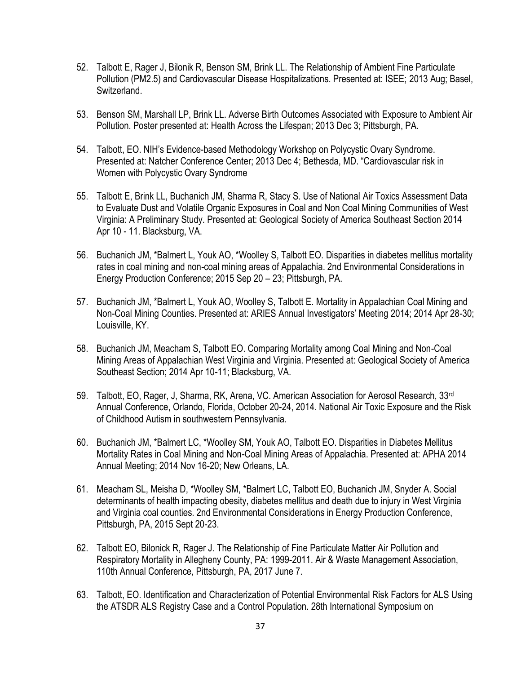- 52. Talbott E, Rager J, Bilonik R, Benson SM, Brink LL. The Relationship of Ambient Fine Particulate Pollution (PM2.5) and Cardiovascular Disease Hospitalizations. Presented at: ISEE; 2013 Aug; Basel, Switzerland.
- 53. Benson SM, Marshall LP, Brink LL. Adverse Birth Outcomes Associated with Exposure to Ambient Air Pollution. Poster presented at: Health Across the Lifespan; 2013 Dec 3; Pittsburgh, PA.
- 54. Talbott, EO. NIH's Evidence-based Methodology Workshop on Polycystic Ovary Syndrome. Presented at: Natcher Conference Center; 2013 Dec 4; Bethesda, MD. "Cardiovascular risk in Women with Polycystic Ovary Syndrome
- 55. Talbott E, Brink LL, Buchanich JM, Sharma R, Stacy S. Use of National Air Toxics Assessment Data to Evaluate Dust and Volatile Organic Exposures in Coal and Non Coal Mining Communities of West Virginia: A Preliminary Study. Presented at: Geological Society of America Southeast Section 2014 Apr 10 - 11. Blacksburg, VA.
- 56. Buchanich JM, \*Balmert L, Youk AO, \*Woolley S, Talbott EO. [Disparities in diabetes mellitus mortality](http://www.scopus.com/inward/record.url?partnerID=HzOxMe3b&scp=84947279878)  [rates in coal mining and non-coal mining areas of Appalachia.](http://www.scopus.com/inward/record.url?partnerID=HzOxMe3b&scp=84947279878) 2nd Environmental Considerations in Energy Production Conference; 2015 Sep 20 – 23; Pittsburgh, PA.
- 57. Buchanich JM, \*Balmert L, Youk AO, Woolley S, Talbott E. Mortality in Appalachian Coal Mining and Non-Coal Mining Counties. Presented at: ARIES Annual Investigators' Meeting 2014; 2014 Apr 28-30; Louisville, KY.
- 58. Buchanich JM, Meacham S, Talbott EO. Comparing Mortality among Coal Mining and Non-Coal Mining Areas of Appalachian West Virginia and Virginia. Presented at: Geological Society of America Southeast Section; 2014 Apr 10-11; Blacksburg, VA.
- 59. Talbott, EO, Rager, J, Sharma, RK, Arena, VC. American Association for Aerosol Research, 33<sup>rd</sup> Annual Conference, Orlando, Florida, October 20-24, 2014. National Air Toxic Exposure and the Risk of Childhood Autism in southwestern Pennsylvania.
- 60. Buchanich JM, \*Balmert LC, \*Woolley SM, Youk AO, Talbott EO. Disparities in Diabetes Mellitus Mortality Rates in Coal Mining and Non-Coal Mining Areas of Appalachia. Presented at: APHA 2014 Annual Meeting; 2014 Nov 16-20; New Orleans, LA.
- 61. Meacham SL, Meisha D, \*Woolley SM, \*Balmert LC, Talbott EO, Buchanich JM, Snyder A. Social determinants of health impacting obesity, diabetes mellitus and death due to injury in West Virginia and Virginia coal counties. 2nd Environmental Considerations in Energy Production Conference, Pittsburgh, PA, 2015 Sept 20-23.
- 62. Talbott EO, Bilonick R, Rager J. The Relationship of Fine Particulate Matter Air Pollution and Respiratory Mortality in Allegheny County, PA: 1999-2011. Air & Waste Management Association, 110th Annual Conference, Pittsburgh, PA, 2017 June 7.
- 63. Talbott, EO. Identification and Characterization of Potential Environmental Risk Factors for ALS Using the ATSDR ALS Registry Case and a Control Population. 28th International Symposium on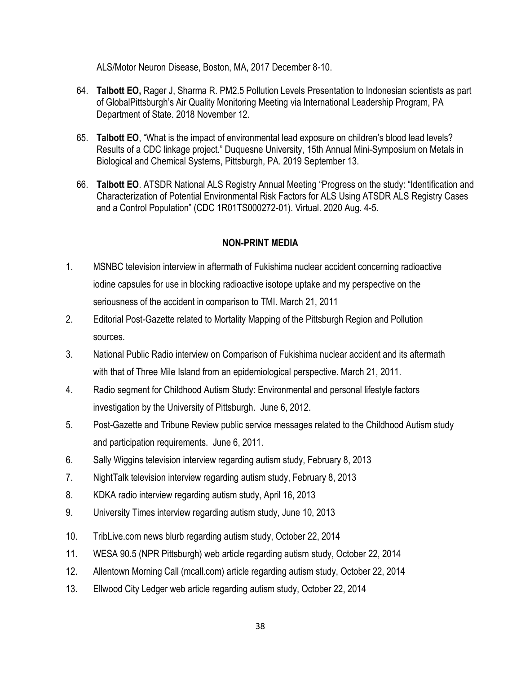ALS/Motor Neuron Disease, Boston, MA, 2017 December 8-10.

- 64. **Talbott EO,** Rager J, Sharma R. PM2.5 Pollution Levels Presentation to Indonesian scientists as part of GlobalPittsburgh's Air Quality Monitoring Meeting via International Leadership Program, PA Department of State. 2018 November 12.
- 65. **Talbott EO**, "What is the impact of environmental lead exposure on children's blood lead levels? Results of a CDC linkage project." Duquesne University, 15th Annual Mini-Symposium on Metals in Biological and Chemical Systems, Pittsburgh, PA. 2019 September 13.
- 66. **Talbott EO**. ATSDR National ALS Registry Annual Meeting "Progress on the study: "Identification and Characterization of Potential Environmental Risk Factors for ALS Using ATSDR ALS Registry Cases and a Control Population" (CDC 1R01TS000272-01). Virtual. 2020 Aug. 4-5.

#### **NON-PRINT MEDIA**

- 1. MSNBC television interview in aftermath of Fukishima nuclear accident concerning radioactive iodine capsules for use in blocking radioactive isotope uptake and my perspective on the seriousness of the accident in comparison to TMI. March 21, 2011
- 2. Editorial Post-Gazette related to Mortality Mapping of the Pittsburgh Region and Pollution sources.
- 3. National Public Radio interview on Comparison of Fukishima nuclear accident and its aftermath with that of Three Mile Island from an epidemiological perspective. March 21, 2011.
- 4. Radio segment for Childhood Autism Study: Environmental and personal lifestyle factors investigation by the University of Pittsburgh. June 6, 2012.
- 5. Post-Gazette and Tribune Review public service messages related to the Childhood Autism study and participation requirements. June 6, 2011.
- 6. Sally Wiggins television interview regarding autism study, February 8, 2013
- 7. NightTalk television interview regarding autism study, February 8, 2013
- 8. KDKA radio interview regarding autism study, April 16, 2013
- 9. University Times interview regarding autism study, June 10, 2013
- 10. TribLive.com news blurb regarding autism study, October 22, 2014
- 11. WESA 90.5 (NPR Pittsburgh) web article regarding autism study, October 22, 2014
- 12. Allentown Morning Call (mcall.com) article regarding autism study, October 22, 2014
- 13. Ellwood City Ledger web article regarding autism study, October 22, 2014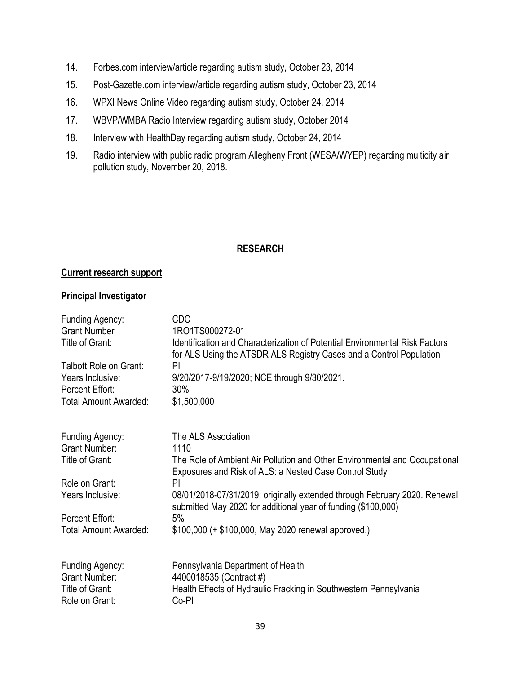- 14. Forbes.com interview/article regarding autism study, October 23, 2014
- 15. Post-Gazette.com interview/article regarding autism study, October 23, 2014
- 16. WPXI News Online Video regarding autism study, October 24, 2014
- 17. WBVP/WMBA Radio Interview regarding autism study, October 2014
- 18. Interview with HealthDay regarding autism study, October 24, 2014
- 19. Radio interview with public radio program Allegheny Front (WESA/WYEP) regarding multicity air pollution study, November 20, 2018.

#### **RESEARCH**

#### **Current research support**

#### **Principal Investigator**

| Funding Agency:<br><b>Grant Number</b>                                       | <b>CDC</b><br>1RO1TS000272-01                                                                                                                             |
|------------------------------------------------------------------------------|-----------------------------------------------------------------------------------------------------------------------------------------------------------|
| Title of Grant:                                                              | <b>Identification and Characterization of Potential Environmental Risk Factors</b><br>for ALS Using the ATSDR ALS Registry Cases and a Control Population |
| Talbott Role on Grant:                                                       | PI                                                                                                                                                        |
| Years Inclusive:                                                             | 9/20/2017-9/19/2020; NCE through 9/30/2021.                                                                                                               |
| Percent Effort:                                                              | 30%                                                                                                                                                       |
| Total Amount Awarded:                                                        | \$1,500,000                                                                                                                                               |
| Funding Agency:                                                              | The ALS Association                                                                                                                                       |
| <b>Grant Number:</b><br>Title of Grant:                                      | 1110<br>The Role of Ambient Air Pollution and Other Environmental and Occupational                                                                        |
|                                                                              | Exposures and Risk of ALS: a Nested Case Control Study                                                                                                    |
| Role on Grant:                                                               | PI                                                                                                                                                        |
| Years Inclusive:                                                             | 08/01/2018-07/31/2019; originally extended through February 2020. Renewal<br>submitted May 2020 for additional year of funding (\$100,000)                |
| Percent Effort:                                                              | 5%                                                                                                                                                        |
| <b>Total Amount Awarded:</b>                                                 | \$100,000 (+ \$100,000, May 2020 renewal approved.)                                                                                                       |
| Funding Agency:<br><b>Grant Number:</b><br>Title of Grant:<br>Role on Grant: | Pennsylvania Department of Health<br>4400018535 (Contract #)<br>Health Effects of Hydraulic Fracking in Southwestern Pennsylvania<br>Co-PI                |
|                                                                              |                                                                                                                                                           |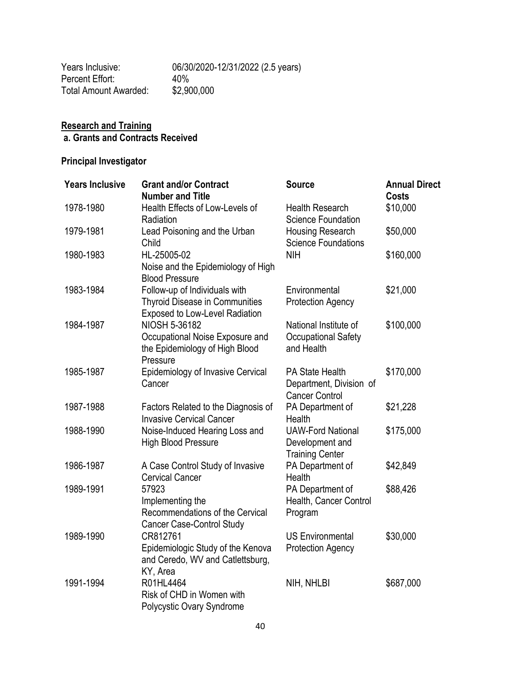| Years Inclusive:      | 06/30/2020-12/31/2022 (2.5 years) |
|-----------------------|-----------------------------------|
| Percent Effort:       | 40%                               |
| Total Amount Awarded: | \$2,900,000                       |

#### **Research and Training a. Grants and Contracts Received**

# **Principal Investigator**

| <b>Years Inclusive</b> | <b>Grant and/or Contract</b>          | <b>Source</b>              | <b>Annual Direct</b> |
|------------------------|---------------------------------------|----------------------------|----------------------|
|                        | <b>Number and Title</b>               |                            | <b>Costs</b>         |
| 1978-1980              | Health Effects of Low-Levels of       | <b>Health Research</b>     | \$10,000             |
|                        | Radiation                             | <b>Science Foundation</b>  |                      |
| 1979-1981              | Lead Poisoning and the Urban          | Housing Research           | \$50,000             |
|                        | Child                                 | <b>Science Foundations</b> |                      |
| 1980-1983              | HL-25005-02                           | <b>NIH</b>                 | \$160,000            |
|                        | Noise and the Epidemiology of High    |                            |                      |
|                        | <b>Blood Pressure</b>                 |                            |                      |
| 1983-1984              | Follow-up of Individuals with         | Environmental              | \$21,000             |
|                        | <b>Thyroid Disease in Communities</b> | <b>Protection Agency</b>   |                      |
|                        | Exposed to Low-Level Radiation        |                            |                      |
| 1984-1987              | NIOSH 5-36182                         | National Institute of      | \$100,000            |
|                        | Occupational Noise Exposure and       | <b>Occupational Safety</b> |                      |
|                        | the Epidemiology of High Blood        | and Health                 |                      |
|                        | Pressure                              |                            |                      |
| 1985-1987              | Epidemiology of Invasive Cervical     | PA State Health            | \$170,000            |
|                        | Cancer                                | Department, Division of    |                      |
|                        |                                       | <b>Cancer Control</b>      |                      |
| 1987-1988              | Factors Related to the Diagnosis of   | PA Department of           | \$21,228             |
|                        | <b>Invasive Cervical Cancer</b>       | <b>Health</b>              |                      |
| 1988-1990              | Noise-Induced Hearing Loss and        | <b>UAW-Ford National</b>   | \$175,000            |
|                        | <b>High Blood Pressure</b>            | Development and            |                      |
|                        |                                       | <b>Training Center</b>     |                      |
| 1986-1987              | A Case Control Study of Invasive      | PA Department of           | \$42,849             |
|                        | <b>Cervical Cancer</b>                | Health                     |                      |
| 1989-1991              | 57923                                 | PA Department of           | \$88,426             |
|                        | Implementing the                      | Health, Cancer Control     |                      |
|                        | Recommendations of the Cervical       | Program                    |                      |
|                        | Cancer Case-Control Study             |                            |                      |
| 1989-1990              | CR812761                              | <b>US Environmental</b>    | \$30,000             |
|                        | Epidemiologic Study of the Kenova     | <b>Protection Agency</b>   |                      |
|                        | and Ceredo, WV and Catlettsburg,      |                            |                      |
|                        | KY, Area                              |                            |                      |
| 1991-1994              | R01HL4464                             | NIH, NHLBI                 | \$687,000            |
|                        | Risk of CHD in Women with             |                            |                      |
|                        | Polycystic Ovary Syndrome             |                            |                      |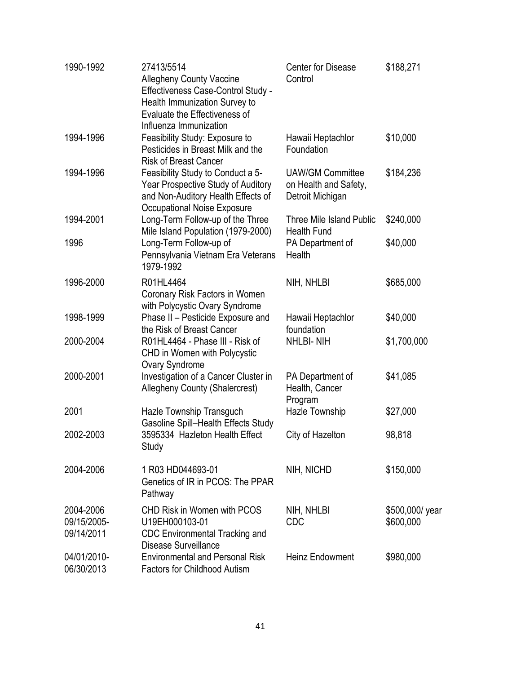| 1990-1992                              | 27413/5514<br><b>Allegheny County Vaccine</b><br>Effectiveness Case-Control Study -<br>Health Immunization Survey to<br>Evaluate the Effectiveness of<br>Influenza Immunization | <b>Center for Disease</b><br>Control                                 | \$188,271                    |
|----------------------------------------|---------------------------------------------------------------------------------------------------------------------------------------------------------------------------------|----------------------------------------------------------------------|------------------------------|
| 1994-1996                              | Feasibility Study: Exposure to<br>Pesticides in Breast Milk and the<br><b>Risk of Breast Cancer</b>                                                                             | Hawaii Heptachlor<br>Foundation                                      | \$10,000                     |
| 1994-1996                              | Feasibility Study to Conduct a 5-<br>Year Prospective Study of Auditory<br>and Non-Auditory Health Effects of<br><b>Occupational Noise Exposure</b>                             | <b>UAW/GM Committee</b><br>on Health and Safety,<br>Detroit Michigan | \$184,236                    |
| 1994-2001                              | Long-Term Follow-up of the Three<br>Mile Island Population (1979-2000)                                                                                                          | Three Mile Island Public<br><b>Health Fund</b>                       | \$240,000                    |
| 1996                                   | Long-Term Follow-up of<br>Pennsylvania Vietnam Era Veterans<br>1979-1992                                                                                                        | PA Department of<br>Health                                           | \$40,000                     |
| 1996-2000                              | R01HL4464<br>Coronary Risk Factors in Women<br>with Polycystic Ovary Syndrome                                                                                                   | NIH, NHLBI                                                           | \$685,000                    |
| 1998-1999                              | Phase II - Pesticide Exposure and<br>the Risk of Breast Cancer                                                                                                                  | Hawaii Heptachlor<br>foundation                                      | \$40,000                     |
| 2000-2004                              | R01HL4464 - Phase III - Risk of<br>CHD in Women with Polycystic<br>Ovary Syndrome                                                                                               | <b>NHLBI-NIH</b>                                                     | \$1,700,000                  |
| 2000-2001                              | Investigation of a Cancer Cluster in<br><b>Allegheny County (Shalercrest)</b>                                                                                                   | PA Department of<br>Health, Cancer<br>Program                        | \$41,085                     |
| 2001                                   | Hazle Township Transguch<br><b>Gasoline Spill-Health Effects Study</b>                                                                                                          | Hazle Township                                                       | \$27,000                     |
| 2002-2003                              | 3595334 Hazleton Health Effect<br>Study                                                                                                                                         | City of Hazelton                                                     | 98,818                       |
| 2004-2006                              | 1 R03 HD044693-01<br>Genetics of IR in PCOS: The PPAR<br>Pathway                                                                                                                | NIH, NICHD                                                           | \$150,000                    |
| 2004-2006<br>09/15/2005-<br>09/14/2011 | <b>CHD Risk in Women with PCOS</b><br>U19EH000103-01<br><b>CDC Environmental Tracking and</b><br>Disease Surveillance                                                           | NIH, NHLBI<br>CDC                                                    | \$500,000/ year<br>\$600,000 |
| 04/01/2010-<br>06/30/2013              | <b>Environmental and Personal Risk</b><br><b>Factors for Childhood Autism</b>                                                                                                   | <b>Heinz Endowment</b>                                               | \$980,000                    |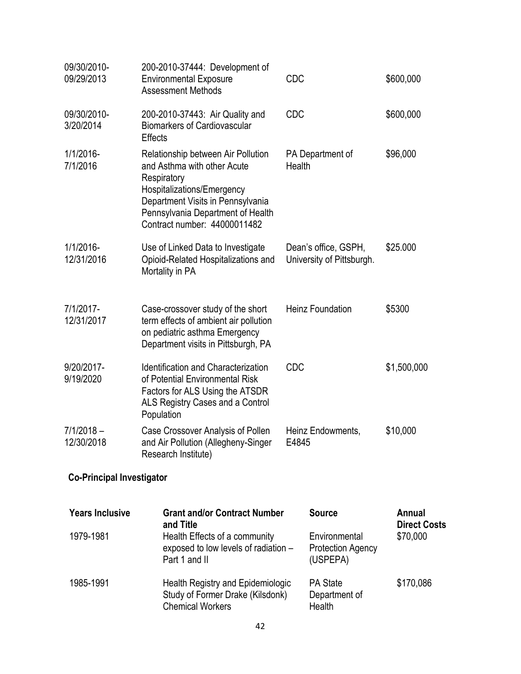| 09/30/2010-<br>09/29/2013        | 200-2010-37444: Development of<br><b>Environmental Exposure</b><br><b>Assessment Methods</b>                                                                                                                             | <b>CDC</b> |                                                       | \$600,000                            |
|----------------------------------|--------------------------------------------------------------------------------------------------------------------------------------------------------------------------------------------------------------------------|------------|-------------------------------------------------------|--------------------------------------|
| 09/30/2010-<br>3/20/2014         | 200-2010-37443: Air Quality and<br><b>Biomarkers of Cardiovascular</b><br><b>Effects</b>                                                                                                                                 | CDC        |                                                       | \$600,000                            |
| 1/1/2016-<br>7/1/2016            | Relationship between Air Pollution<br>and Asthma with other Acute<br>Respiratory<br>Hospitalizations/Emergency<br>Department Visits in Pennsylvania<br>Pennsylvania Department of Health<br>Contract number: 44000011482 | Health     | PA Department of                                      | \$96,000                             |
| 1/1/2016-<br>12/31/2016          | Use of Linked Data to Investigate<br>Opioid-Related Hospitalizations and<br>Mortality in PA                                                                                                                              |            | Dean's office, GSPH,<br>University of Pittsburgh.     | \$25.000                             |
| 7/1/2017-<br>12/31/2017          | Case-crossover study of the short<br>term effects of ambient air pollution<br>on pediatric asthma Emergency<br>Department visits in Pittsburgh, PA                                                                       |            | <b>Heinz Foundation</b>                               | \$5300                               |
| 9/20/2017-<br>9/19/2020          | Identification and Characterization<br>of Potential Environmental Risk<br>Factors for ALS Using the ATSDR<br>ALS Registry Cases and a Control<br>Population                                                              | <b>CDC</b> |                                                       | \$1,500,000                          |
| $7/1/2018 -$<br>12/30/2018       | Case Crossover Analysis of Pollen<br>and Air Pollution (Allegheny-Singer<br>Research Institute)                                                                                                                          | E4845      | Heinz Endowments,                                     | \$10,000                             |
| <b>Co-Principal Investigator</b> |                                                                                                                                                                                                                          |            |                                                       |                                      |
| <b>Years Inclusive</b>           | <b>Grant and/or Contract Number</b><br>and Title                                                                                                                                                                         |            | <b>Source</b>                                         | <b>Annual</b><br><b>Direct Costs</b> |
| 1979-1981                        | Health Effects of a community<br>exposed to low levels of radiation -<br>Part 1 and II                                                                                                                                   |            | Environmental<br><b>Protection Agency</b><br>(USPEPA) | \$70,000                             |
| 1985-1991                        | Health Registry and Epidemiologic<br>Study of Former Drake (Kilsdonk)<br><b>Chemical Workers</b>                                                                                                                         |            | <b>PA State</b><br>Department of<br>Health            | \$170,086                            |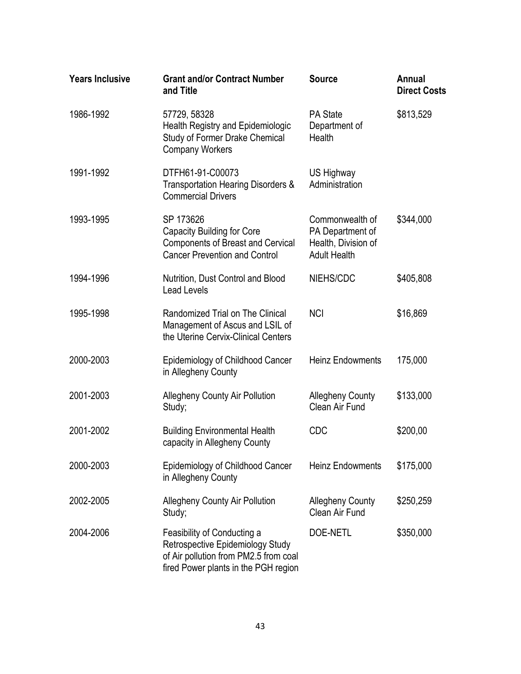| <b>Years Inclusive</b> | <b>Grant and/or Contract Number</b><br>and Title                                                                                                 | <b>Source</b>                                                                     | Annual<br><b>Direct Costs</b> |
|------------------------|--------------------------------------------------------------------------------------------------------------------------------------------------|-----------------------------------------------------------------------------------|-------------------------------|
| 1986-1992              | 57729, 58328<br>Health Registry and Epidemiologic<br><b>Study of Former Drake Chemical</b><br><b>Company Workers</b>                             | <b>PA State</b><br>Department of<br>Health                                        | \$813,529                     |
| 1991-1992              | DTFH61-91-C00073<br>Transportation Hearing Disorders &<br><b>Commercial Drivers</b>                                                              | US Highway<br>Administration                                                      |                               |
| 1993-1995              | SP 173626<br><b>Capacity Building for Core</b><br><b>Components of Breast and Cervical</b><br><b>Cancer Prevention and Control</b>               | Commonwealth of<br>PA Department of<br>Health, Division of<br><b>Adult Health</b> | \$344,000                     |
| 1994-1996              | Nutrition, Dust Control and Blood<br><b>Lead Levels</b>                                                                                          | NIEHS/CDC                                                                         | \$405,808                     |
| 1995-1998              | Randomized Trial on The Clinical<br>Management of Ascus and LSIL of<br>the Uterine Cervix-Clinical Centers                                       | <b>NCI</b>                                                                        | \$16,869                      |
| 2000-2003              | Epidemiology of Childhood Cancer<br>in Allegheny County                                                                                          | <b>Heinz Endowments</b>                                                           | 175,000                       |
| 2001-2003              | <b>Allegheny County Air Pollution</b><br>Study;                                                                                                  | <b>Allegheny County</b><br>Clean Air Fund                                         | \$133,000                     |
| 2001-2002              | <b>Building Environmental Health</b><br>capacity in Allegheny County                                                                             | <b>CDC</b>                                                                        | \$200,00                      |
| 2000-2003              | Epidemiology of Childhood Cancer<br>in Allegheny County                                                                                          | <b>Heinz Endowments</b>                                                           | \$175,000                     |
| 2002-2005              | <b>Allegheny County Air Pollution</b><br>Study;                                                                                                  | <b>Allegheny County</b><br>Clean Air Fund                                         | \$250,259                     |
| 2004-2006              | Feasibility of Conducting a<br>Retrospective Epidemiology Study<br>of Air pollution from PM2.5 from coal<br>fired Power plants in the PGH region | DOE-NETL                                                                          | \$350,000                     |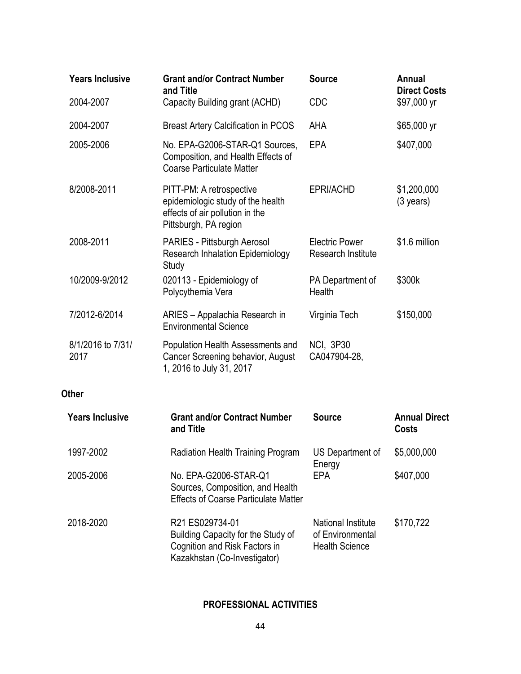| <b>Years Inclusive</b>    | <b>Grant and/or Contract Number</b><br>and Title                                                                          | <b>Source</b>                                                          | <b>Annual</b><br><b>Direct Costs</b> |
|---------------------------|---------------------------------------------------------------------------------------------------------------------------|------------------------------------------------------------------------|--------------------------------------|
| 2004-2007                 | Capacity Building grant (ACHD)                                                                                            | <b>CDC</b>                                                             | \$97,000 yr                          |
| 2004-2007                 | <b>Breast Artery Calcification in PCOS</b>                                                                                | <b>AHA</b>                                                             | \$65,000 yr                          |
| 2005-2006                 | No. EPA-G2006-STAR-Q1 Sources,<br>Composition, and Health Effects of<br><b>Coarse Particulate Matter</b>                  | EPA                                                                    | \$407,000                            |
| 8/2008-2011               | PITT-PM: A retrospective<br>epidemiologic study of the health<br>effects of air pollution in the<br>Pittsburgh, PA region | EPRI/ACHD                                                              | \$1,200,000<br>$(3 \text{ years})$   |
| 2008-2011                 | PARIES - Pittsburgh Aerosol<br><b>Research Inhalation Epidemiology</b><br>Study                                           | <b>Electric Power</b><br><b>Research Institute</b>                     | \$1.6 million                        |
| 10/2009-9/2012            | 020113 - Epidemiology of<br>Polycythemia Vera                                                                             | PA Department of<br><b>Health</b>                                      | \$300k                               |
| 7/2012-6/2014             | ARIES - Appalachia Research in<br><b>Environmental Science</b>                                                            | Virginia Tech                                                          | \$150,000                            |
| 8/1/2016 to 7/31/<br>2017 | Population Health Assessments and<br>Cancer Screening behavior, August<br>1, 2016 to July 31, 2017                        | <b>NCI, 3P30</b><br>CA047904-28,                                       |                                      |
| <b>Other</b>              |                                                                                                                           |                                                                        |                                      |
| <b>Years Inclusive</b>    | <b>Grant and/or Contract Number</b><br>and Title                                                                          | <b>Source</b>                                                          | <b>Annual Direct</b><br><b>Costs</b> |
| 1997-2002                 | Radiation Health Training Program US Department of                                                                        | Energy                                                                 | \$5,000,000                          |
| 2005-2006                 | No. EPA-G2006-STAR-Q1<br>Sources, Composition, and Health<br><b>Effects of Coarse Particulate Matter</b>                  | <b>EPA</b>                                                             | \$407,000                            |
| 2018-2020                 | R21 ES029734-01<br>Building Capacity for the Study of<br>Cognition and Risk Factors in<br>Kazakhstan (Co-Investigator)    | <b>National Institute</b><br>of Environmental<br><b>Health Science</b> | \$170,722                            |

#### **PROFESSIONAL ACTIVITIES**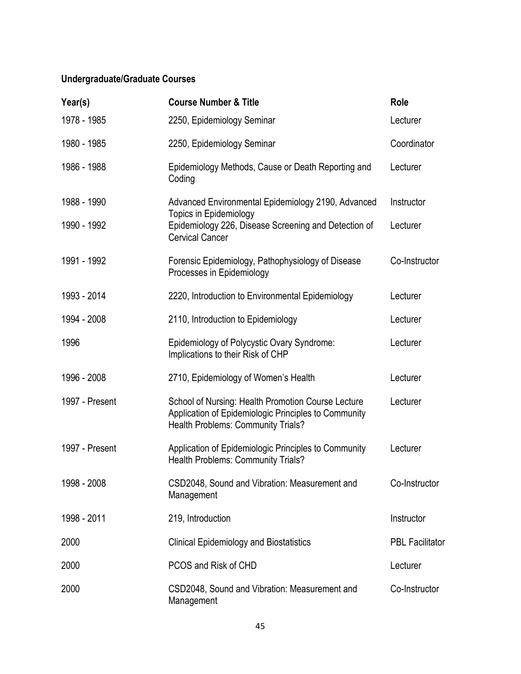# **Undergraduate/Graduate Courses**

| Year(s)        | <b>Course Number &amp; Title</b>                                                                                                                 | Role                   |
|----------------|--------------------------------------------------------------------------------------------------------------------------------------------------|------------------------|
| 1978 - 1985    | 2250, Epidemiology Seminar                                                                                                                       | Lecturer               |
| 1980 - 1985    | 2250, Epidemiology Seminar                                                                                                                       | Coordinator            |
| 1986 - 1988    | Epidemiology Methods, Cause or Death Reporting and<br>Coding                                                                                     | Lecturer               |
| 1988 - 1990    | Advanced Environmental Epidemiology 2190, Advanced                                                                                               | Instructor             |
| 1990 - 1992    | <b>Topics in Epidemiology</b><br>Epidemiology 226, Disease Screening and Detection of<br><b>Cervical Cancer</b>                                  | Lecturer               |
| 1991 - 1992    | Forensic Epidemiology, Pathophysiology of Disease<br>Processes in Epidemiology                                                                   | Co-Instructor          |
| 1993 - 2014    | 2220, Introduction to Environmental Epidemiology                                                                                                 | Lecturer               |
| 1994 - 2008    | 2110, Introduction to Epidemiology                                                                                                               | Lecturer               |
| 1996           | Epidemiology of Polycystic Ovary Syndrome:<br>Implications to their Risk of CHP                                                                  | Lecturer               |
| 1996 - 2008    | 2710, Epidemiology of Women's Health                                                                                                             | Lecturer               |
| 1997 - Present | School of Nursing: Health Promotion Course Lecture<br>Application of Epidemiologic Principles to Community<br>Health Problems: Community Trials? | Lecturer               |
| 1997 - Present | Application of Epidemiologic Principles to Community<br>Health Problems: Community Trials?                                                       | Lecturer               |
| 1998 - 2008    | CSD2048, Sound and Vibration: Measurement and<br>Management                                                                                      | Co-Instructor          |
| 1998 - 2011    | 219, Introduction                                                                                                                                | Instructor             |
| 2000           | <b>Clinical Epidemiology and Biostatistics</b>                                                                                                   | <b>PBL Facilitator</b> |
| 2000           | PCOS and Risk of CHD                                                                                                                             | Lecturer               |
| 2000           | CSD2048, Sound and Vibration: Measurement and<br>Management                                                                                      | Co-Instructor          |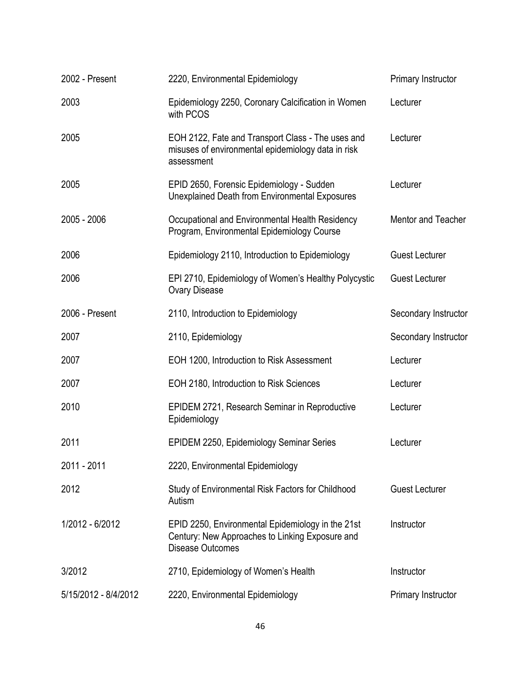| 2002 - Present       | 2220, Environmental Epidemiology                                                                                                | Primary Instructor        |
|----------------------|---------------------------------------------------------------------------------------------------------------------------------|---------------------------|
| 2003                 | Epidemiology 2250, Coronary Calcification in Women<br>with PCOS                                                                 | Lecturer                  |
| 2005                 | EOH 2122, Fate and Transport Class - The uses and<br>misuses of environmental epidemiology data in risk<br>assessment           | Lecturer                  |
| 2005                 | EPID 2650, Forensic Epidemiology - Sudden<br>Unexplained Death from Environmental Exposures                                     | Lecturer                  |
| 2005 - 2006          | Occupational and Environmental Health Residency<br>Program, Environmental Epidemiology Course                                   | <b>Mentor and Teacher</b> |
| 2006                 | Epidemiology 2110, Introduction to Epidemiology                                                                                 | <b>Guest Lecturer</b>     |
| 2006                 | EPI 2710, Epidemiology of Women's Healthy Polycystic<br><b>Ovary Disease</b>                                                    | <b>Guest Lecturer</b>     |
| 2006 - Present       | 2110, Introduction to Epidemiology                                                                                              | Secondary Instructor      |
| 2007                 | 2110, Epidemiology                                                                                                              | Secondary Instructor      |
| 2007                 | EOH 1200, Introduction to Risk Assessment                                                                                       | Lecturer                  |
| 2007                 | EOH 2180, Introduction to Risk Sciences                                                                                         | Lecturer                  |
| 2010                 | EPIDEM 2721, Research Seminar in Reproductive<br>Epidemiology                                                                   | Lecturer                  |
| 2011                 | EPIDEM 2250, Epidemiology Seminar Series                                                                                        | Lecturer                  |
| 2011 - 2011          | 2220, Environmental Epidemiology                                                                                                |                           |
| 2012                 | Study of Environmental Risk Factors for Childhood<br>Autism                                                                     | <b>Guest Lecturer</b>     |
| 1/2012 - 6/2012      | EPID 2250, Environmental Epidemiology in the 21st<br>Century: New Approaches to Linking Exposure and<br><b>Disease Outcomes</b> | Instructor                |
| 3/2012               | 2710, Epidemiology of Women's Health                                                                                            | Instructor                |
| 5/15/2012 - 8/4/2012 | 2220, Environmental Epidemiology                                                                                                | Primary Instructor        |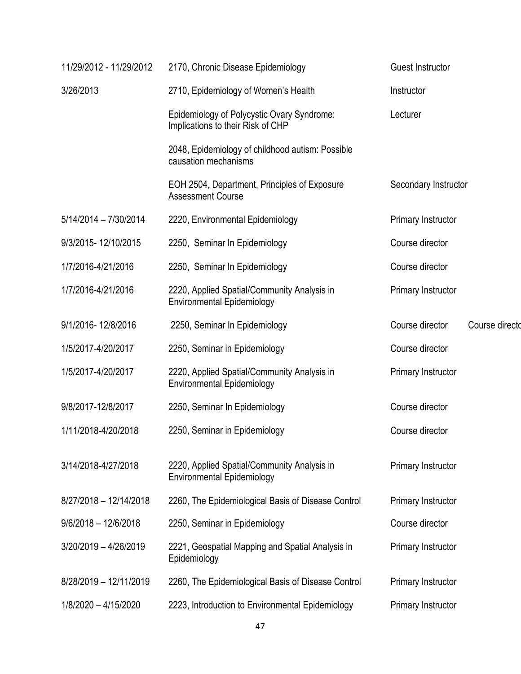| 11/29/2012 - 11/29/2012 | 2170, Chronic Disease Epidemiology                                               | <b>Guest Instructor</b>           |
|-------------------------|----------------------------------------------------------------------------------|-----------------------------------|
| 3/26/2013               | 2710, Epidemiology of Women's Health                                             | Instructor                        |
|                         | Epidemiology of Polycystic Ovary Syndrome:<br>Implications to their Risk of CHP  | Lecturer                          |
|                         | 2048, Epidemiology of childhood autism: Possible<br>causation mechanisms         |                                   |
|                         | EOH 2504, Department, Principles of Exposure<br><b>Assessment Course</b>         | Secondary Instructor              |
| $5/14/2014 - 7/30/2014$ | 2220, Environmental Epidemiology                                                 | Primary Instructor                |
| 9/3/2015-12/10/2015     | 2250, Seminar In Epidemiology                                                    | Course director                   |
| 1/7/2016-4/21/2016      | 2250, Seminar In Epidemiology                                                    | Course director                   |
| 1/7/2016-4/21/2016      | 2220, Applied Spatial/Community Analysis in<br><b>Environmental Epidemiology</b> | Primary Instructor                |
| 9/1/2016-12/8/2016      | 2250, Seminar In Epidemiology                                                    | Course director<br>Course directo |
| 1/5/2017-4/20/2017      | 2250, Seminar in Epidemiology                                                    | Course director                   |
| 1/5/2017-4/20/2017      | 2220, Applied Spatial/Community Analysis in<br><b>Environmental Epidemiology</b> | Primary Instructor                |
| 9/8/2017-12/8/2017      | 2250, Seminar In Epidemiology                                                    | Course director                   |
| 1/11/2018-4/20/2018     | 2250, Seminar in Epidemiology                                                    | Course director                   |
| 3/14/2018-4/27/2018     | 2220, Applied Spatial/Community Analysis in<br><b>Environmental Epidemiology</b> | Primary Instructor                |
| 8/27/2018 - 12/14/2018  | 2260, The Epidemiological Basis of Disease Control                               | Primary Instructor                |
| $9/6/2018 - 12/6/2018$  | 2250, Seminar in Epidemiology                                                    | Course director                   |
| 3/20/2019 - 4/26/2019   | 2221, Geospatial Mapping and Spatial Analysis in<br>Epidemiology                 | Primary Instructor                |
| 8/28/2019 - 12/11/2019  | 2260, The Epidemiological Basis of Disease Control                               | Primary Instructor                |
| 1/8/2020 - 4/15/2020    | 2223, Introduction to Environmental Epidemiology                                 | Primary Instructor                |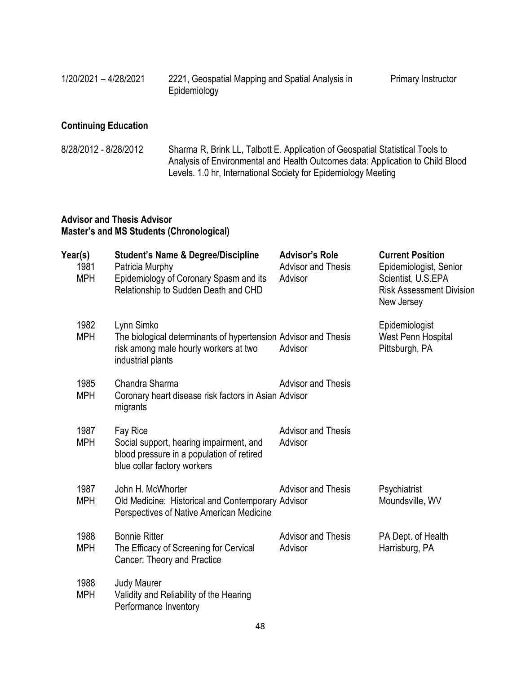| 1/20/2021 - 4/28/2021 | 2221, Geospatial Mapping and Spatial Analysis in |
|-----------------------|--------------------------------------------------|
|                       | Epidemiology                                     |

# **Continuing Education**

| 8/28/2012 - 8/28/2012 | Sharma R, Brink LL, Talbott E. Application of Geospatial Statistical Tools to  |
|-----------------------|--------------------------------------------------------------------------------|
|                       | Analysis of Environmental and Health Outcomes data: Application to Child Blood |
|                       | Levels. 1.0 hr, International Society for Epidemiology Meeting                 |

## **Advisor and Thesis Advisor Master's and MS Students (Chronological)**

| Year(s) | 1981<br><b>MPH</b> | <b>Student's Name &amp; Degree/Discipline</b><br>Patricia Murphy<br>Epidemiology of Coronary Spasm and its<br>Relationship to Sudden Death and CHD | <b>Advisor's Role</b><br><b>Advisor and Thesis</b><br>Advisor | <b>Current Position</b><br>Epidemiologist, Senior<br>Scientist, U.S.EPA<br><b>Risk Assessment Division</b><br>New Jersey |
|---------|--------------------|----------------------------------------------------------------------------------------------------------------------------------------------------|---------------------------------------------------------------|--------------------------------------------------------------------------------------------------------------------------|
|         | 1982<br><b>MPH</b> | Lynn Simko<br>The biological determinants of hypertension Advisor and Thesis<br>risk among male hourly workers at two<br>industrial plants         | Advisor                                                       | Epidemiologist<br>West Penn Hospital<br>Pittsburgh, PA                                                                   |
|         | 1985<br><b>MPH</b> | Chandra Sharma<br>Coronary heart disease risk factors in Asian Advisor<br>migrants                                                                 | <b>Advisor and Thesis</b>                                     |                                                                                                                          |
|         | 1987<br><b>MPH</b> | Fay Rice<br>Social support, hearing impairment, and<br>blood pressure in a population of retired<br>blue collar factory workers                    | <b>Advisor and Thesis</b><br>Advisor                          |                                                                                                                          |
|         | 1987<br><b>MPH</b> | John H. McWhorter<br>Old Medicine: Historical and Contemporary Advisor<br>Perspectives of Native American Medicine                                 | <b>Advisor and Thesis</b>                                     | Psychiatrist<br>Moundsville, WV                                                                                          |
|         | 1988<br><b>MPH</b> | <b>Bonnie Ritter</b><br>The Efficacy of Screening for Cervical<br>Cancer: Theory and Practice                                                      | <b>Advisor and Thesis</b><br>Advisor                          | PA Dept. of Health<br>Harrisburg, PA                                                                                     |
|         | 1988<br><b>MPH</b> | <b>Judy Maurer</b><br>Validity and Reliability of the Hearing<br>Performance Inventory                                                             |                                                               |                                                                                                                          |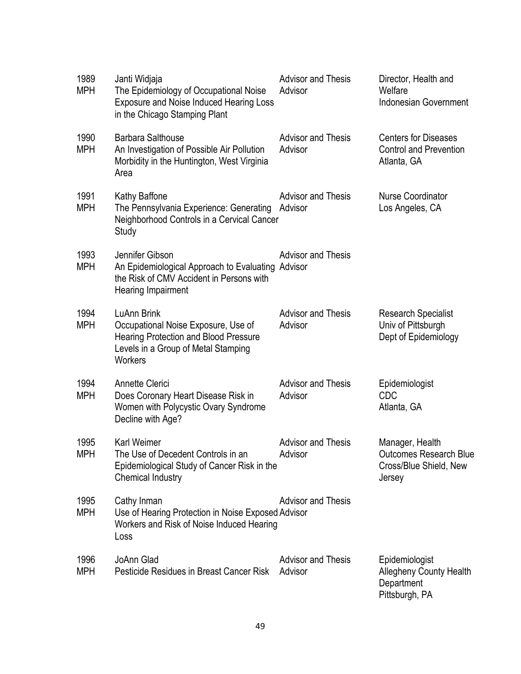| 1989<br><b>MPH</b> | Janti Widjaja<br>The Epidemiology of Occupational Noise<br><b>Exposure and Noise Induced Hearing Loss</b><br>in the Chicago Stamping Plant           | <b>Advisor and Thesis</b><br>Advisor | Director, Health and<br>Welfare<br><b>Indonesian Government</b>                      |
|--------------------|------------------------------------------------------------------------------------------------------------------------------------------------------|--------------------------------------|--------------------------------------------------------------------------------------|
| 1990<br><b>MPH</b> | <b>Barbara Salthouse</b><br>An Investigation of Possible Air Pollution<br>Morbidity in the Huntington, West Virginia<br>Area                         | <b>Advisor and Thesis</b><br>Advisor | <b>Centers for Diseases</b><br><b>Control and Prevention</b><br>Atlanta, GA          |
| 1991<br><b>MPH</b> | Kathy Baffone<br>The Pennsylvania Experience: Generating<br>Neighborhood Controls in a Cervical Cancer<br>Study                                      | <b>Advisor and Thesis</b><br>Advisor | <b>Nurse Coordinator</b><br>Los Angeles, CA                                          |
| 1993<br><b>MPH</b> | Jennifer Gibson<br>An Epidemiological Approach to Evaluating<br>the Risk of CMV Accident in Persons with<br>Hearing Impairment                       | <b>Advisor and Thesis</b><br>Advisor |                                                                                      |
| 1994<br><b>MPH</b> | LuAnn Brink<br>Occupational Noise Exposure, Use of<br><b>Hearing Protection and Blood Pressure</b><br>Levels in a Group of Metal Stamping<br>Workers | <b>Advisor and Thesis</b><br>Advisor | <b>Research Specialist</b><br>Univ of Pittsburgh<br>Dept of Epidemiology             |
| 1994<br><b>MPH</b> | <b>Annette Clerici</b><br>Does Coronary Heart Disease Risk in<br>Women with Polycystic Ovary Syndrome<br>Decline with Age?                           | <b>Advisor and Thesis</b><br>Advisor | Epidemiologist<br><b>CDC</b><br>Atlanta, GA                                          |
| 1995<br><b>MPH</b> | Karl Weimer<br>The Use of Decedent Controls in an<br>Epidemiological Study of Cancer Risk in the<br>Chemical Industry                                | <b>Advisor and Thesis</b><br>Advisor | Manager, Health<br><b>Outcomes Research Blue</b><br>Cross/Blue Shield, New<br>Jersey |
| 1995<br><b>MPH</b> | Cathy Inman<br>Use of Hearing Protection in Noise Exposed Advisor<br>Workers and Risk of Noise Induced Hearing<br>Loss                               | <b>Advisor and Thesis</b>            |                                                                                      |
| 1996<br><b>MPH</b> | JoAnn Glad<br>Pesticide Residues in Breast Cancer Risk                                                                                               | <b>Advisor and Thesis</b><br>Advisor | Epidemiologist<br><b>Allegheny County Health</b><br>Department                       |

Pittsburgh, PA

49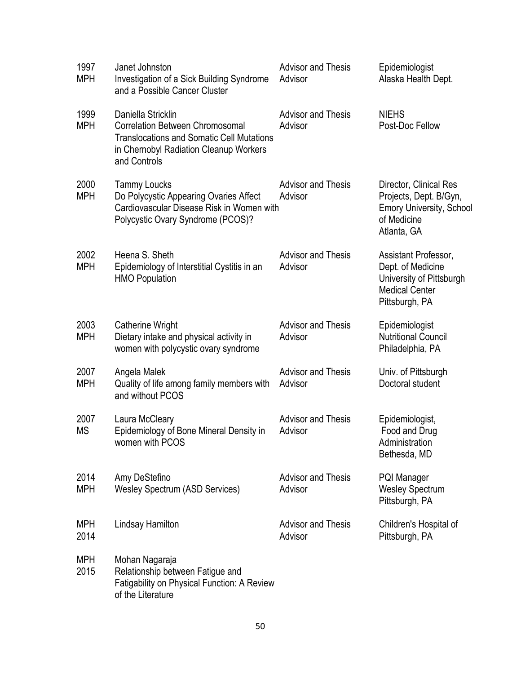| 1997<br><b>MPH</b> | Janet Johnston<br>Investigation of a Sick Building Syndrome<br>and a Possible Cancer Cluster                                                                               | <b>Advisor and Thesis</b><br>Advisor | Epidemiologist<br>Alaska Health Dept.                                                                             |
|--------------------|----------------------------------------------------------------------------------------------------------------------------------------------------------------------------|--------------------------------------|-------------------------------------------------------------------------------------------------------------------|
| 1999<br><b>MPH</b> | Daniella Stricklin<br><b>Correlation Between Chromosomal</b><br><b>Translocations and Somatic Cell Mutations</b><br>in Chernobyl Radiation Cleanup Workers<br>and Controls | <b>Advisor and Thesis</b><br>Advisor | <b>NIEHS</b><br>Post-Doc Fellow                                                                                   |
| 2000<br><b>MPH</b> | <b>Tammy Loucks</b><br>Do Polycystic Appearing Ovaries Affect<br>Cardiovascular Disease Risk in Women with<br>Polycystic Ovary Syndrome (PCOS)?                            | <b>Advisor and Thesis</b><br>Advisor | Director, Clinical Res<br>Projects, Dept. B/Gyn,<br><b>Emory University, School</b><br>of Medicine<br>Atlanta, GA |
| 2002<br><b>MPH</b> | Heena S. Sheth<br>Epidemiology of Interstitial Cystitis in an<br><b>HMO Population</b>                                                                                     | <b>Advisor and Thesis</b><br>Advisor | Assistant Professor,<br>Dept. of Medicine<br>University of Pittsburgh<br><b>Medical Center</b><br>Pittsburgh, PA  |
| 2003<br><b>MPH</b> | <b>Catherine Wright</b><br>Dietary intake and physical activity in<br>women with polycystic ovary syndrome                                                                 | <b>Advisor and Thesis</b><br>Advisor | Epidemiologist<br><b>Nutritional Council</b><br>Philadelphia, PA                                                  |
| 2007<br><b>MPH</b> | Angela Malek<br>Quality of life among family members with<br>and without PCOS                                                                                              | <b>Advisor and Thesis</b><br>Advisor | Univ. of Pittsburgh<br>Doctoral student                                                                           |
| 2007<br><b>MS</b>  | Laura McCleary<br>Epidemiology of Bone Mineral Density in<br>women with PCOS                                                                                               | <b>Advisor and Thesis</b><br>Advisor | Epidemiologist,<br>Food and Drug<br>Administration<br>Bethesda, MD                                                |
| 2014<br><b>MPH</b> | Amy DeStefino<br>Wesley Spectrum (ASD Services)                                                                                                                            | <b>Advisor and Thesis</b><br>Advisor | <b>PQI Manager</b><br><b>Wesley Spectrum</b><br>Pittsburgh, PA                                                    |
| <b>MPH</b><br>2014 | Lindsay Hamilton                                                                                                                                                           | <b>Advisor and Thesis</b><br>Advisor | Children's Hospital of<br>Pittsburgh, PA                                                                          |
| <b>MPH</b><br>2015 | Mohan Nagaraja<br>Relationship between Fatigue and<br>Fatigability on Physical Function: A Review<br>of the Literature                                                     |                                      |                                                                                                                   |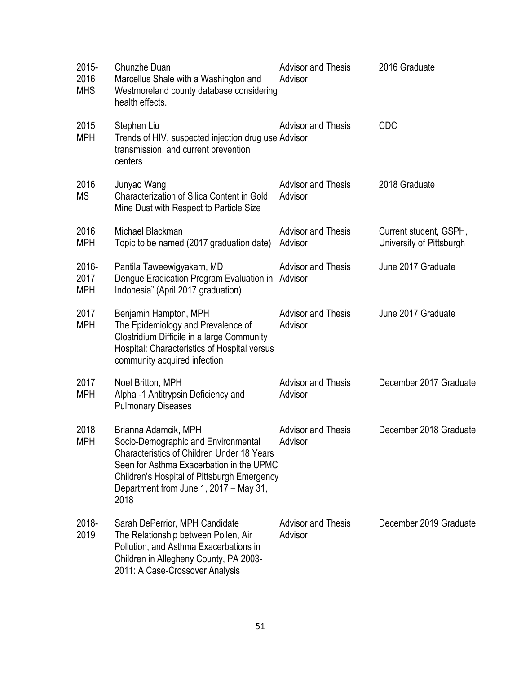| 2015-<br>2016<br><b>MHS</b> | Chunzhe Duan<br>Marcellus Shale with a Washington and<br>Westmoreland county database considering<br>health effects.                                                                                                                                          | <b>Advisor and Thesis</b><br>Advisor | 2016 Graduate                                      |
|-----------------------------|---------------------------------------------------------------------------------------------------------------------------------------------------------------------------------------------------------------------------------------------------------------|--------------------------------------|----------------------------------------------------|
| 2015<br><b>MPH</b>          | Stephen Liu<br>Trends of HIV, suspected injection drug use Advisor<br>transmission, and current prevention<br>centers                                                                                                                                         | <b>Advisor and Thesis</b>            | <b>CDC</b>                                         |
| 2016<br><b>MS</b>           | Junyao Wang<br>Characterization of Silica Content in Gold<br>Mine Dust with Respect to Particle Size                                                                                                                                                          | <b>Advisor and Thesis</b><br>Advisor | 2018 Graduate                                      |
| 2016<br><b>MPH</b>          | Michael Blackman<br>Topic to be named (2017 graduation date)                                                                                                                                                                                                  | <b>Advisor and Thesis</b><br>Advisor | Current student, GSPH,<br>University of Pittsburgh |
| 2016-<br>2017<br><b>MPH</b> | Pantila Taweewigyakarn, MD<br>Dengue Eradication Program Evaluation in Advisor<br>Indonesia" (April 2017 graduation)                                                                                                                                          | <b>Advisor and Thesis</b>            | June 2017 Graduate                                 |
| 2017<br><b>MPH</b>          | Benjamin Hampton, MPH<br>The Epidemiology and Prevalence of<br>Clostridium Difficile in a large Community<br>Hospital: Characteristics of Hospital versus<br>community acquired infection                                                                     | <b>Advisor and Thesis</b><br>Advisor | June 2017 Graduate                                 |
| 2017<br><b>MPH</b>          | Noel Britton, MPH<br>Alpha -1 Antitrypsin Deficiency and<br><b>Pulmonary Diseases</b>                                                                                                                                                                         | <b>Advisor and Thesis</b><br>Advisor | December 2017 Graduate                             |
| 2018<br><b>MPH</b>          | Brianna Adamcik, MPH<br>Socio-Demographic and Environmental<br><b>Characteristics of Children Under 18 Years</b><br>Seen for Asthma Exacerbation in the UPMC<br>Children's Hospital of Pittsburgh Emergency<br>Department from June 1, 2017 - May 31,<br>2018 | <b>Advisor and Thesis</b><br>Advisor | December 2018 Graduate                             |
| 2018-<br>2019               | Sarah DePerrior, MPH Candidate<br>The Relationship between Pollen, Air<br>Pollution, and Asthma Exacerbations in<br>Children in Allegheny County, PA 2003-<br>2011: A Case-Crossover Analysis                                                                 | <b>Advisor and Thesis</b><br>Advisor | December 2019 Graduate                             |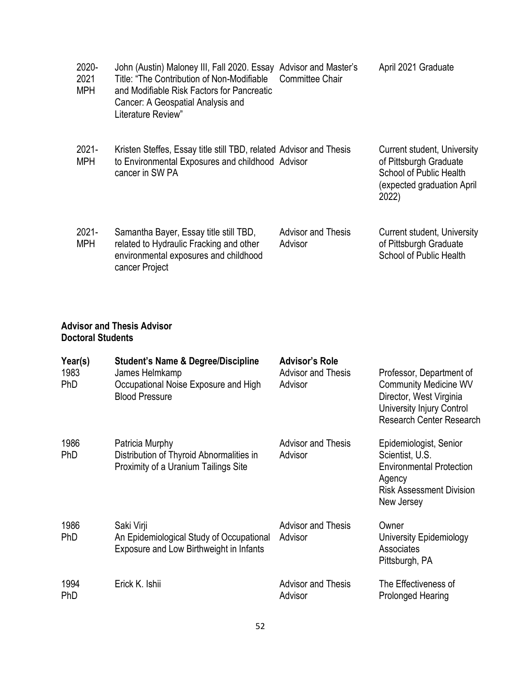| $2020 -$<br>2021<br><b>MPH</b> | John (Austin) Maloney III, Fall 2020. Essay<br>Title: "The Contribution of Non-Modifiable<br>and Modifiable Risk Factors for Pancreatic<br>Cancer: A Geospatial Analysis and<br>Literature Review" | <b>Advisor and Master's</b><br><b>Committee Chair</b> | April 2021 Graduate                                                                                                                   |
|--------------------------------|----------------------------------------------------------------------------------------------------------------------------------------------------------------------------------------------------|-------------------------------------------------------|---------------------------------------------------------------------------------------------------------------------------------------|
| $2021 -$<br><b>MPH</b>         | Kristen Steffes, Essay title still TBD, related Advisor and Thesis<br>to Environmental Exposures and childhood Advisor<br>cancer in SW PA                                                          |                                                       | <b>Current student, University</b><br>of Pittsburgh Graduate<br><b>School of Public Health</b><br>(expected graduation April<br>2022) |
| $2021 -$<br><b>MPH</b>         | Samantha Bayer, Essay title still TBD,<br>related to Hydraulic Fracking and other<br>environmental exposures and childhood<br>cancer Project                                                       | <b>Advisor and Thesis</b><br>Advisor                  | <b>Current student, University</b><br>of Pittsburgh Graduate<br><b>School of Public Health</b>                                        |

#### **Advisor and Thesis Advisor Doctoral Students**

| Year(s)<br>1983<br><b>PhD</b> | <b>Student's Name &amp; Degree/Discipline</b><br>James Helmkamp<br>Occupational Noise Exposure and High<br><b>Blood Pressure</b> | <b>Advisor's Role</b><br><b>Advisor and Thesis</b><br>Advisor | Professor, Department of<br><b>Community Medicine WV</b><br>Director, West Virginia<br>University Injury Control<br><b>Research Center Research</b> |
|-------------------------------|----------------------------------------------------------------------------------------------------------------------------------|---------------------------------------------------------------|-----------------------------------------------------------------------------------------------------------------------------------------------------|
| 1986<br><b>PhD</b>            | Patricia Murphy<br>Distribution of Thyroid Abnormalities in<br>Proximity of a Uranium Tailings Site                              | <b>Advisor and Thesis</b><br>Advisor                          | Epidemiologist, Senior<br>Scientist, U.S.<br><b>Environmental Protection</b><br>Agency<br><b>Risk Assessment Division</b><br>New Jersey             |
| 1986<br>PhD                   | Saki Virji<br>An Epidemiological Study of Occupational<br>Exposure and Low Birthweight in Infants                                | <b>Advisor and Thesis</b><br>Advisor                          | Owner<br>University Epidemiology<br>Associates<br>Pittsburgh, PA                                                                                    |
| 1994<br><b>PhD</b>            | Erick K. Ishii                                                                                                                   | <b>Advisor and Thesis</b><br>Advisor                          | The Effectiveness of<br><b>Prolonged Hearing</b>                                                                                                    |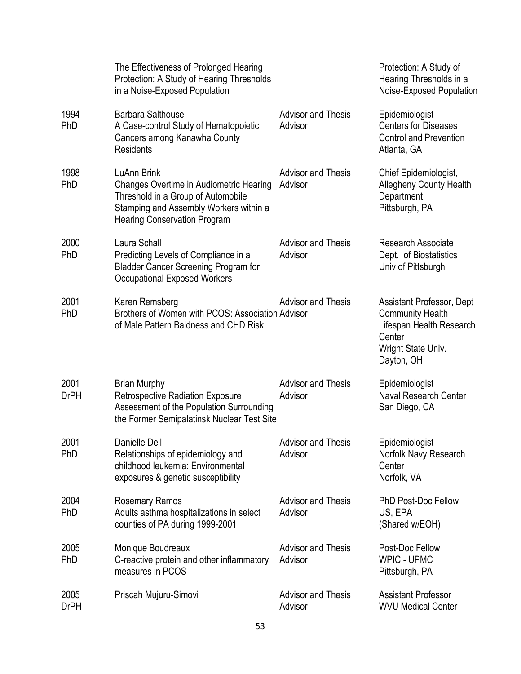|                     | The Effectiveness of Prolonged Hearing<br>Protection: A Study of Hearing Thresholds<br>in a Noise-Exposed Population                                                                 |                                      | Protection: A Study of<br>Hearing Thresholds in a<br>Noise-Exposed Population                                                  |
|---------------------|--------------------------------------------------------------------------------------------------------------------------------------------------------------------------------------|--------------------------------------|--------------------------------------------------------------------------------------------------------------------------------|
| 1994<br>PhD         | <b>Barbara Salthouse</b><br>A Case-control Study of Hematopoietic<br>Cancers among Kanawha County<br><b>Residents</b>                                                                | <b>Advisor and Thesis</b><br>Advisor | Epidemiologist<br><b>Centers for Diseases</b><br><b>Control and Prevention</b><br>Atlanta, GA                                  |
| 1998<br>PhD         | <b>LuAnn Brink</b><br>Changes Overtime in Audiometric Hearing<br>Threshold in a Group of Automobile<br>Stamping and Assembly Workers within a<br><b>Hearing Conservation Program</b> | <b>Advisor and Thesis</b><br>Advisor | Chief Epidemiologist,<br><b>Allegheny County Health</b><br>Department<br>Pittsburgh, PA                                        |
| 2000<br>PhD         | Laura Schall<br>Predicting Levels of Compliance in a<br><b>Bladder Cancer Screening Program for</b><br><b>Occupational Exposed Workers</b>                                           | <b>Advisor and Thesis</b><br>Advisor | <b>Research Associate</b><br>Dept. of Biostatistics<br>Univ of Pittsburgh                                                      |
| 2001<br>PhD         | Karen Remsberg<br>Brothers of Women with PCOS: Association Advisor<br>of Male Pattern Baldness and CHD Risk                                                                          | <b>Advisor and Thesis</b>            | Assistant Professor, Dept<br><b>Community Health</b><br>Lifespan Health Research<br>Center<br>Wright State Univ.<br>Dayton, OH |
| 2001<br><b>DrPH</b> | <b>Brian Murphy</b><br><b>Retrospective Radiation Exposure</b><br>Assessment of the Population Surrounding<br>the Former Semipalatinsk Nuclear Test Site                             | <b>Advisor and Thesis</b><br>Advisor | Epidemiologist<br>Naval Research Center<br>San Diego, CA                                                                       |
| 2001<br>PhD         | Danielle Dell<br>Relationships of epidemiology and<br>childhood leukemia: Environmental<br>exposures & genetic susceptibility                                                        | <b>Advisor and Thesis</b><br>Advisor | Epidemiologist<br>Norfolk Navy Research<br>Center<br>Norfolk, VA                                                               |
| 2004<br>PhD         | <b>Rosemary Ramos</b><br>Adults asthma hospitalizations in select<br>counties of PA during 1999-2001                                                                                 | <b>Advisor and Thesis</b><br>Advisor | <b>PhD Post-Doc Fellow</b><br>US, EPA<br>(Shared w/EOH)                                                                        |
| 2005<br>PhD         | Monique Boudreaux<br>C-reactive protein and other inflammatory<br>measures in PCOS                                                                                                   | <b>Advisor and Thesis</b><br>Advisor | Post-Doc Fellow<br><b>WPIC - UPMC</b><br>Pittsburgh, PA                                                                        |
| 2005<br><b>DrPH</b> | Priscah Mujuru-Simovi                                                                                                                                                                | <b>Advisor and Thesis</b><br>Advisor | <b>Assistant Professor</b><br><b>WVU Medical Center</b>                                                                        |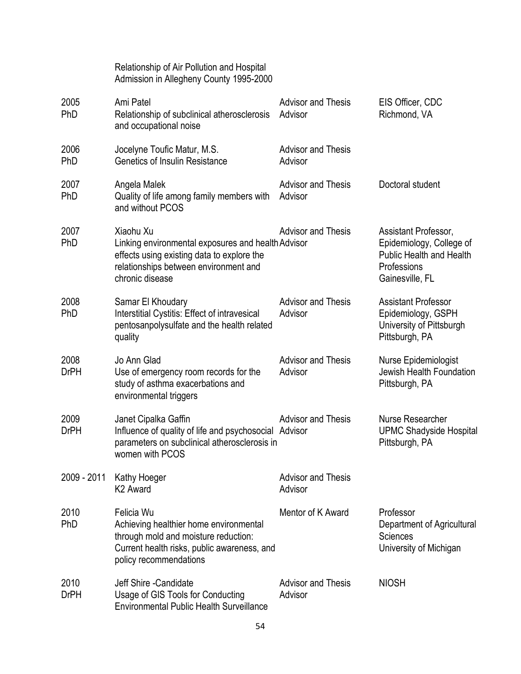|                     | Relationship of Air Pollution and Hospital<br>Admission in Allegheny County 1995-2000                                                                                     |                                      |                                                                                                                       |
|---------------------|---------------------------------------------------------------------------------------------------------------------------------------------------------------------------|--------------------------------------|-----------------------------------------------------------------------------------------------------------------------|
| 2005<br><b>PhD</b>  | Ami Patel<br>Relationship of subclinical atherosclerosis<br>and occupational noise                                                                                        | <b>Advisor and Thesis</b><br>Advisor | EIS Officer, CDC<br>Richmond, VA                                                                                      |
| 2006<br>PhD         | Jocelyne Toufic Matur, M.S.<br><b>Genetics of Insulin Resistance</b>                                                                                                      | <b>Advisor and Thesis</b><br>Advisor |                                                                                                                       |
| 2007<br><b>PhD</b>  | Angela Malek<br>Quality of life among family members with<br>and without PCOS                                                                                             | <b>Advisor and Thesis</b><br>Advisor | Doctoral student                                                                                                      |
| 2007<br>PhD         | Xiaohu Xu<br>Linking environmental exposures and health Advisor<br>effects using existing data to explore the<br>relationships between environment and<br>chronic disease | <b>Advisor and Thesis</b>            | Assistant Professor,<br>Epidemiology, College of<br><b>Public Health and Health</b><br>Professions<br>Gainesville, FL |
| 2008<br>PhD         | Samar El Khoudary<br>Interstitial Cystitis: Effect of intravesical<br>pentosanpolysulfate and the health related<br>quality                                               | <b>Advisor and Thesis</b><br>Advisor | <b>Assistant Professor</b><br>Epidemiology, GSPH<br>University of Pittsburgh<br>Pittsburgh, PA                        |
| 2008<br><b>DrPH</b> | Jo Ann Glad<br>Use of emergency room records for the<br>study of asthma exacerbations and<br>environmental triggers                                                       | <b>Advisor and Thesis</b><br>Advisor | Nurse Epidemiologist<br>Jewish Health Foundation<br>Pittsburgh, PA                                                    |
| 2009<br><b>DrPH</b> | Janet Cipalka Gaffin<br>Influence of quality of life and psychosocial Advisor<br>parameters on subclinical atherosclerosis in<br>women with PCOS                          | <b>Advisor and Thesis</b>            | Nurse Researcher<br><b>UPMC Shadyside Hospital</b><br>Pittsburgh, PA                                                  |
| 2009 - 2011         | Kathy Hoeger<br>K <sub>2</sub> Award                                                                                                                                      | <b>Advisor and Thesis</b><br>Advisor |                                                                                                                       |
| 2010<br>PhD         | Felicia Wu<br>Achieving healthier home environmental<br>through mold and moisture reduction:<br>Current health risks, public awareness, and<br>policy recommendations     | Mentor of K Award                    | Professor<br>Department of Agricultural<br><b>Sciences</b><br>University of Michigan                                  |
| 2010<br><b>DrPH</b> | Jeff Shire - Candidate<br>Usage of GIS Tools for Conducting<br><b>Environmental Public Health Surveillance</b>                                                            | <b>Advisor and Thesis</b><br>Advisor | <b>NIOSH</b>                                                                                                          |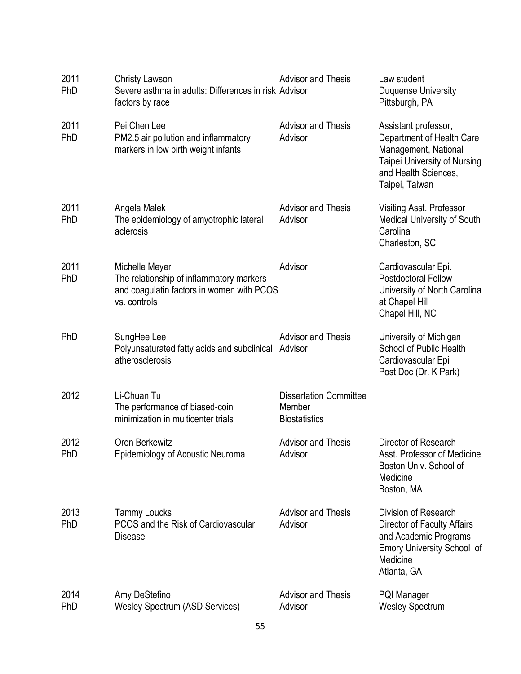| 2011<br>PhD        | <b>Christy Lawson</b><br>Severe asthma in adults: Differences in risk Advisor<br>factors by race                        | <b>Advisor and Thesis</b>                                       | Law student<br>Duquense University<br>Pittsburgh, PA                                                                                                       |
|--------------------|-------------------------------------------------------------------------------------------------------------------------|-----------------------------------------------------------------|------------------------------------------------------------------------------------------------------------------------------------------------------------|
| 2011<br>PhD        | Pei Chen Lee<br>PM2.5 air pollution and inflammatory<br>markers in low birth weight infants                             | <b>Advisor and Thesis</b><br>Advisor                            | Assistant professor,<br>Department of Health Care<br>Management, National<br><b>Taipei University of Nursing</b><br>and Health Sciences,<br>Taipei, Taiwan |
| 2011<br>PhD        | Angela Malek<br>The epidemiology of amyotrophic lateral<br>aclerosis                                                    | <b>Advisor and Thesis</b><br>Advisor                            | Visiting Asst. Professor<br><b>Medical University of South</b><br>Carolina<br>Charleston, SC                                                               |
| 2011<br>PhD        | Michelle Meyer<br>The relationship of inflammatory markers<br>and coagulatin factors in women with PCOS<br>vs. controls | Advisor                                                         | Cardiovascular Epi.<br><b>Postdoctoral Fellow</b><br>University of North Carolina<br>at Chapel Hill<br>Chapel Hill, NC                                     |
| PhD                | SungHee Lee<br>Polyunsaturated fatty acids and subclinical Advisor<br>atherosclerosis                                   | <b>Advisor and Thesis</b>                                       | University of Michigan<br>School of Public Health<br>Cardiovascular Epi<br>Post Doc (Dr. K Park)                                                           |
| 2012               | Li-Chuan Tu<br>The performance of biased-coin<br>minimization in multicenter trials                                     | <b>Dissertation Committee</b><br>Member<br><b>Biostatistics</b> |                                                                                                                                                            |
| 2012<br>PhD        | Oren Berkewitz<br>Epidemiology of Acoustic Neuroma                                                                      | <b>Advisor and Thesis</b><br>Advisor                            | Director of Research<br>Asst. Professor of Medicine<br>Boston Univ. School of<br>Medicine<br>Boston, MA                                                    |
| 2013<br><b>PhD</b> | <b>Tammy Loucks</b><br>PCOS and the Risk of Cardiovascular<br>Disease                                                   | <b>Advisor and Thesis</b><br>Advisor                            | Division of Research<br><b>Director of Faculty Affairs</b><br>and Academic Programs<br><b>Emory University School of</b><br>Medicine<br>Atlanta, GA        |
| 2014<br>PhD        | Amy DeStefino<br><b>Wesley Spectrum (ASD Services)</b>                                                                  | <b>Advisor and Thesis</b><br>Advisor                            | <b>PQI Manager</b><br><b>Wesley Spectrum</b>                                                                                                               |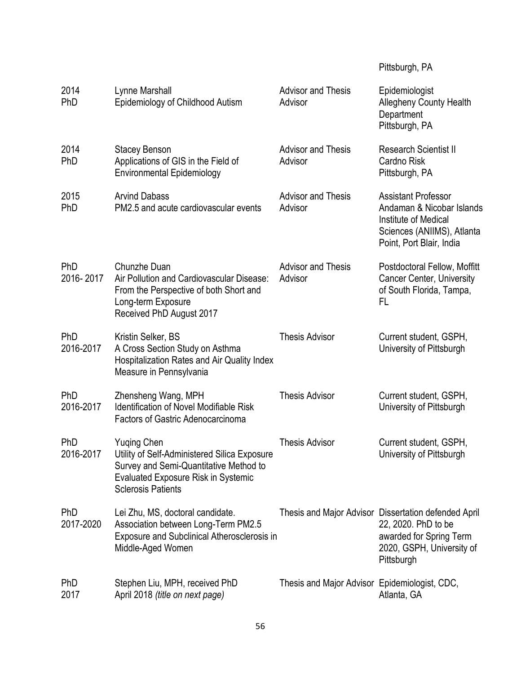# Pittsburgh, PA

| 2014<br>PhD             | Lynne Marshall<br>Epidemiology of Childhood Autism                                                                                                                                      | <b>Advisor and Thesis</b><br>Advisor          | Epidemiologist<br><b>Allegheny County Health</b><br>Department<br>Pittsburgh, PA                                                                  |
|-------------------------|-----------------------------------------------------------------------------------------------------------------------------------------------------------------------------------------|-----------------------------------------------|---------------------------------------------------------------------------------------------------------------------------------------------------|
| 2014<br>PhD             | <b>Stacey Benson</b><br>Applications of GIS in the Field of<br><b>Environmental Epidemiology</b>                                                                                        | <b>Advisor and Thesis</b><br>Advisor          | <b>Research Scientist II</b><br>Cardno Risk<br>Pittsburgh, PA                                                                                     |
| 2015<br>PhD             | <b>Arvind Dabass</b><br>PM2.5 and acute cardiovascular events                                                                                                                           | <b>Advisor and Thesis</b><br>Advisor          | <b>Assistant Professor</b><br>Andaman & Nicobar Islands<br>Institute of Medical<br>Sciences (ANIIMS), Atlanta<br>Point, Port Blair, India         |
| PhD<br>2016-2017        | Chunzhe Duan<br>Air Pollution and Cardiovascular Disease:<br>From the Perspective of both Short and<br>Long-term Exposure<br>Received PhD August 2017                                   | <b>Advisor and Thesis</b><br>Advisor          | Postdoctoral Fellow, Moffitt<br><b>Cancer Center, University</b><br>of South Florida, Tampa,<br>FL                                                |
| <b>PhD</b><br>2016-2017 | Kristin Selker, BS<br>A Cross Section Study on Asthma<br>Hospitalization Rates and Air Quality Index<br>Measure in Pennsylvania                                                         | <b>Thesis Advisor</b>                         | Current student, GSPH,<br>University of Pittsburgh                                                                                                |
| PhD<br>2016-2017        | Zhensheng Wang, MPH<br><b>Identification of Novel Modifiable Risk</b><br>Factors of Gastric Adenocarcinoma                                                                              | <b>Thesis Advisor</b>                         | Current student, GSPH,<br>University of Pittsburgh                                                                                                |
| PhD<br>2016-2017        | <b>Yuging Chen</b><br>Utility of Self-Administered Silica Exposure<br>Survey and Semi-Quantitative Method to<br><b>Evaluated Exposure Risk in Systemic</b><br><b>Sclerosis Patients</b> | <b>Thesis Advisor</b>                         | Current student, GSPH,<br>University of Pittsburgh                                                                                                |
| PhD<br>2017-2020        | Lei Zhu, MS, doctoral candidate.<br>Association between Long-Term PM2.5<br><b>Exposure and Subclinical Atherosclerosis in</b><br>Middle-Aged Women                                      |                                               | Thesis and Major Advisor Dissertation defended April<br>22, 2020. PhD to be<br>awarded for Spring Term<br>2020, GSPH, University of<br>Pittsburgh |
| <b>PhD</b><br>2017      | Stephen Liu, MPH, received PhD<br>April 2018 (title on next page)                                                                                                                       | Thesis and Major Advisor Epidemiologist, CDC, | Atlanta, GA                                                                                                                                       |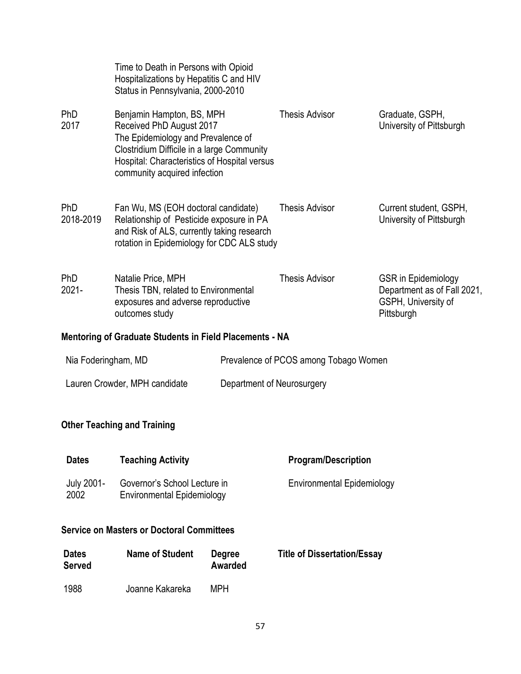|                               | Time to Death in Persons with Opioid<br>Hospitalizations by Hepatitis C and HIV<br>Status in Pennsylvania, 2000-2010                                                                                                      |                            |                                       |                                                                                                |
|-------------------------------|---------------------------------------------------------------------------------------------------------------------------------------------------------------------------------------------------------------------------|----------------------------|---------------------------------------|------------------------------------------------------------------------------------------------|
| <b>PhD</b><br>2017            | Benjamin Hampton, BS, MPH<br>Received PhD August 2017<br>The Epidemiology and Prevalence of<br>Clostridium Difficile in a large Community<br>Hospital: Characteristics of Hospital versus<br>community acquired infection |                            | <b>Thesis Advisor</b>                 | Graduate, GSPH,<br>University of Pittsburgh                                                    |
| <b>PhD</b><br>2018-2019       | Fan Wu, MS (EOH doctoral candidate)<br>Relationship of Pesticide exposure in PA<br>and Risk of ALS, currently taking research<br>rotation in Epidemiology for CDC ALS study                                               |                            | <b>Thesis Advisor</b>                 | Current student, GSPH,<br>University of Pittsburgh                                             |
| <b>PhD</b><br>$2021 -$        | Natalie Price, MPH<br>Thesis TBN, related to Environmental<br>exposures and adverse reproductive<br>outcomes study                                                                                                        |                            | <b>Thesis Advisor</b>                 | <b>GSR</b> in Epidemiology<br>Department as of Fall 2021,<br>GSPH, University of<br>Pittsburgh |
|                               | <b>Mentoring of Graduate Students in Field Placements - NA</b>                                                                                                                                                            |                            |                                       |                                                                                                |
| Nia Foderingham, MD           |                                                                                                                                                                                                                           |                            | Prevalence of PCOS among Tobago Women |                                                                                                |
| Lauren Crowder, MPH candidate |                                                                                                                                                                                                                           | Department of Neurosurgery |                                       |                                                                                                |
|                               | <b>Other Teaching and Training</b>                                                                                                                                                                                        |                            |                                       |                                                                                                |
| <b>Dates</b>                  | <b>Teaching Activity</b>                                                                                                                                                                                                  |                            | <b>Program/Description</b>            |                                                                                                |
| <b>July 2001-</b><br>2002     | Governor's School Lecture in<br><b>Environmental Epidemiology</b>                                                                                                                                                         |                            | <b>Environmental Epidemiology</b>     |                                                                                                |
|                               | <b>Service on Masters or Doctoral Committees</b>                                                                                                                                                                          |                            |                                       |                                                                                                |

| <b>Dates</b><br><b>Served</b> | <b>Name of Student</b> | <b>Degree</b><br>Awarded | <b>Title of Dissertation/Essay</b> |
|-------------------------------|------------------------|--------------------------|------------------------------------|
| 1988                          | Joanne Kakareka        | MPH                      |                                    |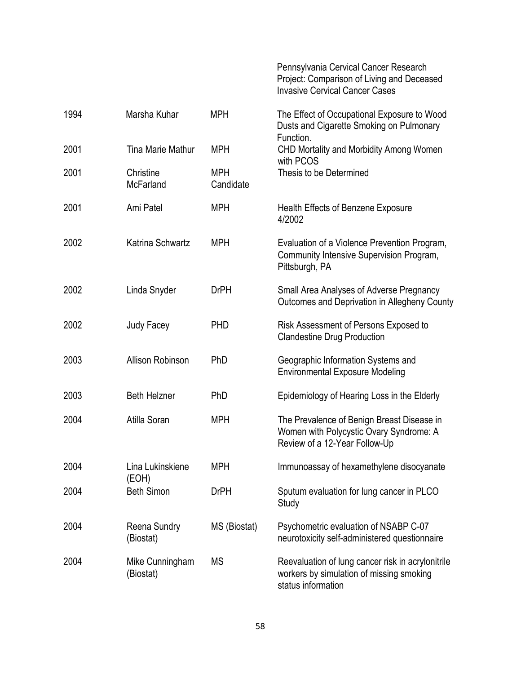|      |                               |                         | Pennsylvania Cervical Cancer Research<br>Project: Comparison of Living and Deceased<br><b>Invasive Cervical Cancer Cases</b> |
|------|-------------------------------|-------------------------|------------------------------------------------------------------------------------------------------------------------------|
| 1994 | Marsha Kuhar                  | <b>MPH</b>              | The Effect of Occupational Exposure to Wood<br>Dusts and Cigarette Smoking on Pulmonary<br>Function.                         |
| 2001 | Tina Marie Mathur             | <b>MPH</b>              | CHD Mortality and Morbidity Among Women<br>with PCOS                                                                         |
| 2001 | Christine<br><b>McFarland</b> | <b>MPH</b><br>Candidate | Thesis to be Determined                                                                                                      |
| 2001 | Ami Patel                     | <b>MPH</b>              | Health Effects of Benzene Exposure<br>4/2002                                                                                 |
| 2002 | Katrina Schwartz              | <b>MPH</b>              | Evaluation of a Violence Prevention Program,<br>Community Intensive Supervision Program,<br>Pittsburgh, PA                   |
| 2002 | Linda Snyder                  | <b>DrPH</b>             | Small Area Analyses of Adverse Pregnancy<br>Outcomes and Deprivation in Allegheny County                                     |
| 2002 | Judy Facey                    | <b>PHD</b>              | Risk Assessment of Persons Exposed to<br><b>Clandestine Drug Production</b>                                                  |
| 2003 | Allison Robinson              | PhD                     | Geographic Information Systems and<br><b>Environmental Exposure Modeling</b>                                                 |
| 2003 | <b>Beth Helzner</b>           | <b>PhD</b>              | Epidemiology of Hearing Loss in the Elderly                                                                                  |
| 2004 | Atilla Soran                  | <b>MPH</b>              | The Prevalence of Benign Breast Disease in<br>Women with Polycystic Ovary Syndrome: A<br>Review of a 12-Year Follow-Up       |
| 2004 | Lina Lukinskiene<br>(EOH)     | <b>MPH</b>              | Immunoassay of hexamethylene disocyanate                                                                                     |
| 2004 | <b>Beth Simon</b>             | <b>DrPH</b>             | Sputum evaluation for lung cancer in PLCO<br>Study                                                                           |
| 2004 | Reena Sundry<br>(Biostat)     | MS (Biostat)            | Psychometric evaluation of NSABP C-07<br>neurotoxicity self-administered questionnaire                                       |
| 2004 | Mike Cunningham<br>(Biostat)  | <b>MS</b>               | Reevaluation of lung cancer risk in acrylonitrile<br>workers by simulation of missing smoking<br>status information          |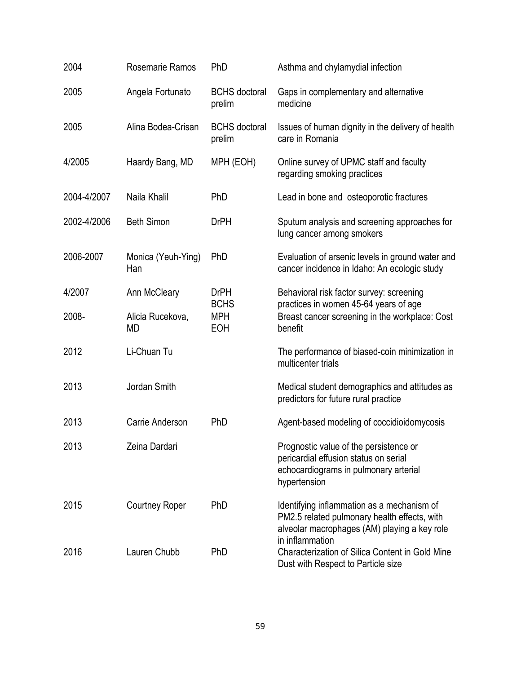| 2004        | Rosemarie Ramos           | PhD                            | Asthma and chylamydial infection                                                                                                           |
|-------------|---------------------------|--------------------------------|--------------------------------------------------------------------------------------------------------------------------------------------|
| 2005        | Angela Fortunato          | <b>BCHS</b> doctoral<br>prelim | Gaps in complementary and alternative<br>medicine                                                                                          |
| 2005        | Alina Bodea-Crisan        | <b>BCHS</b> doctoral<br>prelim | Issues of human dignity in the delivery of health<br>care in Romania                                                                       |
| 4/2005      | Haardy Bang, MD           | MPH (EOH)                      | Online survey of UPMC staff and faculty<br>regarding smoking practices                                                                     |
| 2004-4/2007 | Naila Khalil              | PhD                            | Lead in bone and osteoporotic fractures                                                                                                    |
| 2002-4/2006 | <b>Beth Simon</b>         | <b>DrPH</b>                    | Sputum analysis and screening approaches for<br>lung cancer among smokers                                                                  |
| 2006-2007   | Monica (Yeuh-Ying)<br>Han | PhD                            | Evaluation of arsenic levels in ground water and<br>cancer incidence in Idaho: An ecologic study                                           |
| 4/2007      | Ann McCleary              | <b>DrPH</b><br><b>BCHS</b>     | Behavioral risk factor survey: screening<br>practices in women 45-64 years of age                                                          |
| 2008-       | Alicia Rucekova,<br>MD    | <b>MPH</b><br><b>EOH</b>       | Breast cancer screening in the workplace: Cost<br>benefit                                                                                  |
| 2012        | Li-Chuan Tu               |                                | The performance of biased-coin minimization in<br>multicenter trials                                                                       |
| 2013        | Jordan Smith              |                                | Medical student demographics and attitudes as<br>predictors for future rural practice                                                      |
| 2013        | Carrie Anderson           | <b>PhD</b>                     | Agent-based modeling of coccidioidomycosis                                                                                                 |
| 2013        | Zeina Dardari             |                                | Prognostic value of the persistence or<br>pericardial effusion status on serial<br>echocardiograms in pulmonary arterial<br>hypertension   |
| 2015        | <b>Courtney Roper</b>     | PhD                            | Identifying inflammation as a mechanism of<br>PM2.5 related pulmonary health effects, with<br>alveolar macrophages (AM) playing a key role |
| 2016        | Lauren Chubb              | PhD                            | in inflammation<br><b>Characterization of Silica Content in Gold Mine</b><br>Dust with Respect to Particle size                            |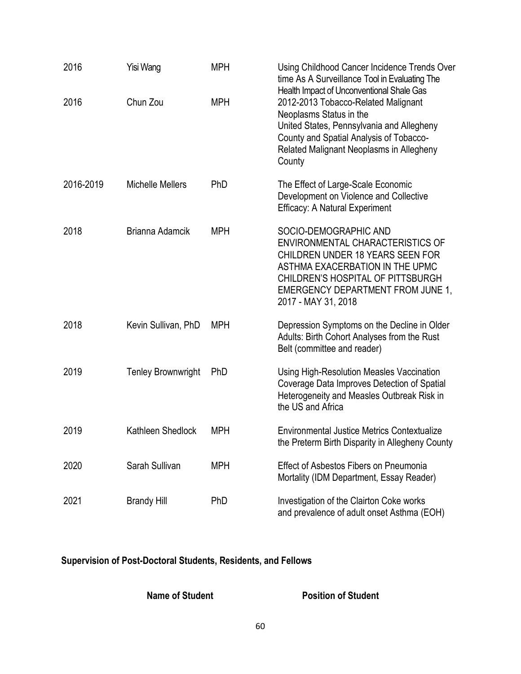| 2016      | Yisi Wang                 | <b>MPH</b> | Using Childhood Cancer Incidence Trends Over<br>time As A Surveillance Tool in Evaluating The                                                                                                                                                             |
|-----------|---------------------------|------------|-----------------------------------------------------------------------------------------------------------------------------------------------------------------------------------------------------------------------------------------------------------|
| 2016      | Chun Zou                  | <b>MPH</b> | Health Impact of Unconventional Shale Gas<br>2012-2013 Tobacco-Related Malignant<br>Neoplasms Status in the<br>United States, Pennsylvania and Allegheny<br>County and Spatial Analysis of Tobacco-<br>Related Malignant Neoplasms in Allegheny<br>County |
| 2016-2019 | <b>Michelle Mellers</b>   | PhD        | The Effect of Large-Scale Economic<br>Development on Violence and Collective<br><b>Efficacy: A Natural Experiment</b>                                                                                                                                     |
| 2018      | Brianna Adamcik           | <b>MPH</b> | SOCIO-DEMOGRAPHIC AND<br>ENVIRONMENTAL CHARACTERISTICS OF<br><b>CHILDREN UNDER 18 YEARS SEEN FOR</b><br>ASTHMA EXACERBATION IN THE UPMC<br><b>CHILDREN'S HOSPITAL OF PITTSBURGH</b><br><b>EMERGENCY DEPARTMENT FROM JUNE 1,</b><br>2017 - MAY 31, 2018    |
| 2018      | Kevin Sullivan, PhD       | <b>MPH</b> | Depression Symptoms on the Decline in Older<br>Adults: Birth Cohort Analyses from the Rust<br>Belt (committee and reader)                                                                                                                                 |
| 2019      | <b>Tenley Brownwright</b> | PhD        | Using High-Resolution Measles Vaccination<br>Coverage Data Improves Detection of Spatial<br>Heterogeneity and Measles Outbreak Risk in<br>the US and Africa                                                                                               |
| 2019      | Kathleen Shedlock         | <b>MPH</b> | <b>Environmental Justice Metrics Contextualize</b><br>the Preterm Birth Disparity in Allegheny County                                                                                                                                                     |
| 2020      | Sarah Sullivan            | <b>MPH</b> | <b>Effect of Asbestos Fibers on Pneumonia</b><br>Mortality (IDM Department, Essay Reader)                                                                                                                                                                 |
| 2021      | <b>Brandy Hill</b>        | PhD        | Investigation of the Clairton Coke works<br>and prevalence of adult onset Asthma (EOH)                                                                                                                                                                    |

# **Supervision of Post-Doctoral Students, Residents, and Fellows**

**Name of Student Position of Student**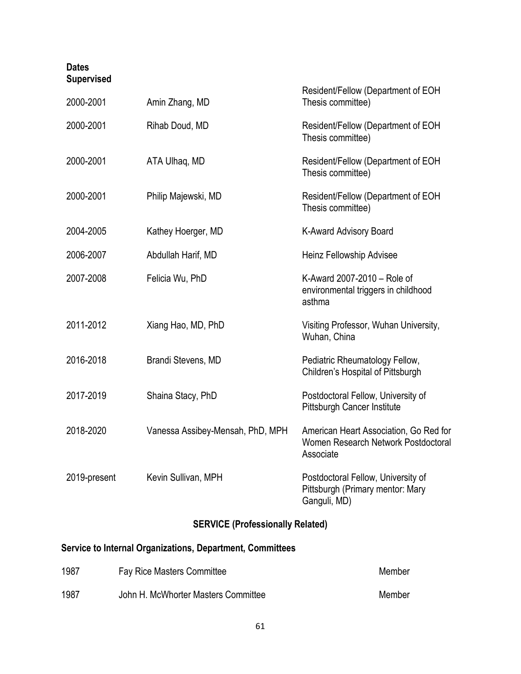#### **Dates Supervised**

| 2000-2001    | Amin Zhang, MD                   | Resident/Fellow (Department of EOH<br>Thesis committee)                                    |
|--------------|----------------------------------|--------------------------------------------------------------------------------------------|
| 2000-2001    | Rihab Doud, MD                   | Resident/Fellow (Department of EOH<br>Thesis committee)                                    |
| 2000-2001    | ATA Ulhaq, MD                    | Resident/Fellow (Department of EOH<br>Thesis committee)                                    |
| 2000-2001    | Philip Majewski, MD              | Resident/Fellow (Department of EOH<br>Thesis committee)                                    |
| 2004-2005    | Kathey Hoerger, MD               | K-Award Advisory Board                                                                     |
| 2006-2007    | Abdullah Harif, MD               | Heinz Fellowship Advisee                                                                   |
| 2007-2008    | Felicia Wu, PhD                  | K-Award 2007-2010 - Role of<br>environmental triggers in childhood<br>asthma               |
| 2011-2012    | Xiang Hao, MD, PhD               | Visiting Professor, Wuhan University,<br>Wuhan, China                                      |
| 2016-2018    | Brandi Stevens, MD               | Pediatric Rheumatology Fellow,<br>Children's Hospital of Pittsburgh                        |
| 2017-2019    | Shaina Stacy, PhD                | Postdoctoral Fellow, University of<br>Pittsburgh Cancer Institute                          |
| 2018-2020    | Vanessa Assibey-Mensah, PhD, MPH | American Heart Association, Go Red for<br>Women Research Network Postdoctoral<br>Associate |
| 2019-present | Kevin Sullivan, MPH              | Postdoctoral Fellow, University of<br>Pittsburgh (Primary mentor: Mary<br>Ganguli, MD)     |

# **SERVICE (Professionally Related)**

# **Service to Internal Organizations, Department, Committees**

| 1987 | <b>Fay Rice Masters Committee</b>   | Member |
|------|-------------------------------------|--------|
| 1987 | John H. McWhorter Masters Committee | Member |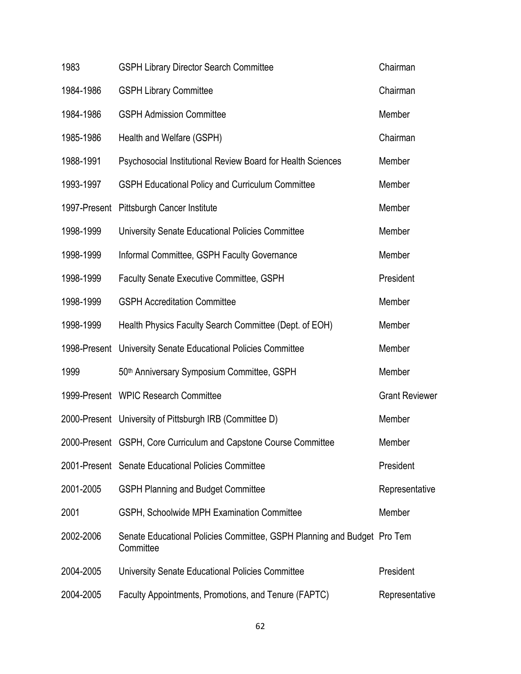| 1983      | <b>GSPH Library Director Search Committee</b>                                        | Chairman              |
|-----------|--------------------------------------------------------------------------------------|-----------------------|
| 1984-1986 | <b>GSPH Library Committee</b>                                                        | Chairman              |
| 1984-1986 | <b>GSPH Admission Committee</b>                                                      | Member                |
| 1985-1986 | Health and Welfare (GSPH)                                                            | Chairman              |
| 1988-1991 | Psychosocial Institutional Review Board for Health Sciences                          | Member                |
| 1993-1997 | <b>GSPH Educational Policy and Curriculum Committee</b>                              | Member                |
|           | 1997-Present Pittsburgh Cancer Institute                                             | Member                |
| 1998-1999 | University Senate Educational Policies Committee                                     | Member                |
| 1998-1999 | Informal Committee, GSPH Faculty Governance                                          | Member                |
| 1998-1999 | <b>Faculty Senate Executive Committee, GSPH</b>                                      | President             |
| 1998-1999 | <b>GSPH Accreditation Committee</b>                                                  | Member                |
| 1998-1999 | Health Physics Faculty Search Committee (Dept. of EOH)                               | Member                |
|           | 1998-Present University Senate Educational Policies Committee                        | Member                |
| 1999      | 50th Anniversary Symposium Committee, GSPH                                           | Member                |
|           | 1999-Present WPIC Research Committee                                                 | <b>Grant Reviewer</b> |
|           | 2000-Present University of Pittsburgh IRB (Committee D)                              | Member                |
|           | 2000-Present GSPH, Core Curriculum and Capstone Course Committee                     | Member                |
|           | 2001-Present Senate Educational Policies Committee                                   | President             |
| 2001-2005 | <b>GSPH Planning and Budget Committee</b>                                            | Representative        |
| 2001      | GSPH, Schoolwide MPH Examination Committee                                           | Member                |
| 2002-2006 | Senate Educational Policies Committee, GSPH Planning and Budget Pro Tem<br>Committee |                       |
| 2004-2005 | University Senate Educational Policies Committee                                     | President             |
| 2004-2005 | Faculty Appointments, Promotions, and Tenure (FAPTC)                                 | Representative        |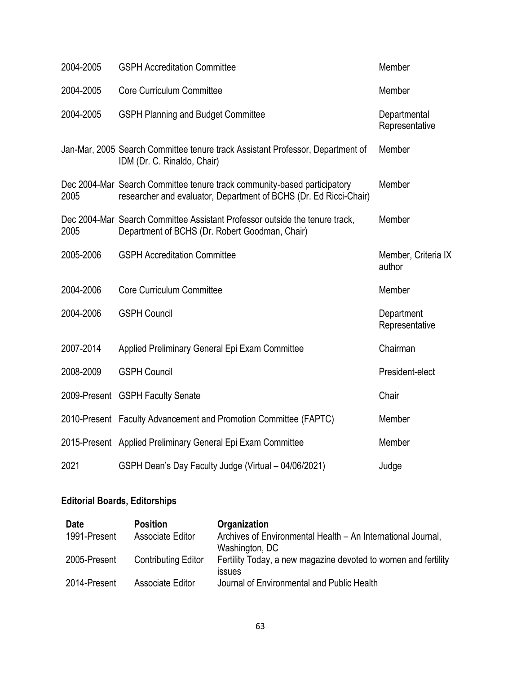| 2004-2005 | <b>GSPH Accreditation Committee</b>                                                                                                           | Member                         |
|-----------|-----------------------------------------------------------------------------------------------------------------------------------------------|--------------------------------|
| 2004-2005 | <b>Core Curriculum Committee</b>                                                                                                              | Member                         |
| 2004-2005 | <b>GSPH Planning and Budget Committee</b>                                                                                                     | Departmental<br>Representative |
|           | Jan-Mar, 2005 Search Committee tenure track Assistant Professor, Department of<br>IDM (Dr. C. Rinaldo, Chair)                                 | Member                         |
| 2005      | Dec 2004-Mar Search Committee tenure track community-based participatory<br>researcher and evaluator, Department of BCHS (Dr. Ed Ricci-Chair) | Member                         |
| 2005      | Dec 2004-Mar Search Committee Assistant Professor outside the tenure track,<br>Department of BCHS (Dr. Robert Goodman, Chair)                 | Member                         |
| 2005-2006 | <b>GSPH Accreditation Committee</b>                                                                                                           | Member, Criteria IX<br>author  |
| 2004-2006 | Core Curriculum Committee                                                                                                                     | Member                         |
| 2004-2006 | <b>GSPH Council</b>                                                                                                                           | Department<br>Representative   |
| 2007-2014 | Applied Preliminary General Epi Exam Committee                                                                                                | Chairman                       |
| 2008-2009 | <b>GSPH Council</b>                                                                                                                           | President-elect                |
|           | 2009-Present GSPH Faculty Senate                                                                                                              | Chair                          |
|           | 2010-Present Faculty Advancement and Promotion Committee (FAPTC)                                                                              | Member                         |
|           | 2015-Present Applied Preliminary General Epi Exam Committee                                                                                   | Member                         |
| 2021      | GSPH Dean's Day Faculty Judge (Virtual - 04/06/2021)                                                                                          | Judge                          |

# **Editorial Boards, Editorships**

| <b>Date</b>  | <b>Position</b>            | Organization                                                   |
|--------------|----------------------------|----------------------------------------------------------------|
| 1991-Present | Associate Editor           | Archives of Environmental Health - An International Journal,   |
|              |                            | Washington, DC                                                 |
| 2005-Present | <b>Contributing Editor</b> | Fertility Today, a new magazine devoted to women and fertility |
|              |                            | <b>ISSUES</b>                                                  |
| 2014-Present | Associate Editor           | Journal of Environmental and Public Health                     |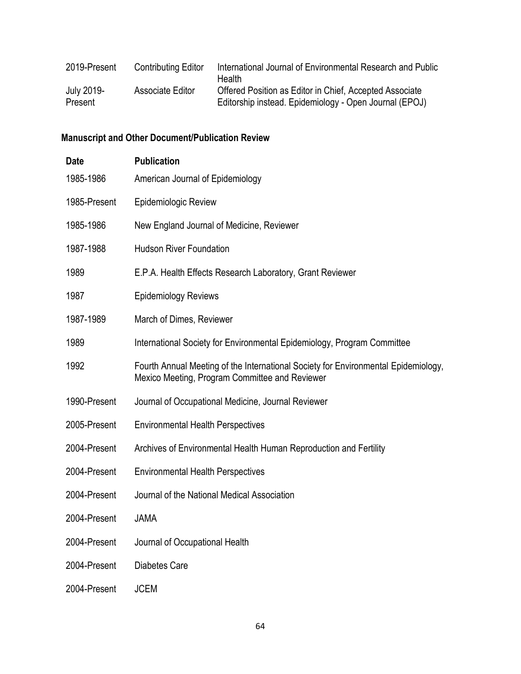| 2019-Present          | <b>Contributing Editor</b> | International Journal of Environmental Research and Public<br>Health                                              |
|-----------------------|----------------------------|-------------------------------------------------------------------------------------------------------------------|
| July 2019-<br>Present | Associate Editor           | Offered Position as Editor in Chief, Accepted Associate<br>Editorship instead. Epidemiology - Open Journal (EPOJ) |

# **Manuscript and Other Document/Publication Review**

| <b>Date</b>  | <b>Publication</b>                                                                                                                   |
|--------------|--------------------------------------------------------------------------------------------------------------------------------------|
| 1985-1986    | American Journal of Epidemiology                                                                                                     |
| 1985-Present | Epidemiologic Review                                                                                                                 |
| 1985-1986    | New England Journal of Medicine, Reviewer                                                                                            |
| 1987-1988    | <b>Hudson River Foundation</b>                                                                                                       |
| 1989         | E.P.A. Health Effects Research Laboratory, Grant Reviewer                                                                            |
| 1987         | <b>Epidemiology Reviews</b>                                                                                                          |
| 1987-1989    | March of Dimes, Reviewer                                                                                                             |
| 1989         | International Society for Environmental Epidemiology, Program Committee                                                              |
| 1992         | Fourth Annual Meeting of the International Society for Environmental Epidemiology,<br>Mexico Meeting, Program Committee and Reviewer |
| 1990-Present | Journal of Occupational Medicine, Journal Reviewer                                                                                   |
| 2005-Present | <b>Environmental Health Perspectives</b>                                                                                             |
| 2004-Present | Archives of Environmental Health Human Reproduction and Fertility                                                                    |
| 2004-Present | <b>Environmental Health Perspectives</b>                                                                                             |
| 2004-Present | Journal of the National Medical Association                                                                                          |
| 2004-Present | <b>JAMA</b>                                                                                                                          |
| 2004-Present | Journal of Occupational Health                                                                                                       |
| 2004-Present | <b>Diabetes Care</b>                                                                                                                 |
| 2004-Present | <b>JCEM</b>                                                                                                                          |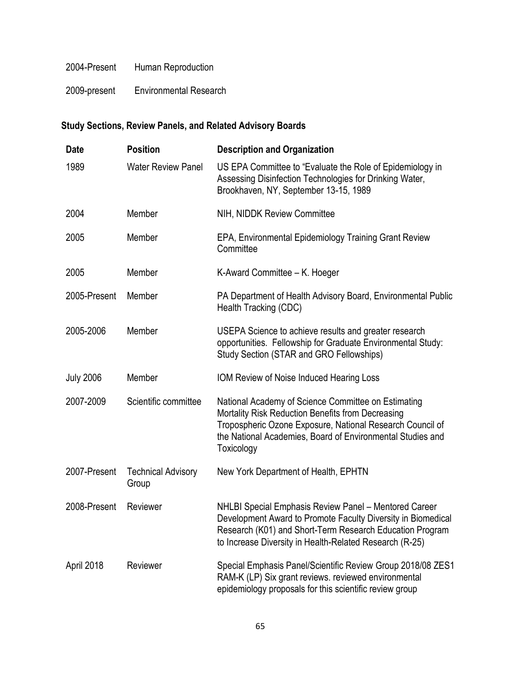#### 2004-Present Human Reproduction

2009-present Environmental Research

# **Study Sections, Review Panels, and Related Advisory Boards**

| <b>Date</b>      | <b>Position</b>                    | <b>Description and Organization</b>                                                                                                                                                                                                               |
|------------------|------------------------------------|---------------------------------------------------------------------------------------------------------------------------------------------------------------------------------------------------------------------------------------------------|
| 1989             | <b>Water Review Panel</b>          | US EPA Committee to "Evaluate the Role of Epidemiology in<br>Assessing Disinfection Technologies for Drinking Water,<br>Brookhaven, NY, September 13-15, 1989                                                                                     |
| 2004             | Member                             | NIH, NIDDK Review Committee                                                                                                                                                                                                                       |
| 2005             | Member                             | EPA, Environmental Epidemiology Training Grant Review<br>Committee                                                                                                                                                                                |
| 2005             | Member                             | K-Award Committee - K. Hoeger                                                                                                                                                                                                                     |
| 2005-Present     | Member                             | PA Department of Health Advisory Board, Environmental Public<br>Health Tracking (CDC)                                                                                                                                                             |
| 2005-2006        | Member                             | USEPA Science to achieve results and greater research<br>opportunities. Fellowship for Graduate Environmental Study:<br>Study Section (STAR and GRO Fellowships)                                                                                  |
| <b>July 2006</b> | Member                             | IOM Review of Noise Induced Hearing Loss                                                                                                                                                                                                          |
| 2007-2009        | Scientific committee               | National Academy of Science Committee on Estimating<br>Mortality Risk Reduction Benefits from Decreasing<br>Tropospheric Ozone Exposure, National Research Council of<br>the National Academies, Board of Environmental Studies and<br>Toxicology |
| 2007-Present     | <b>Technical Advisory</b><br>Group | New York Department of Health, EPHTN                                                                                                                                                                                                              |
| 2008-Present     | Reviewer                           | NHLBI Special Emphasis Review Panel - Mentored Career<br>Development Award to Promote Faculty Diversity in Biomedical<br>Research (K01) and Short-Term Research Education Program<br>to Increase Diversity in Health-Related Research (R-25)      |
| April 2018       | Reviewer                           | Special Emphasis Panel/Scientific Review Group 2018/08 ZES1<br>RAM-K (LP) Six grant reviews. reviewed environmental<br>epidemiology proposals for this scientific review group                                                                    |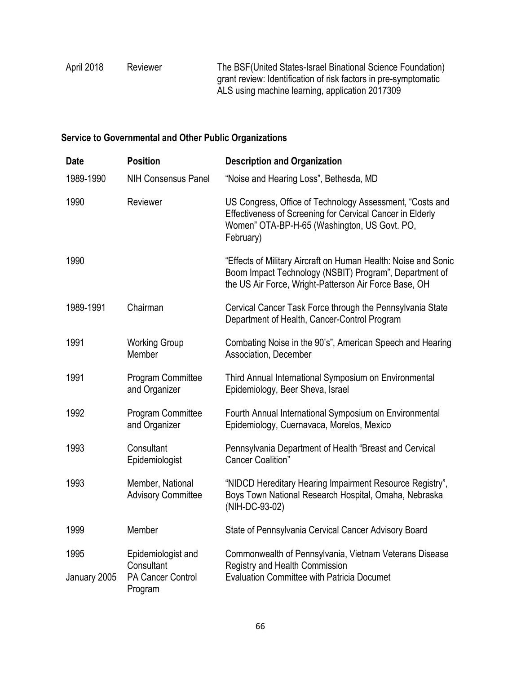| April 2018 | Reviewer | The BSF (United States-Israel Binational Science Foundation)    |
|------------|----------|-----------------------------------------------------------------|
|            |          | grant review: Identification of risk factors in pre-symptomatic |
|            |          | ALS using machine learning, application 2017309                 |

# **Service to Governmental and Other Public Organizations**

| <b>Date</b>          | <b>Position</b>                                                         | <b>Description and Organization</b>                                                                                                                                                |
|----------------------|-------------------------------------------------------------------------|------------------------------------------------------------------------------------------------------------------------------------------------------------------------------------|
| 1989-1990            | <b>NIH Consensus Panel</b>                                              | "Noise and Hearing Loss", Bethesda, MD                                                                                                                                             |
| 1990                 | Reviewer                                                                | US Congress, Office of Technology Assessment, "Costs and<br>Effectiveness of Screening for Cervical Cancer in Elderly<br>Women" OTA-BP-H-65 (Washington, US Govt. PO,<br>February) |
| 1990                 |                                                                         | "Effects of Military Aircraft on Human Health: Noise and Sonic<br>Boom Impact Technology (NSBIT) Program", Department of<br>the US Air Force, Wright-Patterson Air Force Base, OH  |
| 1989-1991            | Chairman                                                                | Cervical Cancer Task Force through the Pennsylvania State<br>Department of Health, Cancer-Control Program                                                                          |
| 1991                 | <b>Working Group</b><br>Member                                          | Combating Noise in the 90's", American Speech and Hearing<br>Association, December                                                                                                 |
| 1991                 | <b>Program Committee</b><br>and Organizer                               | Third Annual International Symposium on Environmental<br>Epidemiology, Beer Sheva, Israel                                                                                          |
| 1992                 | <b>Program Committee</b><br>and Organizer                               | Fourth Annual International Symposium on Environmental<br>Epidemiology, Cuernavaca, Morelos, Mexico                                                                                |
| 1993                 | Consultant<br>Epidemiologist                                            | Pennsylvania Department of Health "Breast and Cervical<br><b>Cancer Coalition"</b>                                                                                                 |
| 1993                 | Member, National<br><b>Advisory Committee</b>                           | "NIDCD Hereditary Hearing Impairment Resource Registry",<br>Boys Town National Research Hospital, Omaha, Nebraska<br>(NIH-DC-93-02)                                                |
| 1999                 | Member                                                                  | State of Pennsylvania Cervical Cancer Advisory Board                                                                                                                               |
| 1995<br>January 2005 | Epidemiologist and<br>Consultant<br><b>PA Cancer Control</b><br>Program | Commonwealth of Pennsylvania, Vietnam Veterans Disease<br>Registry and Health Commission<br><b>Evaluation Committee with Patricia Documet</b>                                      |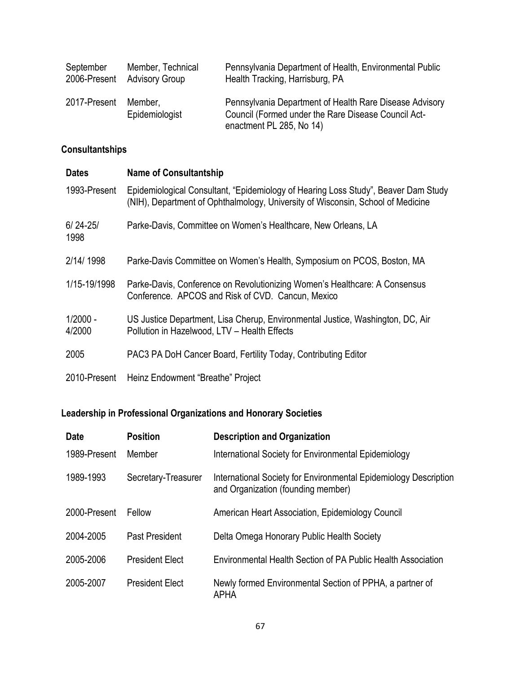| September    | Member, Technical         | Pennsylvania Department of Health, Environmental Public                                                                                    |
|--------------|---------------------------|--------------------------------------------------------------------------------------------------------------------------------------------|
| 2006-Present | <b>Advisory Group</b>     | Health Tracking, Harrisburg, PA                                                                                                            |
| 2017-Present | Member.<br>Epidemiologist | Pennsylvania Department of Health Rare Disease Advisory<br>Council (Formed under the Rare Disease Council Act-<br>enactment PL 285, No 14) |

# **Consultantships**

| <b>Dates</b>         | <b>Name of Consultantship</b>                                                                                                                                         |
|----------------------|-----------------------------------------------------------------------------------------------------------------------------------------------------------------------|
| 1993-Present         | Epidemiological Consultant, "Epidemiology of Hearing Loss Study", Beaver Dam Study<br>(NIH), Department of Ophthalmology, University of Wisconsin, School of Medicine |
| $6/24 - 25/$<br>1998 | Parke-Davis, Committee on Women's Healthcare, New Orleans, LA                                                                                                         |
| 2/14/1998            | Parke-Davis Committee on Women's Health, Symposium on PCOS, Boston, MA                                                                                                |
| 1/15-19/1998         | Parke-Davis, Conference on Revolutionizing Women's Healthcare: A Consensus<br>Conference. APCOS and Risk of CVD. Cancun, Mexico                                       |
| $1/2000 -$<br>4/2000 | US Justice Department, Lisa Cherup, Environmental Justice, Washington, DC, Air<br>Pollution in Hazelwood, LTV - Health Effects                                        |
| 2005                 | PAC3 PA DoH Cancer Board, Fertility Today, Contributing Editor                                                                                                        |
| 2010-Present         | Heinz Endowment "Breathe" Project                                                                                                                                     |

# **Leadership in Professional Organizations and Honorary Societies**

| <b>Date</b>  | <b>Position</b>        | <b>Description and Organization</b>                                                                    |
|--------------|------------------------|--------------------------------------------------------------------------------------------------------|
| 1989-Present | Member                 | International Society for Environmental Epidemiology                                                   |
| 1989-1993    | Secretary-Treasurer    | International Society for Environmental Epidemiology Description<br>and Organization (founding member) |
| 2000-Present | Fellow                 | American Heart Association, Epidemiology Council                                                       |
| 2004-2005    | Past President         | Delta Omega Honorary Public Health Society                                                             |
| 2005-2006    | <b>President Elect</b> | Environmental Health Section of PA Public Health Association                                           |
| 2005-2007    | <b>President Elect</b> | Newly formed Environmental Section of PPHA, a partner of<br><b>APHA</b>                                |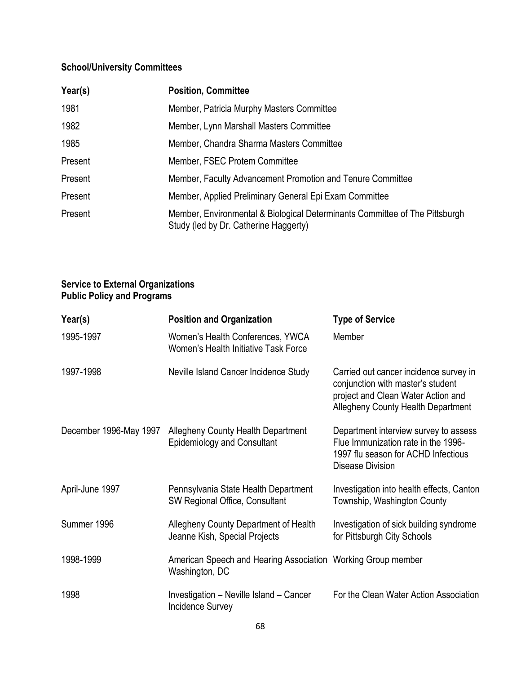# **School/University Committees**

| Year(s) | <b>Position, Committee</b>                                                                                           |
|---------|----------------------------------------------------------------------------------------------------------------------|
| 1981    | Member, Patricia Murphy Masters Committee                                                                            |
| 1982    | Member, Lynn Marshall Masters Committee                                                                              |
| 1985    | Member, Chandra Sharma Masters Committee                                                                             |
| Present | Member, FSEC Protem Committee                                                                                        |
| Present | Member, Faculty Advancement Promotion and Tenure Committee                                                           |
| Present | Member, Applied Preliminary General Epi Exam Committee                                                               |
| Present | Member, Environmental & Biological Determinants Committee of The Pittsburgh<br>Study (led by Dr. Catherine Haggerty) |

#### **Service to External Organizations Public Policy and Programs**

| Year(s)                | <b>Position and Organization</b>                                               | <b>Type of Service</b>                                                                                                                                         |
|------------------------|--------------------------------------------------------------------------------|----------------------------------------------------------------------------------------------------------------------------------------------------------------|
| 1995-1997              | Women's Health Conferences, YWCA<br>Women's Health Initiative Task Force       | Member                                                                                                                                                         |
| 1997-1998              | Neville Island Cancer Incidence Study                                          | Carried out cancer incidence survey in<br>conjunction with master's student<br>project and Clean Water Action and<br><b>Allegheny County Health Department</b> |
| December 1996-May 1997 | Allegheny County Health Department<br><b>Epidemiology and Consultant</b>       | Department interview survey to assess<br>Flue Immunization rate in the 1996-<br>1997 flu season for ACHD Infectious<br>Disease Division                        |
| April-June 1997        | Pennsylvania State Health Department<br>SW Regional Office, Consultant         | Investigation into health effects, Canton<br>Township, Washington County                                                                                       |
| Summer 1996            | Allegheny County Department of Health<br>Jeanne Kish, Special Projects         | Investigation of sick building syndrome<br>for Pittsburgh City Schools                                                                                         |
| 1998-1999              | American Speech and Hearing Association Working Group member<br>Washington, DC |                                                                                                                                                                |
| 1998                   | Investigation - Neville Island - Cancer<br><b>Incidence Survey</b>             | For the Clean Water Action Association                                                                                                                         |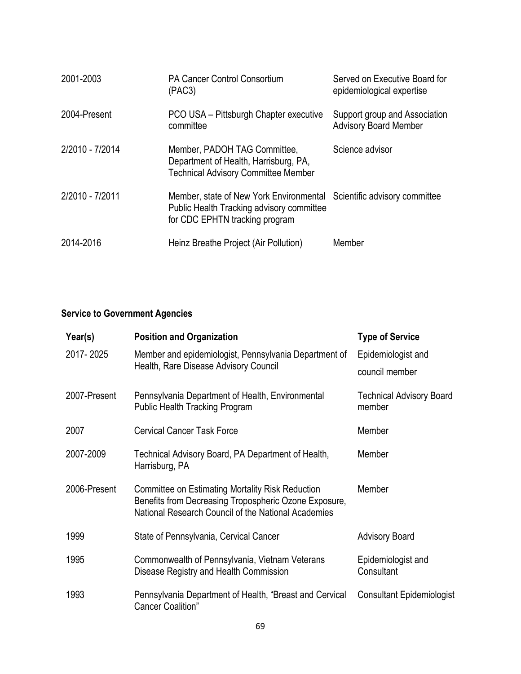| 2001-2003       | <b>PA Cancer Control Consortium</b><br>(PAC3)                                                                                                        | Served on Executive Board for<br>epidemiological expertise    |
|-----------------|------------------------------------------------------------------------------------------------------------------------------------------------------|---------------------------------------------------------------|
| 2004-Present    | PCO USA - Pittsburgh Chapter executive<br>committee                                                                                                  | Support group and Association<br><b>Advisory Board Member</b> |
| 2/2010 - 7/2014 | Member, PADOH TAG Committee,<br>Department of Health, Harrisburg, PA,<br><b>Technical Advisory Committee Member</b>                                  | Science advisor                                               |
| 2/2010 - 7/2011 | Member, state of New York Environmental Scientific advisory committee<br>Public Health Tracking advisory committee<br>for CDC EPHTN tracking program |                                                               |
| 2014-2016       | Heinz Breathe Project (Air Pollution)                                                                                                                | Member                                                        |

# **Service to Government Agencies**

| Year(s)      | <b>Position and Organization</b>                                                                                                                                 | <b>Type of Service</b>                    |
|--------------|------------------------------------------------------------------------------------------------------------------------------------------------------------------|-------------------------------------------|
| 2017-2025    | Member and epidemiologist, Pennsylvania Department of<br>Health, Rare Disease Advisory Council                                                                   | Epidemiologist and<br>council member      |
| 2007-Present | Pennsylvania Department of Health, Environmental<br><b>Public Health Tracking Program</b>                                                                        | <b>Technical Advisory Board</b><br>member |
| 2007         | <b>Cervical Cancer Task Force</b>                                                                                                                                | Member                                    |
| 2007-2009    | Technical Advisory Board, PA Department of Health,<br>Harrisburg, PA                                                                                             | Member                                    |
| 2006-Present | Committee on Estimating Mortality Risk Reduction<br>Benefits from Decreasing Tropospheric Ozone Exposure,<br>National Research Council of the National Academies | Member                                    |
| 1999         | State of Pennsylvania, Cervical Cancer                                                                                                                           | <b>Advisory Board</b>                     |
| 1995         | Commonwealth of Pennsylvania, Vietnam Veterans<br>Disease Registry and Health Commission                                                                         | Epidemiologist and<br>Consultant          |
| 1993         | Pennsylvania Department of Health, "Breast and Cervical<br><b>Cancer Coalition"</b>                                                                              | <b>Consultant Epidemiologist</b>          |